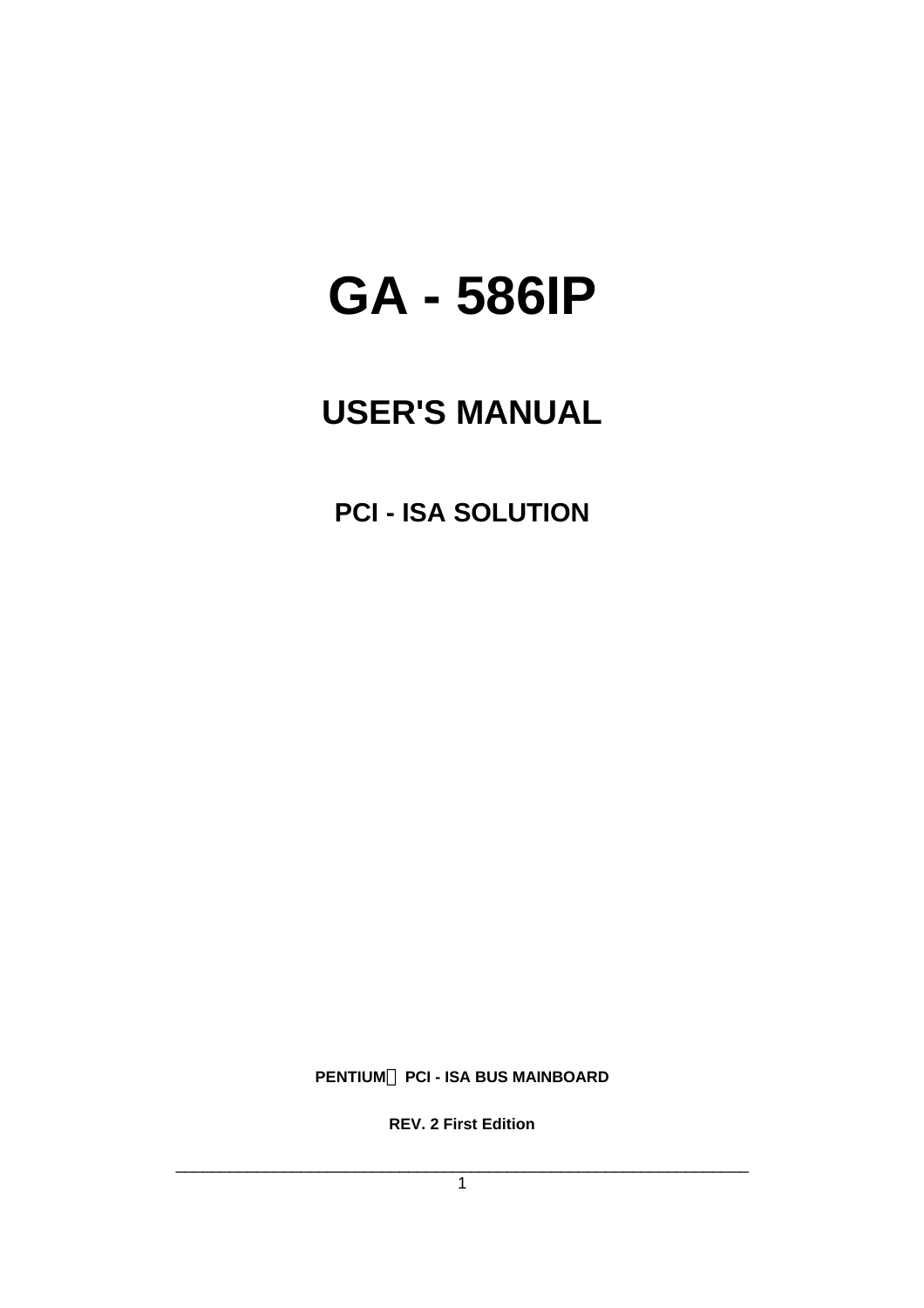# **GA - 586IP**

# **USER'S MANUAL**

**PCI - ISA SOLUTION**

**PENTIUMä PCI - ISA BUS MAINBOARD**

**REV. 2 First Edition**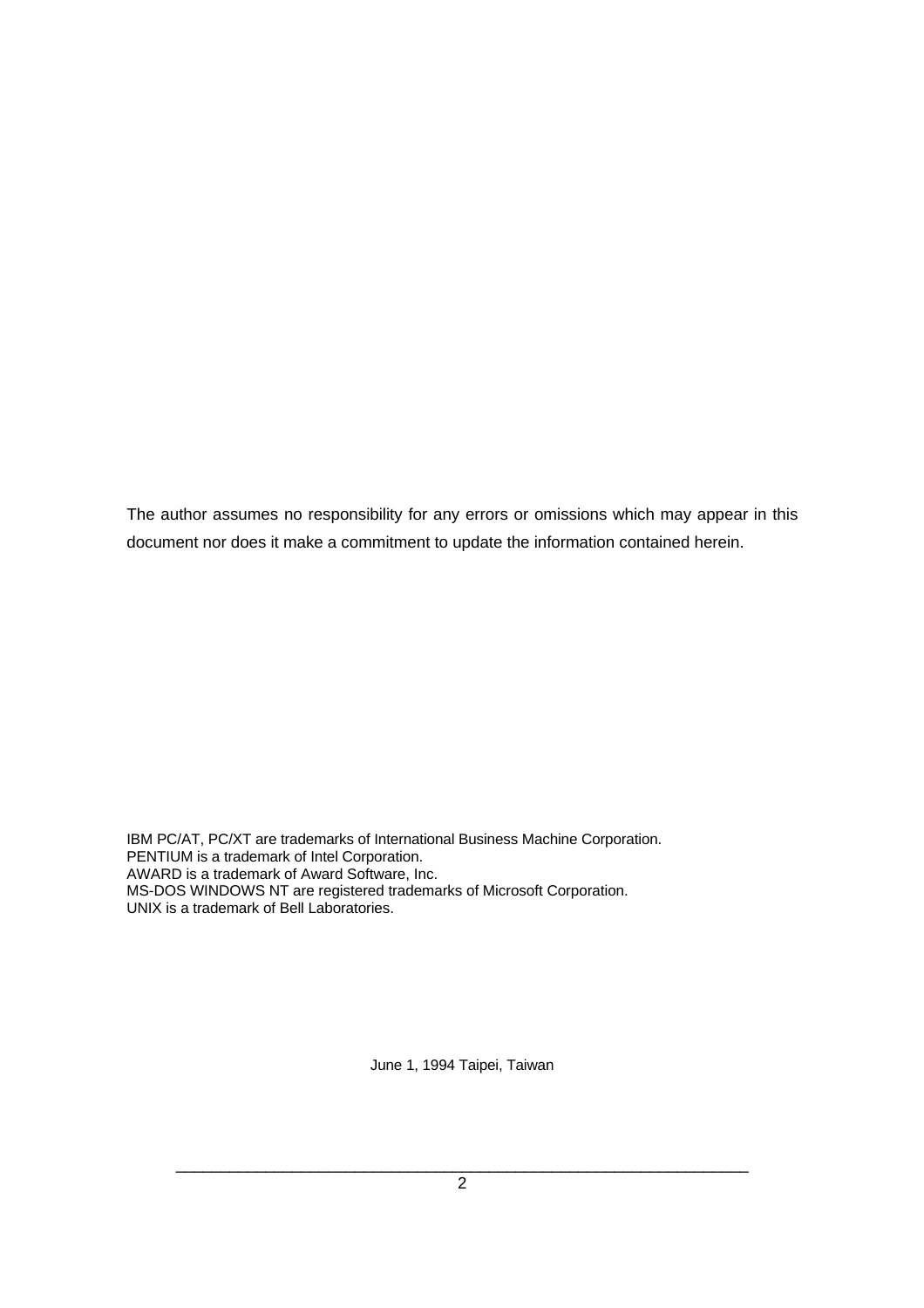The author assumes no responsibility for any errors or omissions which may appear in this document nor does it make a commitment to update the information contained herein.

IBM PC/AT, PC/XT are trademarks of International Business Machine Corporation. PENTIUM is a trademark of Intel Corporation. AWARD is a trademark of Award Software, Inc. MS-DOS WINDOWS NT are registered trademarks of Microsoft Corporation. UNIX is a trademark of Bell Laboratories.

June 1, 1994 Taipei, Taiwan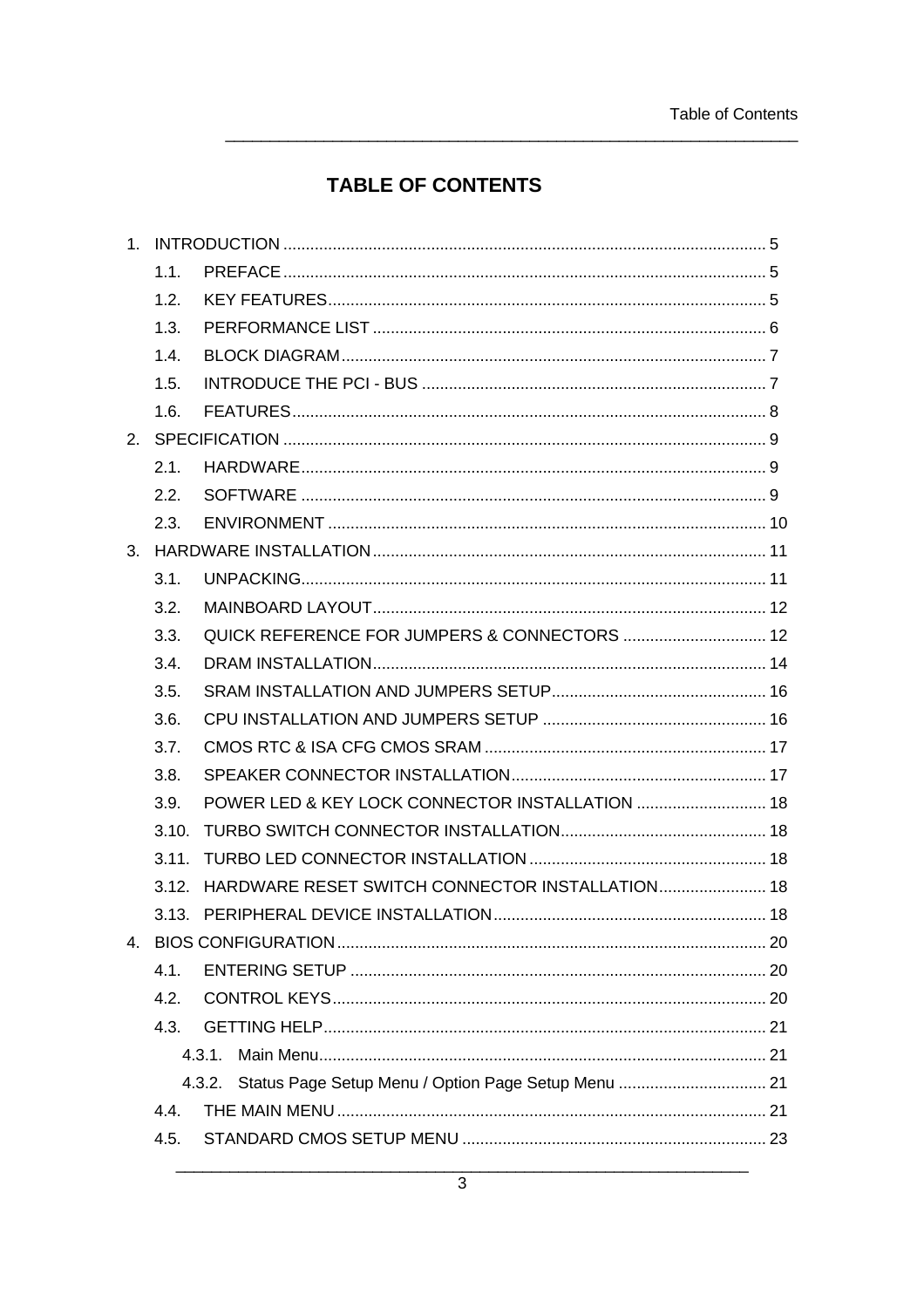# **TABLE OF CONTENTS**

| 1.1.  |                                                            |  |
|-------|------------------------------------------------------------|--|
| 1.2.  |                                                            |  |
| 1.3.  |                                                            |  |
| 1.4.  |                                                            |  |
| 1.5.  |                                                            |  |
| 1.6.  |                                                            |  |
|       |                                                            |  |
| 2.1.  |                                                            |  |
| 2.2.  |                                                            |  |
| 2.3.  |                                                            |  |
|       |                                                            |  |
| 3.1.  |                                                            |  |
| 3.2.  |                                                            |  |
| 3.3.  | QUICK REFERENCE FOR JUMPERS & CONNECTORS  12               |  |
| 3.4.  |                                                            |  |
| 3.5.  |                                                            |  |
| 3.6.  |                                                            |  |
| 3.7.  |                                                            |  |
| 3.8.  |                                                            |  |
| 3.9.  | POWER LED & KEY LOCK CONNECTOR INSTALLATION  18            |  |
| 3.10. |                                                            |  |
| 3.11. |                                                            |  |
| 3.12. | HARDWARE RESET SWITCH CONNECTOR INSTALLATION 18            |  |
|       |                                                            |  |
|       |                                                            |  |
| 4.1.  |                                                            |  |
| 4.2.  |                                                            |  |
| 4.3.  |                                                            |  |
|       | 4.3.1.                                                     |  |
|       | 4.3.2. Status Page Setup Menu / Option Page Setup Menu  21 |  |
| 4.4.  |                                                            |  |
| 4.5.  |                                                            |  |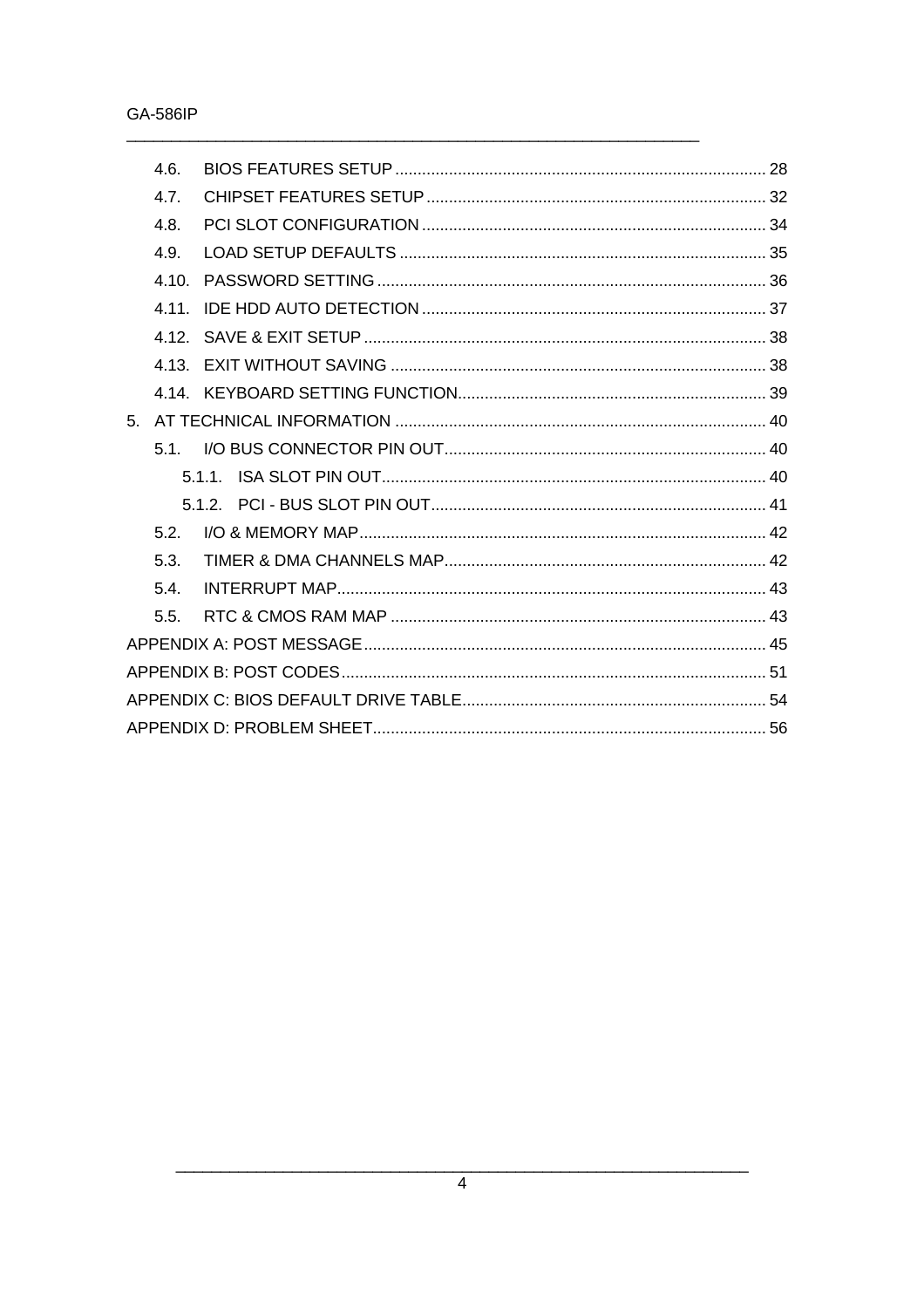|    | 4.6. |  |
|----|------|--|
|    | 4.7. |  |
|    | 4.8. |  |
|    | 49   |  |
|    | 4.10 |  |
|    |      |  |
|    |      |  |
|    |      |  |
|    |      |  |
| 5. |      |  |
|    |      |  |
|    |      |  |
|    |      |  |
|    | 5.2. |  |
|    | 5.3. |  |
|    | 5.4. |  |
|    | 5.5. |  |
|    |      |  |
|    |      |  |
|    |      |  |
|    |      |  |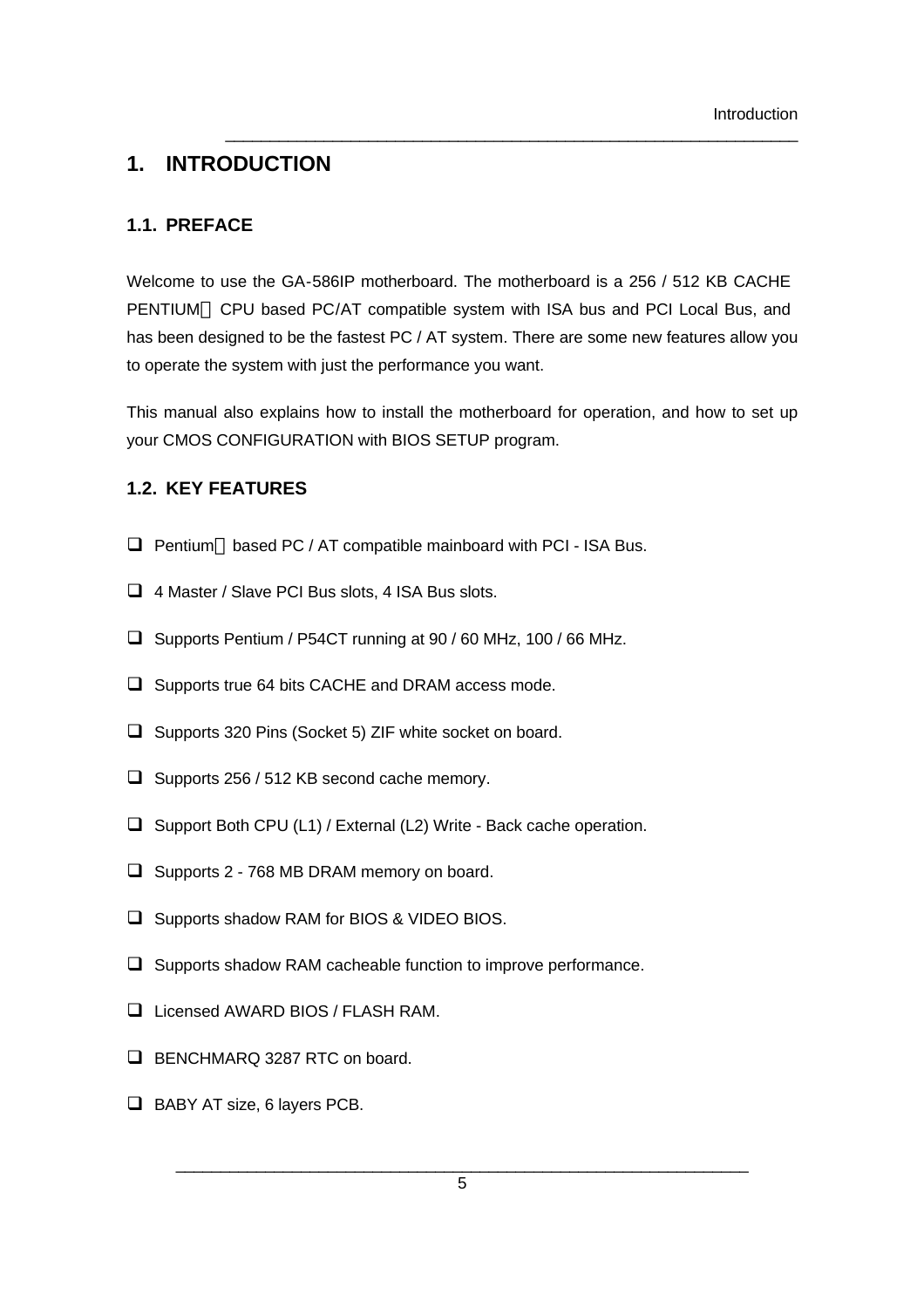# **1. INTRODUCTION**

## **1.1. PREFACE**

Welcome to use the GA-586IP motherboard. The motherboard is a 256 / 512 KB CACHE PENTIUM<sup>™</sup> CPU based PC/AT compatible system with ISA bus and PCI Local Bus, and has been designed to be the fastest PC / AT system. There are some new features allow you to operate the system with just the performance you want.

\_\_\_\_\_\_\_\_\_\_\_\_\_\_\_\_\_\_\_\_\_\_\_\_\_\_\_\_\_\_\_\_\_\_\_\_\_\_\_\_\_\_\_\_\_\_\_\_\_\_\_\_\_\_\_\_\_\_\_\_\_\_\_\_

This manual also explains how to install the motherboard for operation, and how to set up your CMOS CONFIGURATION with BIOS SETUP program.

## **1.2. KEY FEATURES**

- $\Box$  Pentium<sup>TM</sup> based PC / AT compatible mainboard with PCI ISA Bus.
- $\Box$  4 Master / Slave PCI Bus slots, 4 ISA Bus slots.
- $\Box$  Supports Pentium / P54CT running at 90 / 60 MHz, 100 / 66 MHz.
- $\Box$  Supports true 64 bits CACHE and DRAM access mode.
- $\Box$  Supports 320 Pins (Socket 5) ZIF white socket on board.
- $\Box$  Supports 256 / 512 KB second cache memory.
- $\Box$  Support Both CPU (L1) / External (L2) Write Back cache operation.
- $\Box$  Supports 2 768 MB DRAM memory on board.
- □ Supports shadow RAM for BIOS & VIDEO BIOS.
- $\Box$  Supports shadow RAM cacheable function to improve performance.
- □ Licensed AWARD BIOS / FLASH RAM.
- **Q BENCHMARQ 3287 RTC on board.**
- $\Box$  BABY AT size, 6 layers PCB.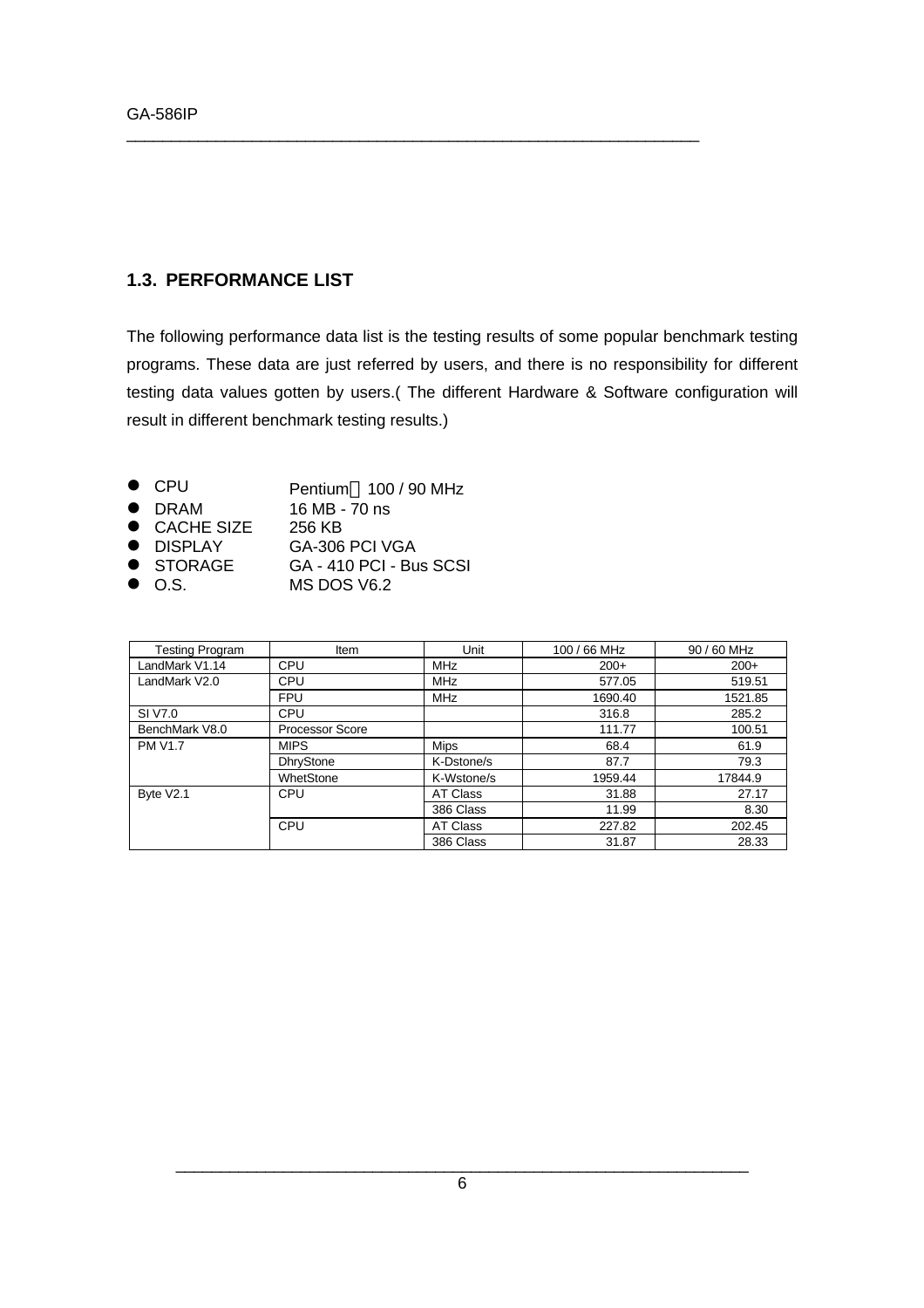## **1.3. PERFORMANCE LIST**

The following performance data list is the testing results of some popular benchmark testing programs. These data are just referred by users, and there is no responsibility for different testing data values gotten by users.( The different Hardware & Software configuration will result in different benchmark testing results.)

- $\bullet$  CPU Pentium<sup>TM</sup> 100 / 90 MHz
- l DRAM 16 MB 70 ns
- CACHE SIZE 256 K<mark>B</mark><br>● DISPLAY GA-306
	- GA-306 PCI VGA
- STORAGE GA 410 PCI Bus SCSI
- $\bullet$  O.S. MS DOS V6.2

| <b>Testing Program</b> | Item                   | Unit            | 100 / 66 MHz | 90 / 60 MHz |
|------------------------|------------------------|-----------------|--------------|-------------|
| LandMark V1.14         | CPU                    | <b>MHz</b>      | $200+$       | $200+$      |
| LandMark V2.0          | <b>CPU</b>             | <b>MHz</b>      | 577.05       | 519.51      |
|                        | <b>FPU</b>             | <b>MHz</b>      | 1690.40      | 1521.85     |
| SI V7.0                | <b>CPU</b>             |                 | 316.8        | 285.2       |
| BenchMark V8.0         | <b>Processor Score</b> |                 | 111.77       | 100.51      |
| <b>PM V1.7</b>         | <b>MIPS</b>            | <b>Mips</b>     | 68.4         | 61.9        |
|                        | <b>DhryStone</b>       | K-Dstone/s      | 87.7         | 79.3        |
|                        | WhetStone              | K-Wstone/s      | 1959.44      | 17844.9     |
| Byte V2.1              | CPU                    | <b>AT Class</b> | 31.88        | 27.17       |
|                        |                        | 386 Class       | 11.99        | 8.30        |
|                        | CPU                    | <b>AT Class</b> | 227.82       | 202.45      |
|                        |                        | 386 Class       | 31.87        | 28.33       |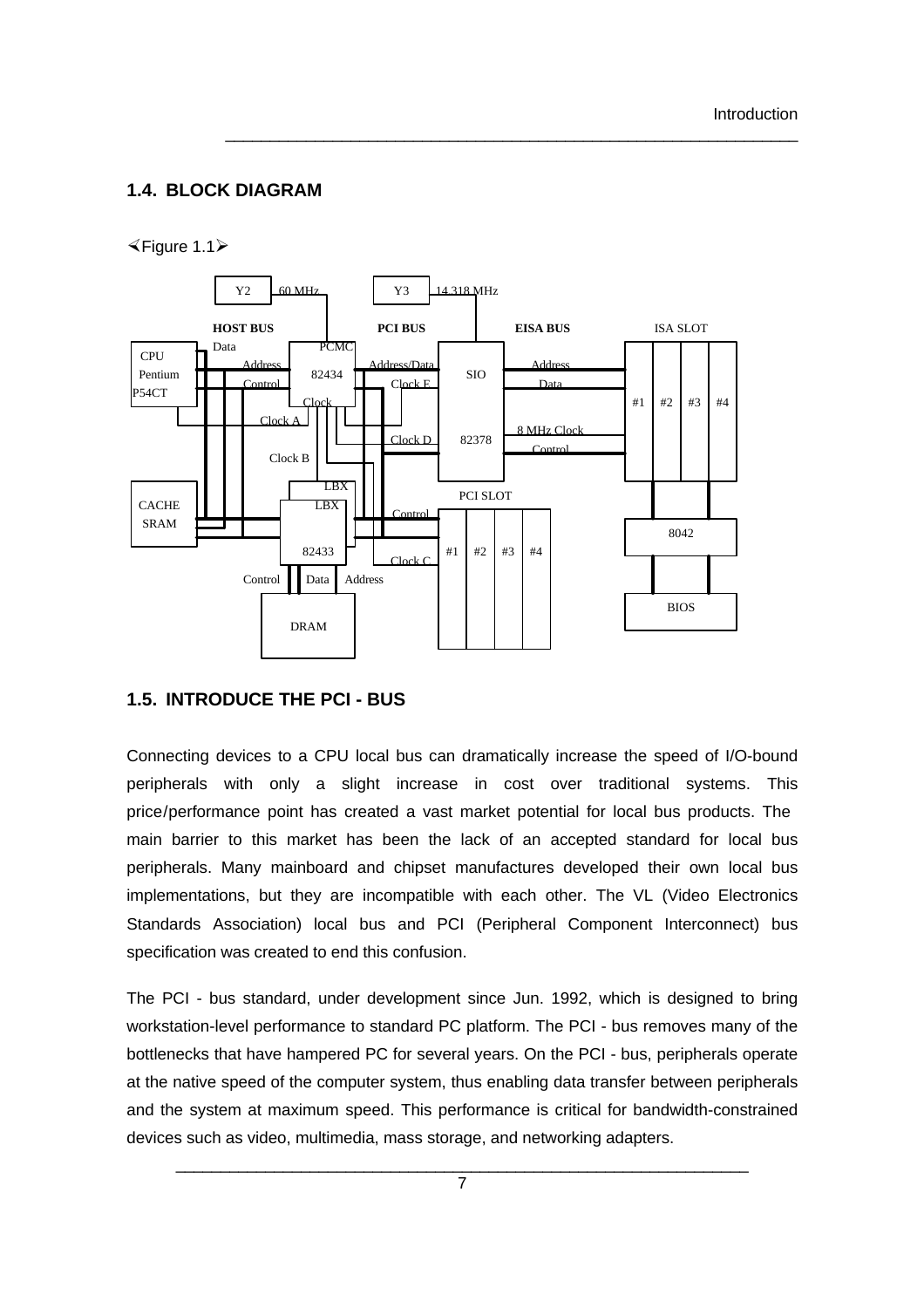#### **1.4. BLOCK DIAGRAM**

×Figure 1.1ÿ



\_\_\_\_\_\_\_\_\_\_\_\_\_\_\_\_\_\_\_\_\_\_\_\_\_\_\_\_\_\_\_\_\_\_\_\_\_\_\_\_\_\_\_\_\_\_\_\_\_\_\_\_\_\_\_\_\_\_\_\_\_\_\_\_

#### **1.5. INTRODUCE THE PCI - BUS**

Connecting devices to a CPU local bus can dramatically increase the speed of I/O-bound peripherals with only a slight increase in cost over traditional systems. This price/performance point has created a vast market potential for local bus products. The main barrier to this market has been the lack of an accepted standard for local bus peripherals. Many mainboard and chipset manufactures developed their own local bus implementations, but they are incompatible with each other. The VL (Video Electronics Standards Association) local bus and PCI (Peripheral Component Interconnect) bus specification was created to end this confusion.

The PCI - bus standard, under development since Jun. 1992, which is designed to bring workstation-level performance to standard PC platform. The PCI - bus removes many of the bottlenecks that have hampered PC for several years. On the PCI - bus, peripherals operate at the native speed of the computer system, thus enabling data transfer between peripherals and the system at maximum speed. This performance is critical for bandwidth-constrained devices such as video, multimedia, mass storage, and networking adapters.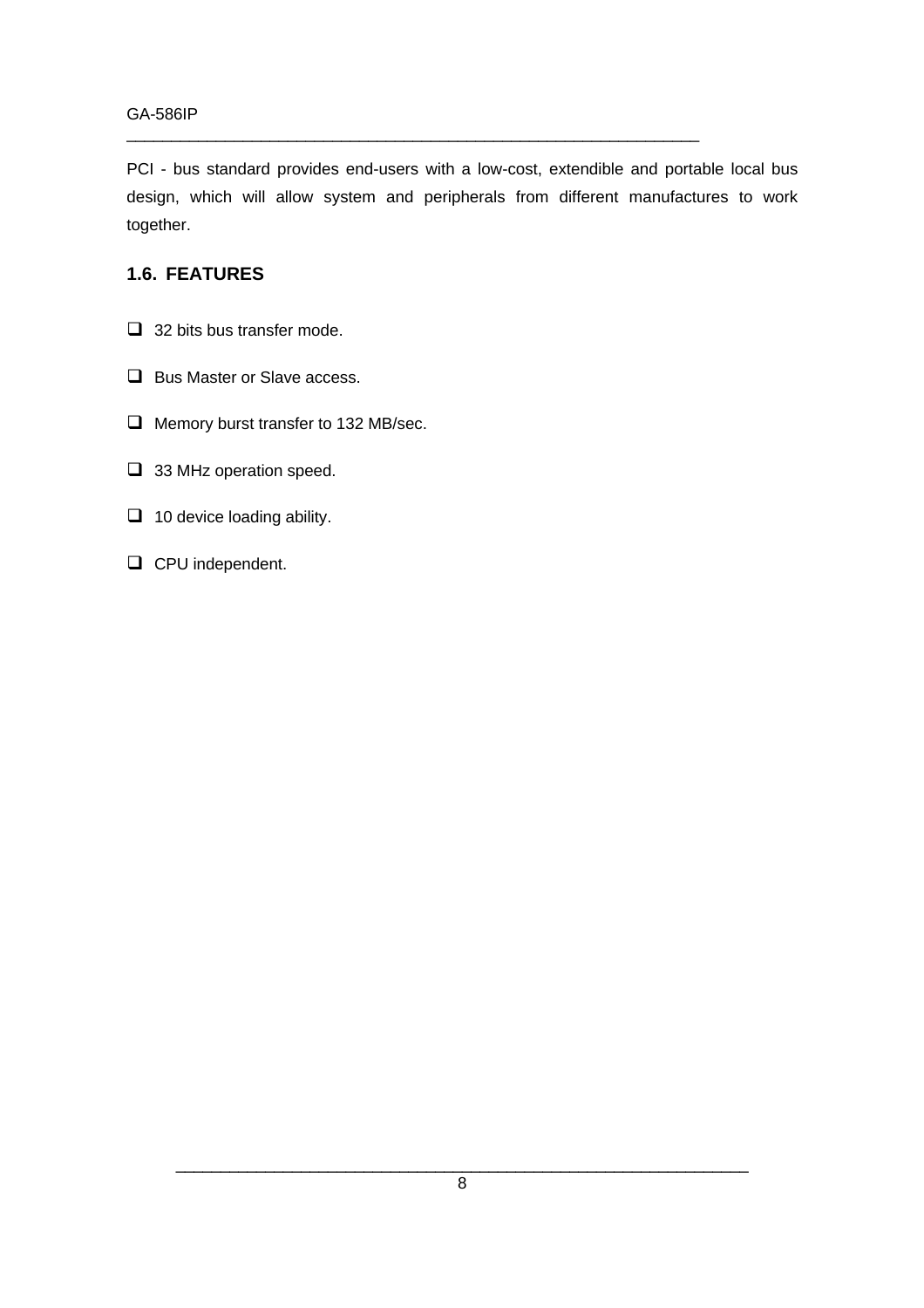PCI - bus standard provides end-users with a low-cost, extendible and portable local bus design, which will allow system and peripherals from different manufactures to work together.

\_\_\_\_\_\_\_\_\_\_\_\_\_\_\_\_\_\_\_\_\_\_\_\_\_\_\_\_\_\_\_\_\_\_\_\_\_\_\_\_\_\_\_\_\_\_\_\_\_\_\_\_\_\_\_\_\_\_\_\_\_\_\_\_

## **1.6. FEATURES**

- $\Box$  32 bits bus transfer mode.
- $\Box$  Bus Master or Slave access.
- $\Box$  Memory burst transfer to 132 MB/sec.
- $\Box$  33 MHz operation speed.
- $\Box$  10 device loading ability.
- Q CPU independent.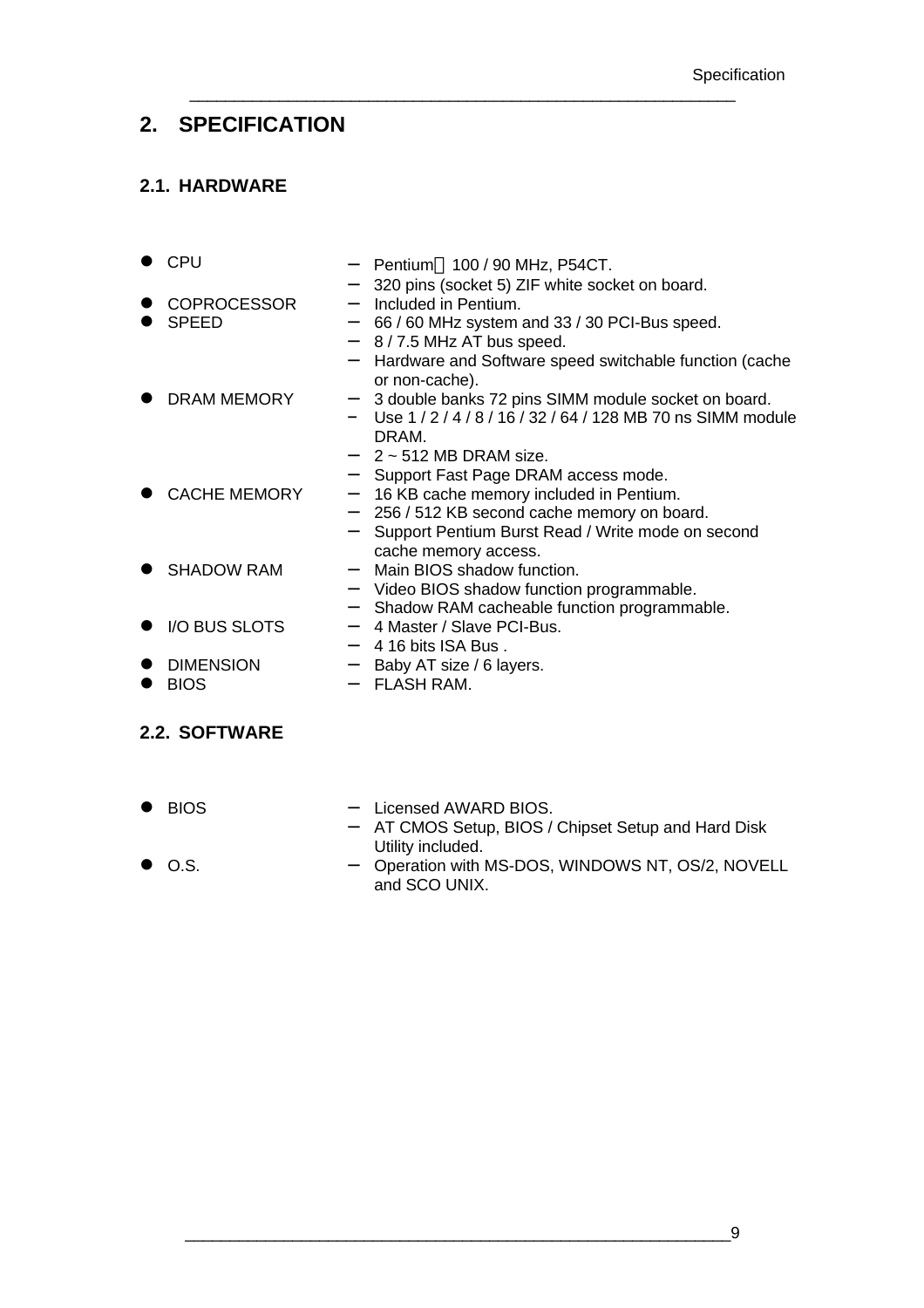# **2. SPECIFICATION**

## **2.1. HARDWARE**

|           | $\bullet$ CPU        |                          | $-$ Pentium <sup>TM</sup> 100 / 90 MHz, P54CT.         |
|-----------|----------------------|--------------------------|--------------------------------------------------------|
|           |                      |                          | 320 pins (socket 5) ZIF white socket on board.         |
|           | <b>COPROCESSOR</b>   |                          | Included in Pentium.                                   |
|           | <b>SPEED</b>         | $\overline{\phantom{m}}$ | 66 / 60 MHz system and 33 / 30 PCI-Bus speed.          |
|           |                      |                          | 8/7.5 MHz AT bus speed.                                |
|           |                      |                          | Hardware and Software speed switchable function (cache |
|           |                      |                          | or non-cache).                                         |
|           | DRAM MEMORY          | $-$                      | 3 double banks 72 pins SIMM module socket on board.    |
|           |                      |                          | $-$ Use 1/2/4/8/16/32/64/128 MB 70 ns SIMM module      |
|           |                      |                          | DRAM.                                                  |
|           |                      |                          | $2 \sim 512$ MB DRAM size.                             |
|           |                      |                          | - Support Fast Page DRAM access mode.                  |
|           | <b>CACHE MEMORY</b>  | $\overline{\phantom{0}}$ | 16 KB cache memory included in Pentium.                |
|           |                      |                          | - 256 / 512 KB second cache memory on board.           |
|           |                      |                          | Support Pentium Burst Read / Write mode on second      |
|           |                      |                          | cache memory access.                                   |
|           | <b>SHADOW RAM</b>    |                          | Main BIOS shadow function.                             |
|           |                      |                          | - Video BIOS shadow function programmable.             |
|           |                      |                          | - Shadow RAM cacheable function programmable.          |
|           | • I/O BUS SLOTS      |                          | - 4 Master / Slave PCI-Bus.                            |
|           |                      |                          | $-416 \text{ bits }$ ISA Bus.                          |
| $\bullet$ | <b>DIMENSION</b>     |                          | - Baby AT size / 6 layers.                             |
|           | <b>BIOS</b>          |                          | - FLASH RAM.                                           |
|           |                      |                          |                                                        |
|           |                      |                          |                                                        |
|           | <b>2.2. SOFTWARE</b> |                          |                                                        |
|           |                      |                          |                                                        |

\_\_\_\_\_\_\_\_\_\_\_\_\_\_\_\_\_\_\_\_\_\_\_\_\_\_\_\_\_\_\_\_\_\_\_\_\_\_\_\_\_\_\_\_\_\_\_\_\_\_\_\_\_\_\_\_\_\_\_\_\_

● BIOS – Licensed AWARD BIOS. − AT CMOS Setup, BIOS / Chipset Setup and Hard Disk Utility included. ● O.S. – Operation with MS-DOS, WINDOWS NT, OS/2, NOVELL and SCO UNIX.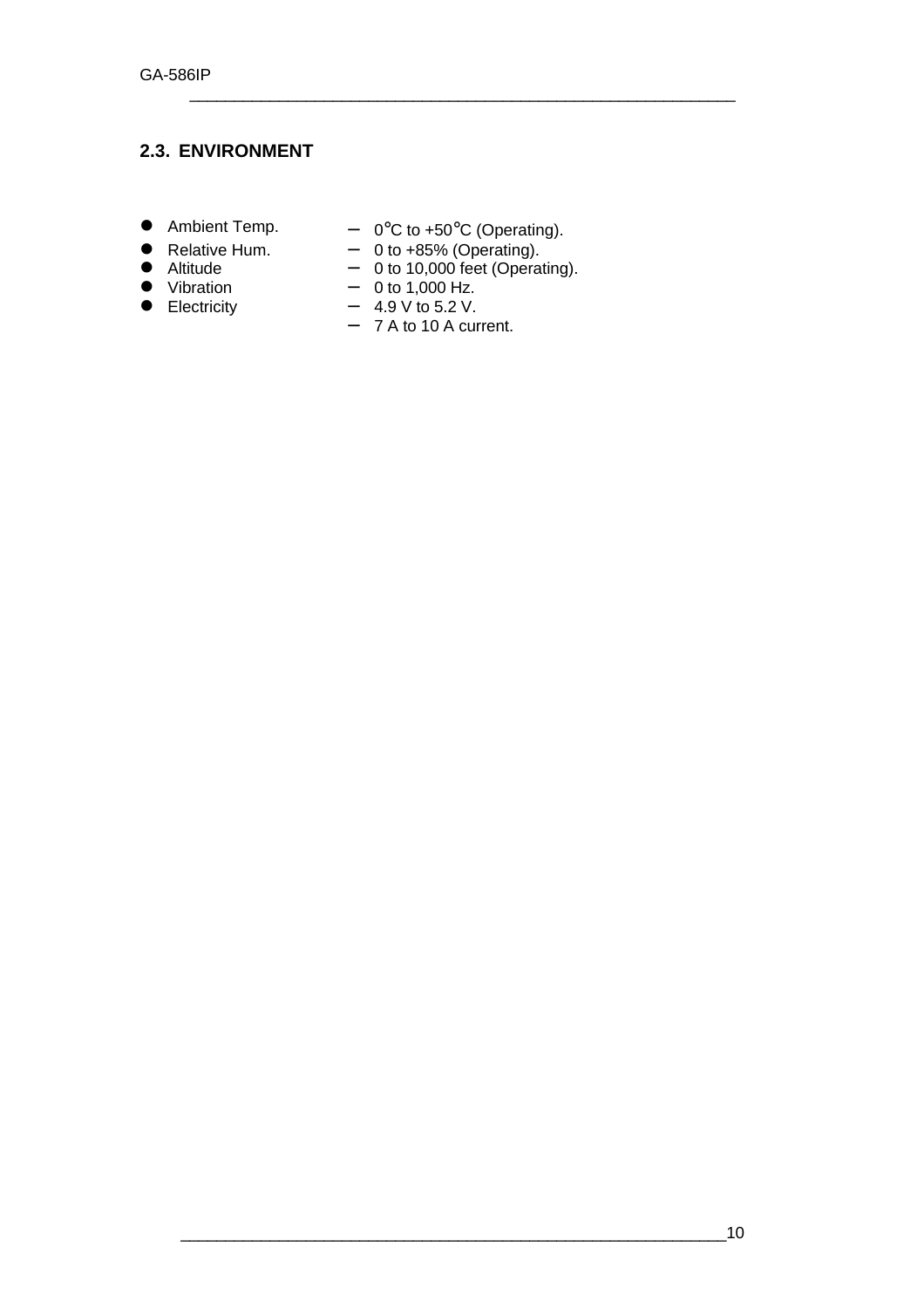## **2.3. ENVIRONMENT**

- 
- 
- 
- 
- 
- $\bullet$  Ambient Temp.  $\qquad -0$ °C to +50°C (Operating).

- Relative Hum. 0 to +85% (Operating).
- Altitude 0 to 10,000 feet (Operating).
- Vibration 0 to 1,000 Hz.
- Electricity  $4.9 V$  to 5.2 V.
	- − 7 A to 10 A current.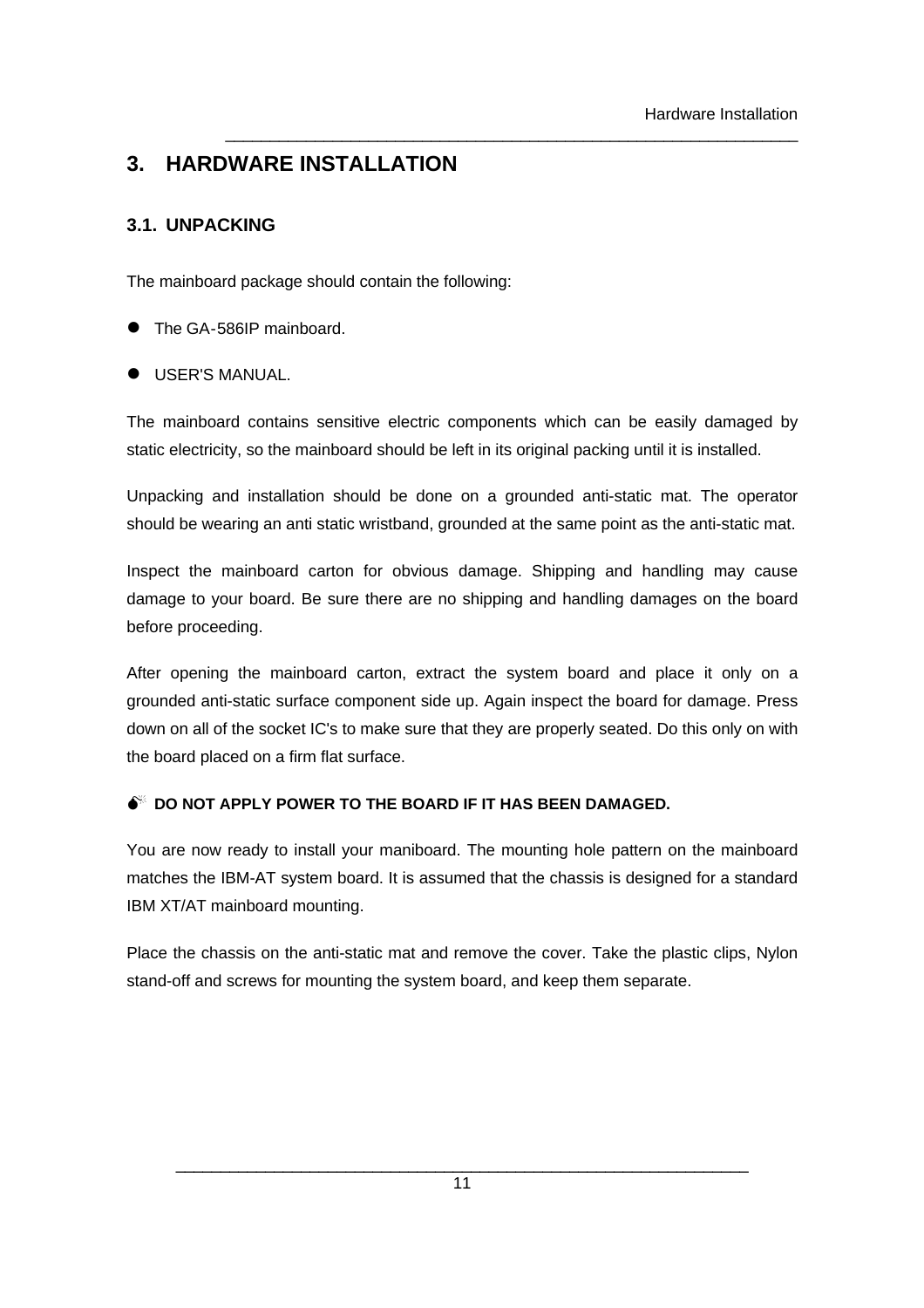# **3. HARDWARE INSTALLATION**

## **3.1. UNPACKING**

The mainboard package should contain the following:

- The GA-586IP mainboard.
- **USER'S MANUAL.**

The mainboard contains sensitive electric components which can be easily damaged by static electricity, so the mainboard should be left in its original packing until it is installed.

\_\_\_\_\_\_\_\_\_\_\_\_\_\_\_\_\_\_\_\_\_\_\_\_\_\_\_\_\_\_\_\_\_\_\_\_\_\_\_\_\_\_\_\_\_\_\_\_\_\_\_\_\_\_\_\_\_\_\_\_\_\_\_\_

Unpacking and installation should be done on a grounded anti-static mat. The operator should be wearing an anti static wristband, grounded at the same point as the anti-static mat.

Inspect the mainboard carton for obvious damage. Shipping and handling may cause damage to your board. Be sure there are no shipping and handling damages on the board before proceeding.

After opening the mainboard carton, extract the system board and place it only on a grounded anti-static surface component side up. Again inspect the board for damage. Press down on all of the socket IC's to make sure that they are properly seated. Do this only on with the board placed on a firm flat surface.

#### **M DO NOT APPLY POWER TO THE BOARD IF IT HAS BEEN DAMAGED.**

You are now ready to install your maniboard. The mounting hole pattern on the mainboard matches the IBM-AT system board. It is assumed that the chassis is designed for a standard IBM XT/AT mainboard mounting.

Place the chassis on the anti-static mat and remove the cover. Take the plastic clips, Nylon stand-off and screws for mounting the system board, and keep them separate.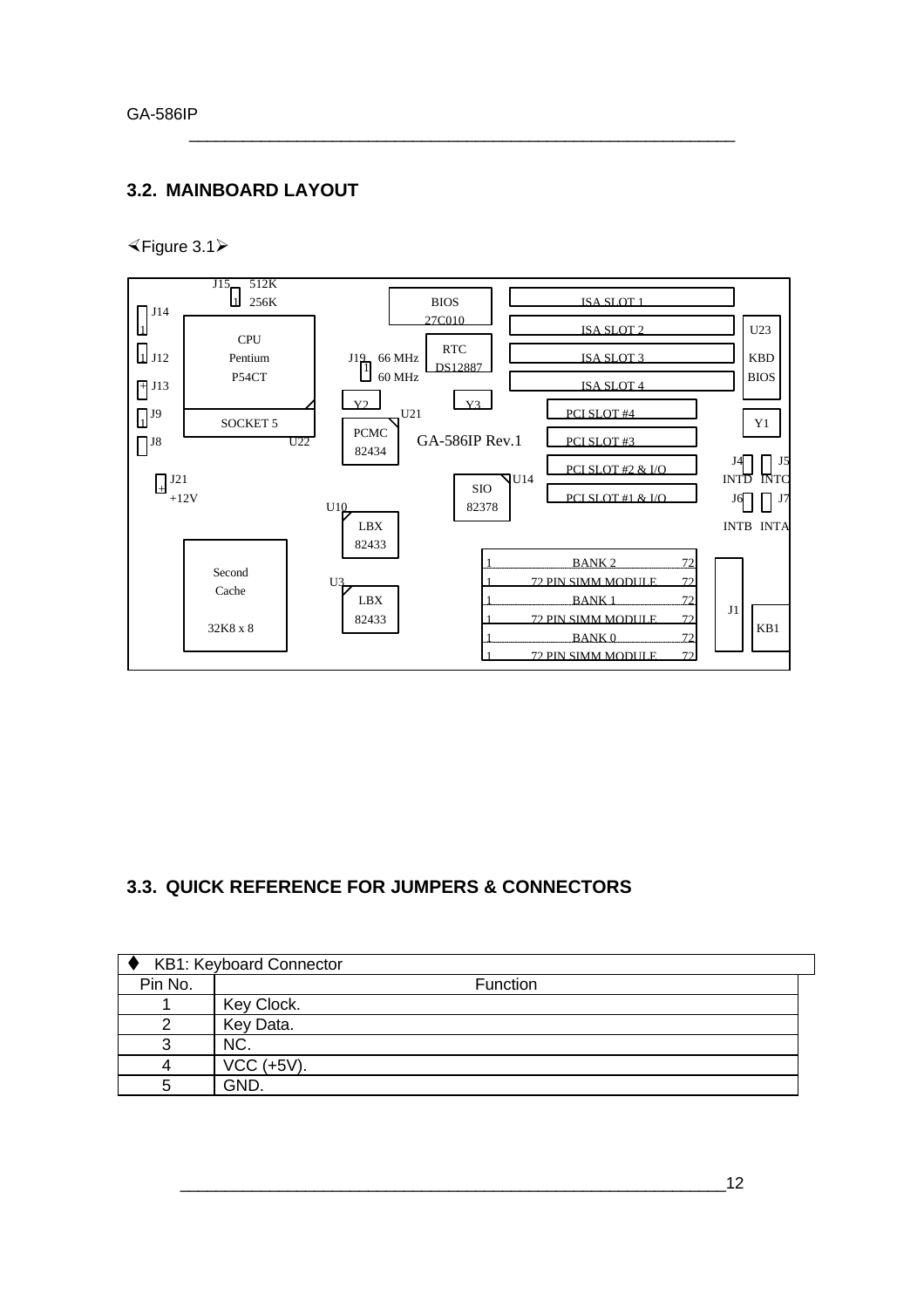## **3.2. MAINBOARD LAYOUT**

#### $\leq$ Figure 3.1 $\geq$



\_\_\_\_\_\_\_\_\_\_\_\_\_\_\_\_\_\_\_\_\_\_\_\_\_\_\_\_\_\_\_\_\_\_\_\_\_\_\_\_\_\_\_\_\_\_\_\_\_\_\_\_\_\_\_\_\_\_\_\_\_

#### **3.3. QUICK REFERENCE FOR JUMPERS & CONNECTORS**

|         | KB1: Keyboard Connector |
|---------|-------------------------|
| Pin No. | Function                |
|         | Key Clock.              |
|         | Key Data.               |
| ິ       | NC.                     |
|         | $VCC$ (+5V).            |
|         | GND.                    |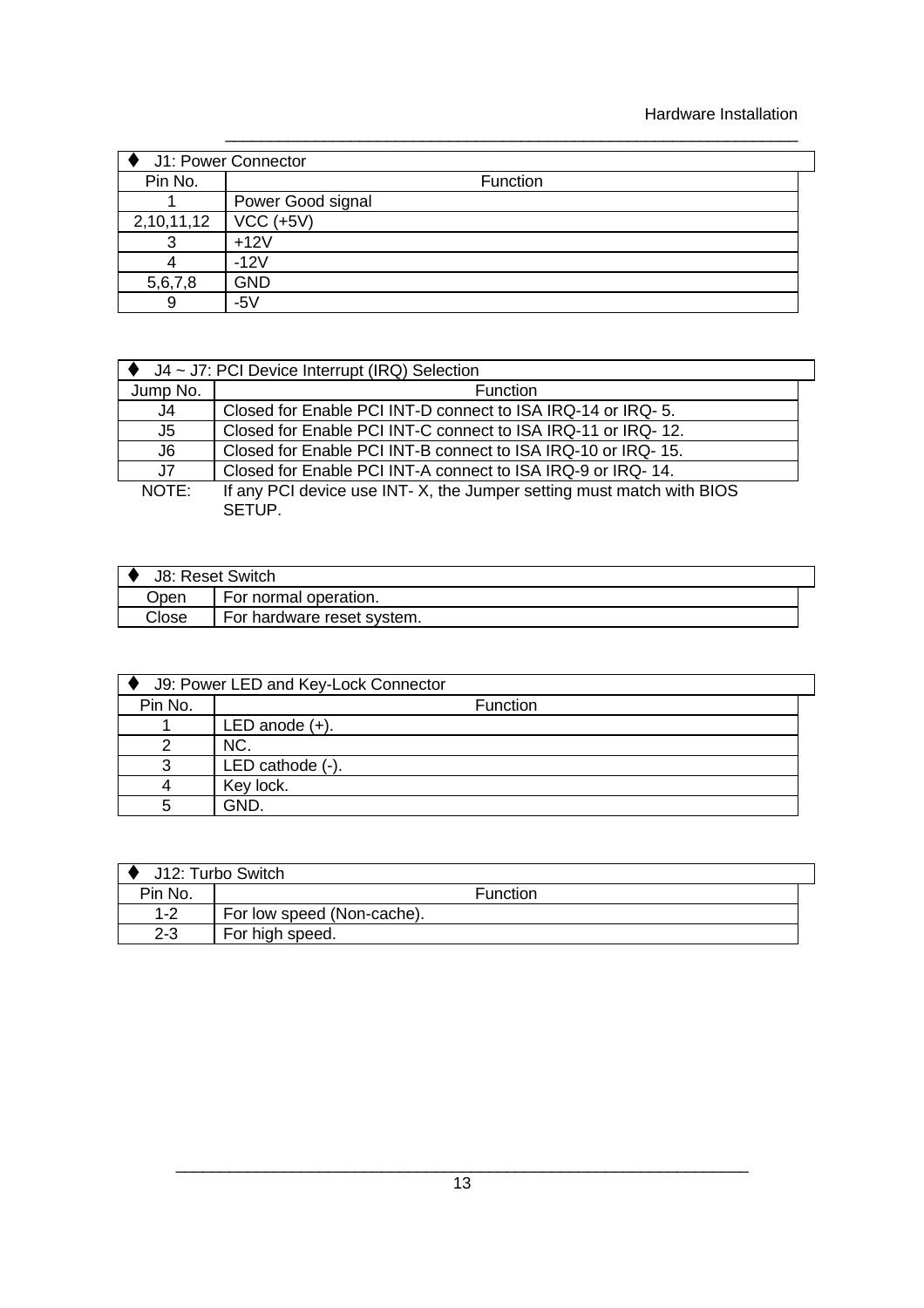|            | J1: Power Connector |  |  |
|------------|---------------------|--|--|
| Pin No.    | Function            |  |  |
|            | Power Good signal   |  |  |
| 2,10,11,12 | $VCC$ (+5V)         |  |  |
|            | $+12V$              |  |  |
|            | $-12V$              |  |  |
| 5,6,7,8    | <b>GND</b>          |  |  |
|            | $-5V$               |  |  |

|                | $\blacklozenge$ J4 ~ J7: PCI Device Interrupt (IRQ) Selection        |  |  |
|----------------|----------------------------------------------------------------------|--|--|
| Jump No.       | <b>Function</b>                                                      |  |  |
| J4             | Closed for Enable PCI INT-D connect to ISA IRQ-14 or IRQ-5.          |  |  |
| J5             | Closed for Enable PCI INT-C connect to ISA IRQ-11 or IRQ-12.         |  |  |
| J <sub>6</sub> | Closed for Enable PCI INT-B connect to ISA IRQ-10 or IRQ-15.         |  |  |
| J7             | Closed for Enable PCI INT-A connect to ISA IRQ-9 or IRQ-14.          |  |  |
| NOTE:          | If any PCI device use INT-X, the Jumper setting must match with BIOS |  |  |
|                | SETUP.                                                               |  |  |

| J8: Reset Switch |                            |  |
|------------------|----------------------------|--|
| Jpen             | For normal operation.      |  |
| Close            | For hardware reset system. |  |

|         | J9: Power LED and Key-Lock Connector |
|---------|--------------------------------------|
| Pin No. | Function                             |
|         | LED anode $(+)$ .                    |
|         | NC.                                  |
|         | LED cathode (-).                     |
|         | Key lock.                            |
|         | GND.                                 |

|         | J12: Turbo Switch          |  |  |
|---------|----------------------------|--|--|
| Pin No. | Function                   |  |  |
| $1 - 2$ | For low speed (Non-cache). |  |  |
| $2 - 3$ | For high speed.            |  |  |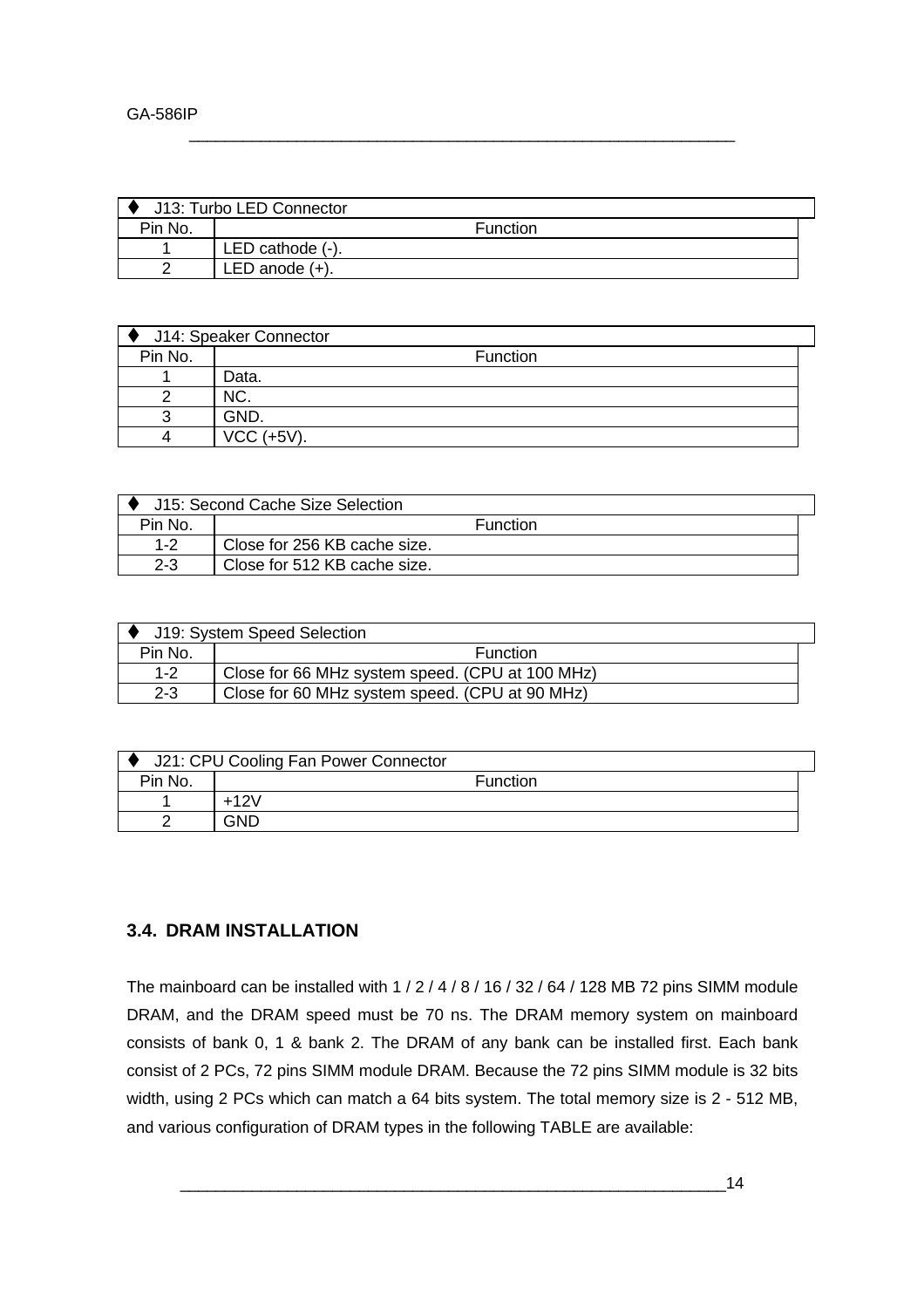|         | J13: Turbo LED Connector |  |
|---------|--------------------------|--|
| Pin No. | Function                 |  |
|         | LED cathode $(-)$ .      |  |
|         | LED anode $(+)$ .        |  |

\_\_\_\_\_\_\_\_\_\_\_\_\_\_\_\_\_\_\_\_\_\_\_\_\_\_\_\_\_\_\_\_\_\_\_\_\_\_\_\_\_\_\_\_\_\_\_\_\_\_\_\_\_\_\_\_\_\_\_\_\_

|         | J14: Speaker Connector |
|---------|------------------------|
| Pin No. | Function               |
|         | Data.                  |
|         | NC.                    |
|         | GND.                   |
|         | VCC (+5V).             |

|         | J15: Second Cache Size Selection |
|---------|----------------------------------|
| Pin No. | <b>Function</b>                  |
| $1 - 2$ | Close for 256 KB cache size.     |
| $2 - 3$ | Close for 512 KB cache size.     |

|         | J19: System Speed Selection                     |
|---------|-------------------------------------------------|
| Pin No. | Function                                        |
| $1 - 2$ | Close for 66 MHz system speed. (CPU at 100 MHz) |
| $2 - 3$ | Close for 60 MHz system speed. (CPU at 90 MHz)  |

|         | J21: CPU Cooling Fan Power Connector |  |
|---------|--------------------------------------|--|
| Pin No. | Function                             |  |
|         | +12V                                 |  |
|         | GND                                  |  |

## **3.4. DRAM INSTALLATION**

The mainboard can be installed with 1 / 2 / 4 / 8 / 16 / 32 / 64 / 128 MB 72 pins SIMM module DRAM, and the DRAM speed must be 70 ns. The DRAM memory system on mainboard consists of bank 0, 1 & bank 2. The DRAM of any bank can be installed first. Each bank consist of 2 PCs, 72 pins SIMM module DRAM. Because the 72 pins SIMM module is 32 bits width, using 2 PCs which can match a 64 bits system. The total memory size is 2 - 512 MB, and various configuration of DRAM types in the following TABLE are available: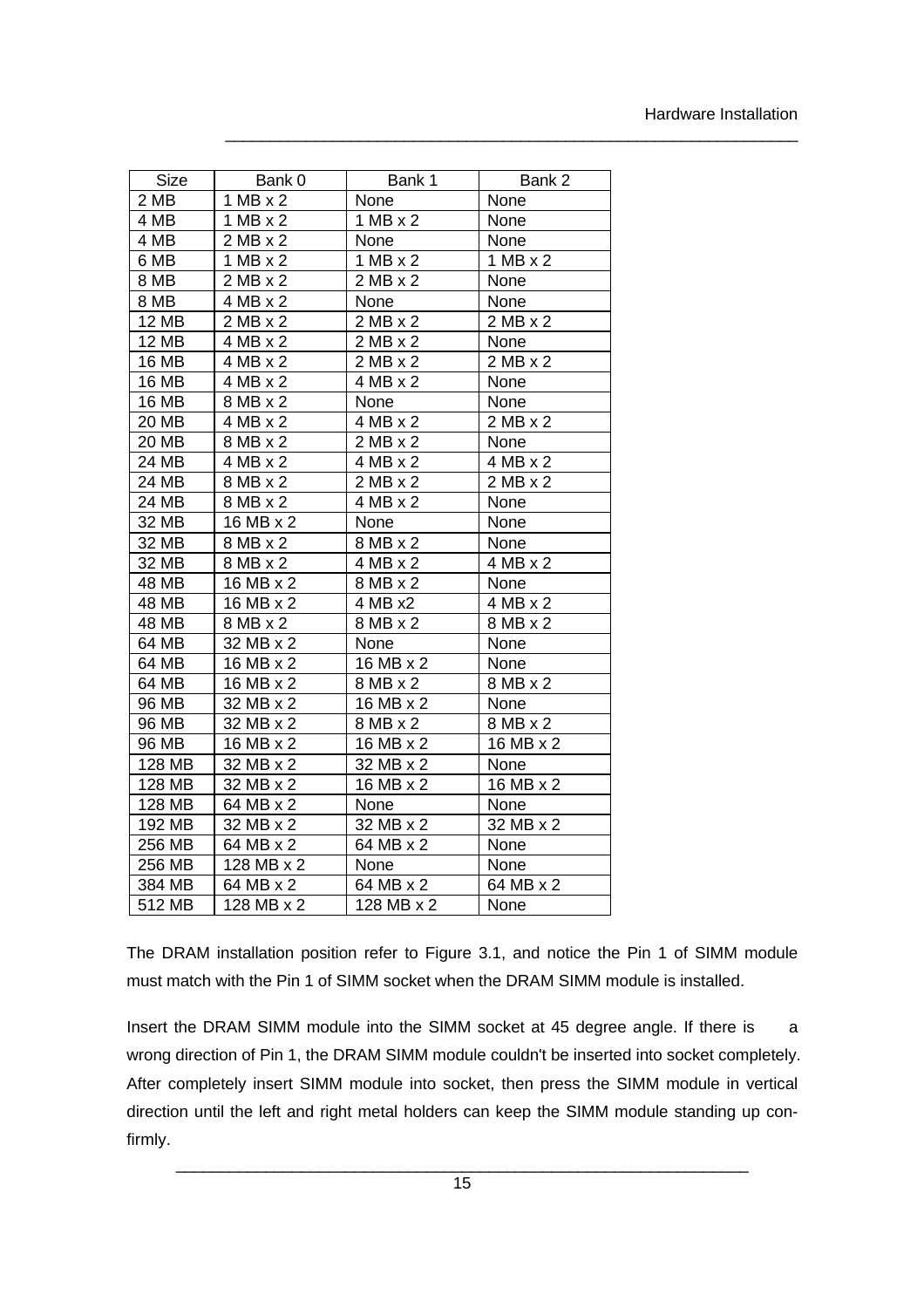\_\_\_\_\_\_\_\_\_\_\_\_\_\_\_\_\_\_\_\_\_\_\_\_\_\_\_\_\_\_\_\_\_\_\_\_\_\_\_\_\_\_\_\_\_\_\_\_\_\_\_\_\_\_\_\_\_\_\_\_\_\_\_\_

| Size         | Bank 0          | Bank 1          | Bank 2          |
|--------------|-----------------|-----------------|-----------------|
| 2 MB         | 1 MB x 2        | None            | None            |
| 4 MB         | $1 MB \times 2$ | $1 MB \times 2$ | None            |
| 4 MB         | $2 MB \times 2$ | None            | None            |
| 6 MB         | $1 MB \times 2$ | $1 MB \times 2$ | $1 MB \times 2$ |
| 8 MB         | $2 MB \times 2$ | $2 MB \times 2$ | None            |
| 8 MB         | 4 MB x 2        | None            | None            |
| <b>12 MB</b> | $2 MB \times 2$ | $2 MB \times 2$ | $2 MB \times 2$ |
| <b>12 MB</b> | 4 MB x 2        | $2 MB \times 2$ | None            |
| <b>16 MB</b> | 4 MB x 2        | $2 MB \times 2$ | 2 MB x 2        |
| <b>16 MB</b> | 4 MB x 2        | 4 MB x 2        | None            |
| <b>16 MB</b> | 8 MB x 2        | None            | None            |
| <b>20 MB</b> | 4 MB x 2        | 4 MB x 2        | $2 MB \times 2$ |
| 20 MB        | 8 MB x 2        | $2 MB \times 2$ | None            |
| 24 MB        | 4 MB x 2        | 4 MB x 2        | 4 MB x 2        |
| <b>24 MB</b> | 8 MB x 2        | $2 MB \times 2$ | $2 MB \times 2$ |
| 24 MB        | 8 MB x 2        | 4 MB x 2        | None            |
| 32 MB        | 16 MB x 2       | None            | None            |
| 32 MB        | 8 MB x 2        | 8 MB x 2        | None            |
| 32 MB        | 8 MB x 2        | 4 MB x 2        | 4 MB x 2        |
| <b>48 MB</b> | 16 MB x 2       | 8 MB x 2        | None            |
| <b>48 MB</b> | 16 MB x 2       | 4 MB x2         | 4 MB x 2        |
| <b>48 MB</b> | 8 MB x 2        | 8 MB x 2        | 8 MB x 2        |
| 64 MB        | 32 MB x 2       | None            | None            |
| 64 MB        | 16 MB x 2       | 16 MB x 2       | None            |
| 64 MB        | 16 MB x 2       | 8 MB x 2        | 8 MB x 2        |
| 96 MB        | 32 MB x 2       | 16 MB x 2       | None            |
| 96 MB        | 32 MB x 2       | 8 MB x 2        | 8 MB x 2        |
| 96 MB        | 16 MB x 2       | 16 MB x 2       | 16 MB x 2       |
| 128 MB       | 32 MB x 2       | 32 MB x 2       | None            |
| 128 MB       | 32 MB x 2       | 16 MB x 2       | 16 MB x 2       |
| 128 MB       | 64 MB x 2       | None            | None            |
| 192 MB       | 32 MB x 2       | 32 MB x 2       | 32 MB x 2       |
| 256 MB       | 64 MB x 2       | 64 MB x 2       | None            |
| 256 MB       | 128 MB x 2      | None            | None            |
| 384 MB       | 64 MB x 2       | 64 MB x 2       | 64 MB x 2       |
| 512 MB       | 128 MB x 2      | 128 MB x 2      | None            |

The DRAM installation position refer to Figure 3.1, and notice the Pin 1 of SIMM module must match with the Pin 1 of SIMM socket when the DRAM SIMM module is installed.

Insert the DRAM SIMM module into the SIMM socket at 45 degree angle. If there is a wrong direction of Pin 1, the DRAM SIMM module couldn't be inserted into socket completely. After completely insert SIMM module into socket, then press the SIMM module in vertical direction until the left and right metal holders can keep the SIMM module standing up confirmly.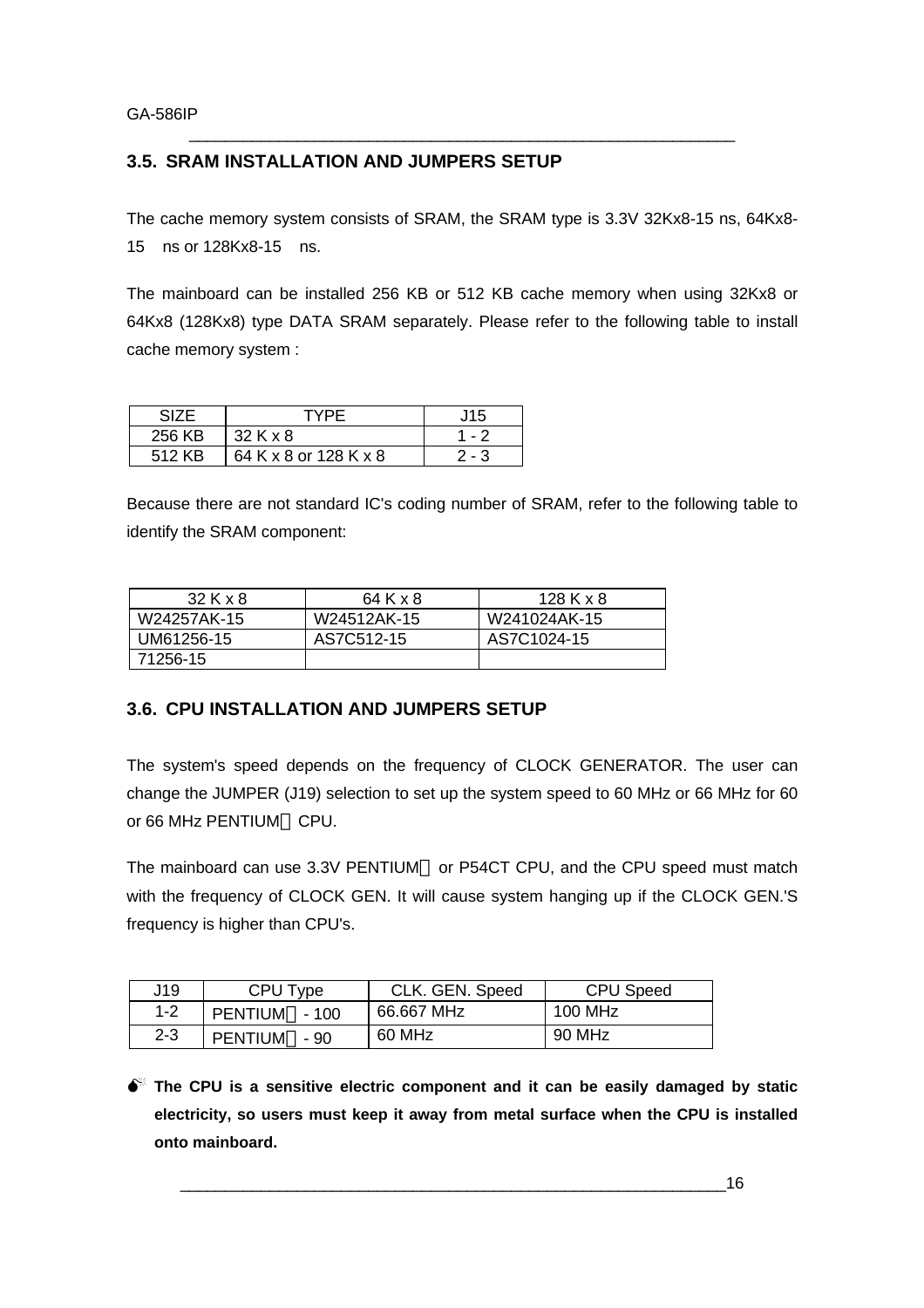GA-586IP

## **3.5. SRAM INSTALLATION AND JUMPERS SETUP**

The cache memory system consists of SRAM, the SRAM type is 3.3V 32Kx8-15 ns, 64Kx8- 15 ns or 128Kx8-15 ns.

\_\_\_\_\_\_\_\_\_\_\_\_\_\_\_\_\_\_\_\_\_\_\_\_\_\_\_\_\_\_\_\_\_\_\_\_\_\_\_\_\_\_\_\_\_\_\_\_\_\_\_\_\_\_\_\_\_\_\_\_\_

The mainboard can be installed 256 KB or 512 KB cache memory when using 32Kx8 or 64Kx8 (128Kx8) type DATA SRAM separately. Please refer to the following table to install cache memory system :

| マリフロ   | TYPF                  | J15.    |
|--------|-----------------------|---------|
| 256 KB | 32 K x 8              | $1 - 2$ |
| 512 KB | 64 K x 8 or 128 K x 8 | 2 - 3   |

Because there are not standard IC's coding number of SRAM, refer to the following table to identify the SRAM component:

| 32Kx8       | 64 K x 8    | 128 K $\times$ 8 |
|-------------|-------------|------------------|
| W24257AK-15 | W24512AK-15 | W241024AK-15     |
| UM61256-15  | AS7C512-15  | AS7C1024-15      |
| 71256-15    |             |                  |

#### **3.6. CPU INSTALLATION AND JUMPERS SETUP**

The system's speed depends on the frequency of CLOCK GENERATOR. The user can change the JUMPER (J19) selection to set up the system speed to 60 MHz or 66 MHz for 60 or 66 MHz PENTIUM™ CPU.

The mainboard can use 3.3V PENTIUM™ or P54CT CPU, and the CPU speed must match with the frequency of CLOCK GEN. It will cause system hanging up if the CLOCK GEN.'S frequency is higher than CPU's.

| J19     | CPU Type       | CLK. GEN. Speed | CPU Speed |
|---------|----------------|-----------------|-----------|
| $1 - 2$ | PENTIUM™ - 100 | 66.667 MHz      | 100 MHz   |
| $2 - 3$ | PENTIUM™ - 90  | 60 MHz          | 90 MHz    |

 $\bullet^*$  The CPU is a sensitive electric component and it can be easily damaged by static **electricity, so users must keep it away from metal surface when the CPU is installed onto mainboard.**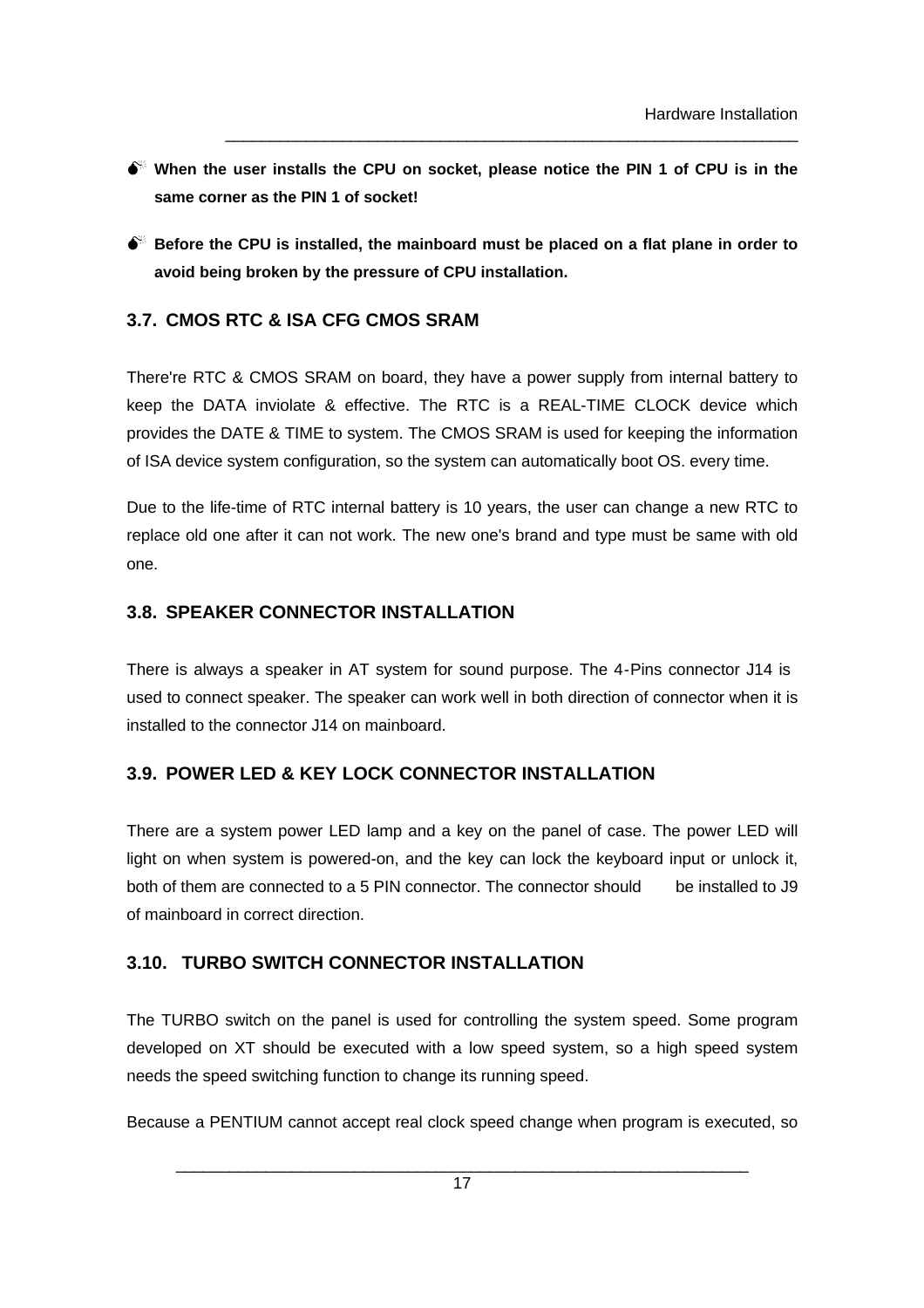**M When the user installs the CPU on socket, please notice the PIN 1 of CPU is in the same corner as the PIN 1 of socket!**

\_\_\_\_\_\_\_\_\_\_\_\_\_\_\_\_\_\_\_\_\_\_\_\_\_\_\_\_\_\_\_\_\_\_\_\_\_\_\_\_\_\_\_\_\_\_\_\_\_\_\_\_\_\_\_\_\_\_\_\_\_\_\_\_

**M Before the CPU is installed, the mainboard must be placed on a flat plane in order to avoid being broken by the pressure of CPU installation.**

#### **3.7. CMOS RTC & ISA CFG CMOS SRAM**

There're RTC & CMOS SRAM on board, they have a power supply from internal battery to keep the DATA inviolate & effective. The RTC is a REAL-TIME CLOCK device which provides the DATE & TIME to system. The CMOS SRAM is used for keeping the information of ISA device system configuration, so the system can automatically boot OS. every time.

Due to the life-time of RTC internal battery is 10 years, the user can change a new RTC to replace old one after it can not work. The new one's brand and type must be same with old one.

#### **3.8. SPEAKER CONNECTOR INSTALLATION**

There is always a speaker in AT system for sound purpose. The 4-Pins connector J14 is used to connect speaker. The speaker can work well in both direction of connector when it is installed to the connector J14 on mainboard.

#### **3.9. POWER LED & KEY LOCK CONNECTOR INSTALLATION**

There are a system power LED lamp and a key on the panel of case. The power LED will light on when system is powered-on, and the key can lock the keyboard input or unlock it, both of them are connected to a 5 PIN connector. The connector should be installed to J9 of mainboard in correct direction.

## **3.10. TURBO SWITCH CONNECTOR INSTALLATION**

The TURBO switch on the panel is used for controlling the system speed. Some program developed on XT should be executed with a low speed system, so a high speed system needs the speed switching function to change its running speed.

Because a PENTIUM cannot accept real clock speed change when program is executed, so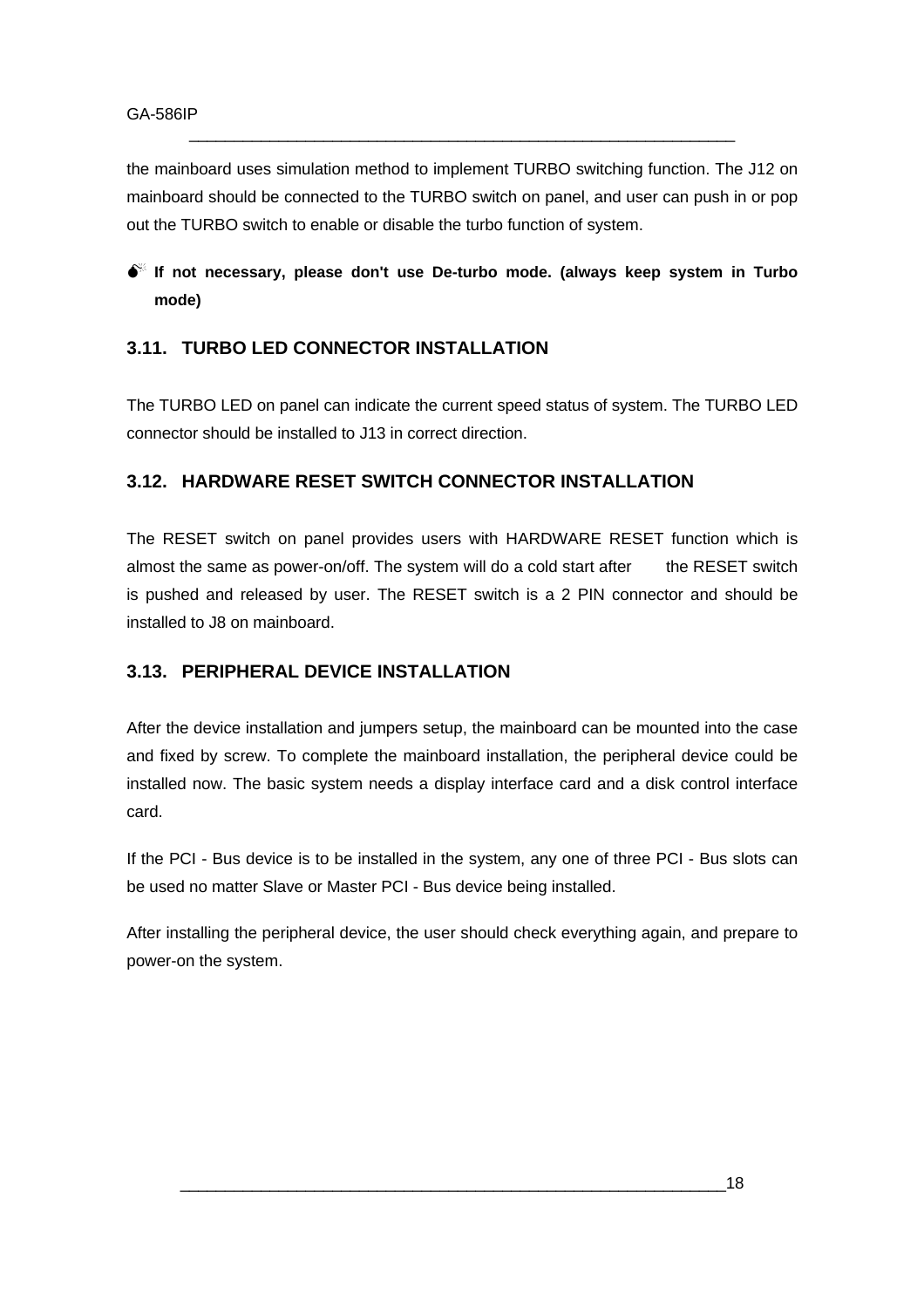the mainboard uses simulation method to implement TURBO switching function. The J12 on mainboard should be connected to the TURBO switch on panel, and user can push in or pop out the TURBO switch to enable or disable the turbo function of system.

\_\_\_\_\_\_\_\_\_\_\_\_\_\_\_\_\_\_\_\_\_\_\_\_\_\_\_\_\_\_\_\_\_\_\_\_\_\_\_\_\_\_\_\_\_\_\_\_\_\_\_\_\_\_\_\_\_\_\_\_\_

# **M If not necessary, please don't use De-turbo mode. (always keep system in Turbo mode)**

## **3.11. TURBO LED CONNECTOR INSTALLATION**

The TURBO LED on panel can indicate the current speed status of system. The TURBO LED connector should be installed to J13 in correct direction.

## **3.12. HARDWARE RESET SWITCH CONNECTOR INSTALLATION**

The RESET switch on panel provides users with HARDWARE RESET function which is almost the same as power-on/off. The system will do a cold start after the RESET switch is pushed and released by user. The RESET switch is a 2 PIN connector and should be installed to J8 on mainboard.

#### **3.13. PERIPHERAL DEVICE INSTALLATION**

After the device installation and jumpers setup, the mainboard can be mounted into the case and fixed by screw. To complete the mainboard installation, the peripheral device could be installed now. The basic system needs a display interface card and a disk control interface card.

If the PCI - Bus device is to be installed in the system, any one of three PCI - Bus slots can be used no matter Slave or Master PCI - Bus device being installed.

After installing the peripheral device, the user should check everything again, and prepare to power-on the system.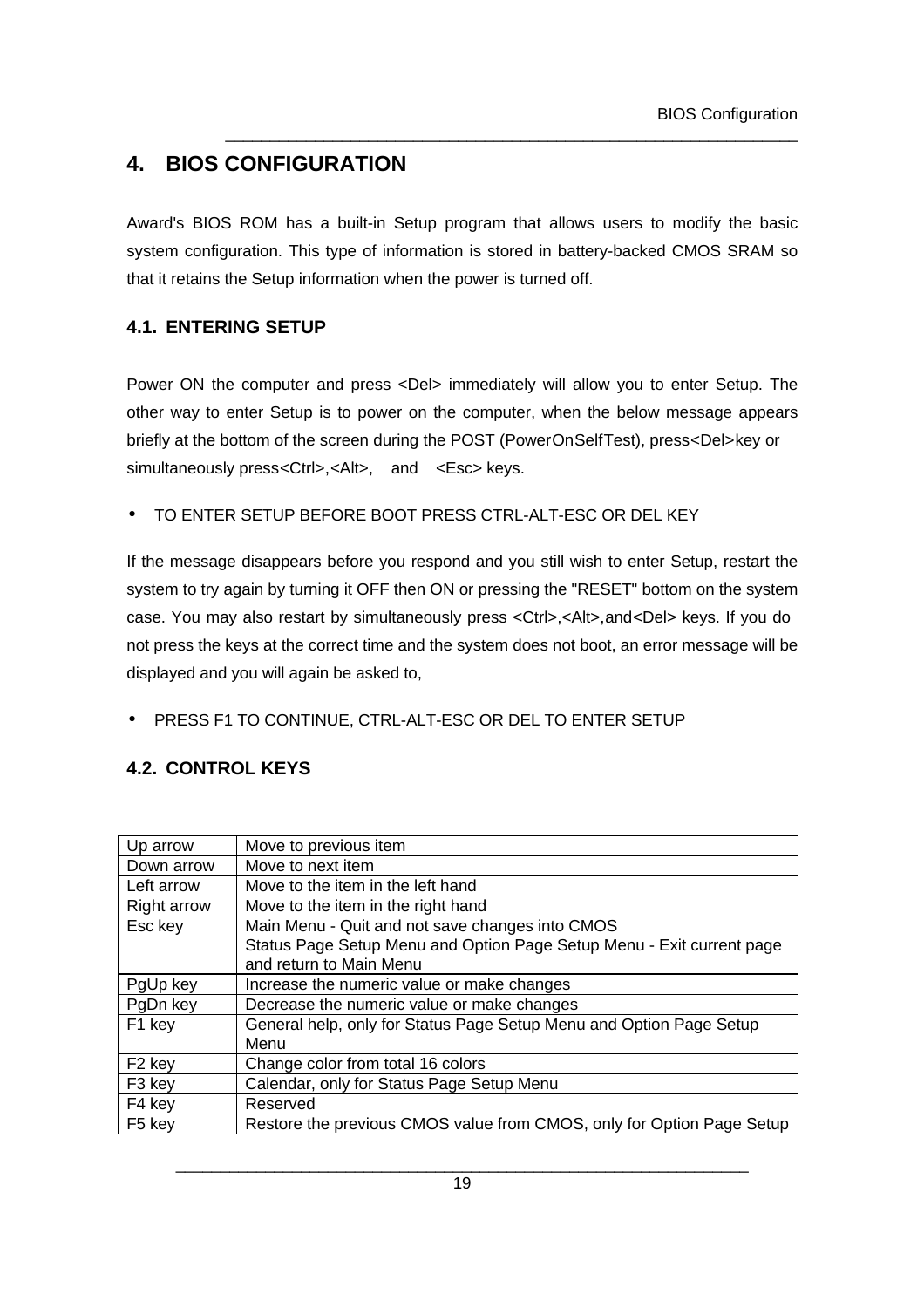# **4. BIOS CONFIGURATION**

Award's BIOS ROM has a built-in Setup program that allows users to modify the basic system configuration. This type of information is stored in battery-backed CMOS SRAM so that it retains the Setup information when the power is turned off.

\_\_\_\_\_\_\_\_\_\_\_\_\_\_\_\_\_\_\_\_\_\_\_\_\_\_\_\_\_\_\_\_\_\_\_\_\_\_\_\_\_\_\_\_\_\_\_\_\_\_\_\_\_\_\_\_\_\_\_\_\_\_\_\_

## **4.1. ENTERING SETUP**

Power ON the computer and press <Del> immediately will allow you to enter Setup. The other way to enter Setup is to power on the computer, when the below message appears briefly at the bottom of the screen during the POST (PowerOnSelfTest), press<Del>key or simultaneously press<Ctrl>,<Alt>, and <Esc> keys.

• TO ENTER SETUP BEFORE BOOT PRESS CTRL-ALT-ESC OR DEL KEY

If the message disappears before you respond and you still wish to enter Setup, restart the system to try again by turning it OFF then ON or pressing the "RESET" bottom on the system case. You may also restart by simultaneously press <Ctrl>,<Alt>,and<Del> keys. If you do not press the keys at the correct time and the system does not boot, an error message will be displayed and you will again be asked to,

• PRESS F1 TO CONTINUE, CTRL-ALT-ESC OR DEL TO ENTER SETUP

## **4.2. CONTROL KEYS**

| Up arrow           | Move to previous item                                                 |
|--------------------|-----------------------------------------------------------------------|
| Down arrow         | Move to next item                                                     |
| Left arrow         | Move to the item in the left hand                                     |
| <b>Right arrow</b> | Move to the item in the right hand                                    |
| Esc key            | Main Menu - Quit and not save changes into CMOS                       |
|                    | Status Page Setup Menu and Option Page Setup Menu - Exit current page |
|                    | and return to Main Menu                                               |
| PgUp key           | Increase the numeric value or make changes                            |
| PgDn key           | Decrease the numeric value or make changes                            |
| F1 key             | General help, only for Status Page Setup Menu and Option Page Setup   |
|                    | Menu                                                                  |
| F <sub>2</sub> key | Change color from total 16 colors                                     |
| F <sub>3</sub> key | Calendar, only for Status Page Setup Menu                             |
| F4 key             | Reserved                                                              |
| F <sub>5</sub> key | Restore the previous CMOS value from CMOS, only for Option Page Setup |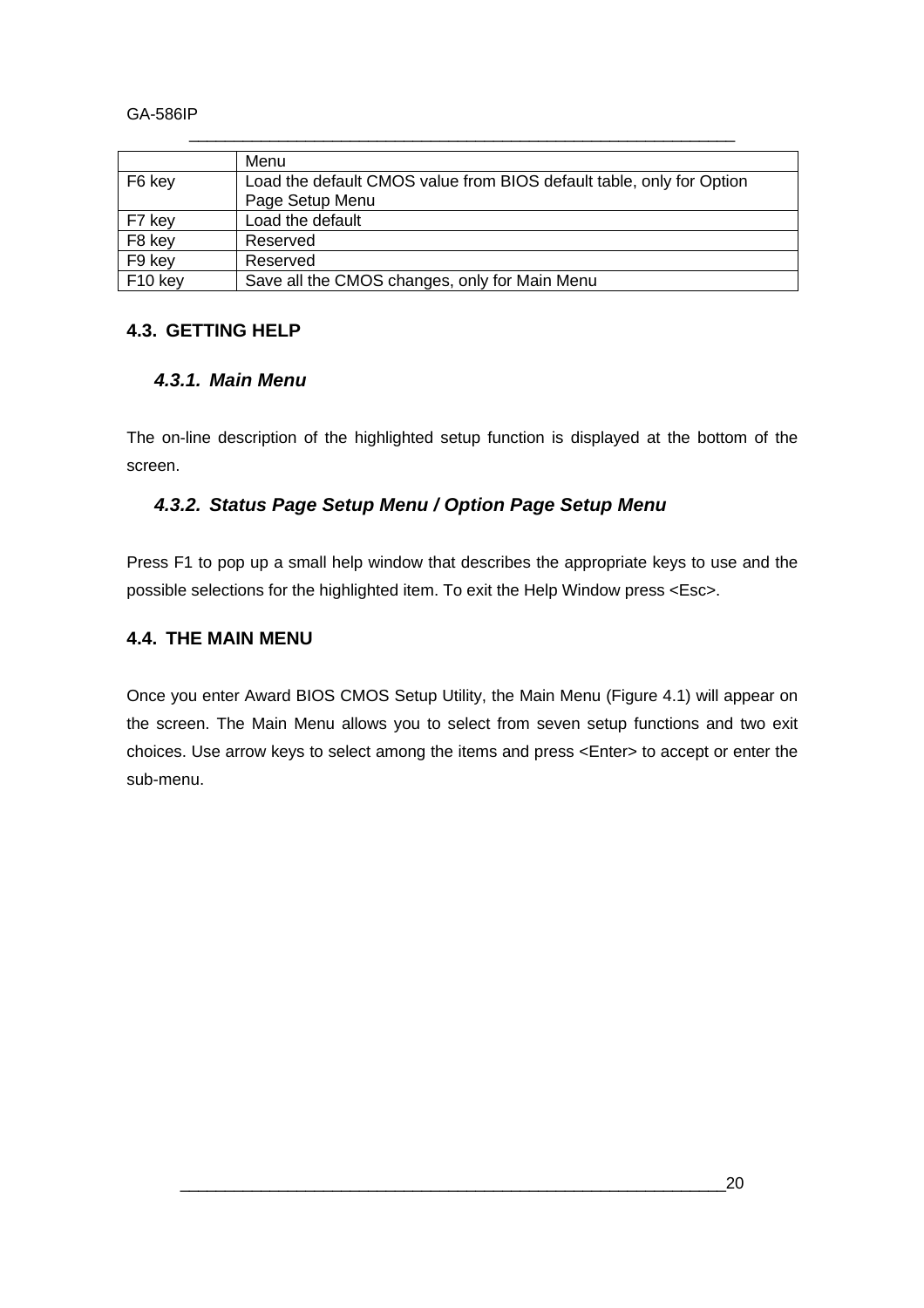GA-586IP

|                     | Menu                                                                 |
|---------------------|----------------------------------------------------------------------|
| F6 key              | Load the default CMOS value from BIOS default table, only for Option |
|                     | Page Setup Menu                                                      |
| F7 key              | Load the default                                                     |
| F8 key              | Reserved                                                             |
| F9 key              | Reserved                                                             |
| F <sub>10</sub> key | Save all the CMOS changes, only for Main Menu                        |

\_\_\_\_\_\_\_\_\_\_\_\_\_\_\_\_\_\_\_\_\_\_\_\_\_\_\_\_\_\_\_\_\_\_\_\_\_\_\_\_\_\_\_\_\_\_\_\_\_\_\_\_\_\_\_\_\_\_\_\_\_

## **4.3. GETTING HELP**

## *4.3.1. Main Menu*

The on-line description of the highlighted setup function is displayed at the bottom of the screen.

## *4.3.2. Status Page Setup Menu / Option Page Setup Menu*

Press F1 to pop up a small help window that describes the appropriate keys to use and the possible selections for the highlighted item. To exit the Help Window press <Esc>.

## **4.4. THE MAIN MENU**

Once you enter Award BIOS CMOS Setup Utility, the Main Menu (Figure 4.1) will appear on the screen. The Main Menu allows you to select from seven setup functions and two exit choices. Use arrow keys to select among the items and press <Enter> to accept or enter the sub-menu.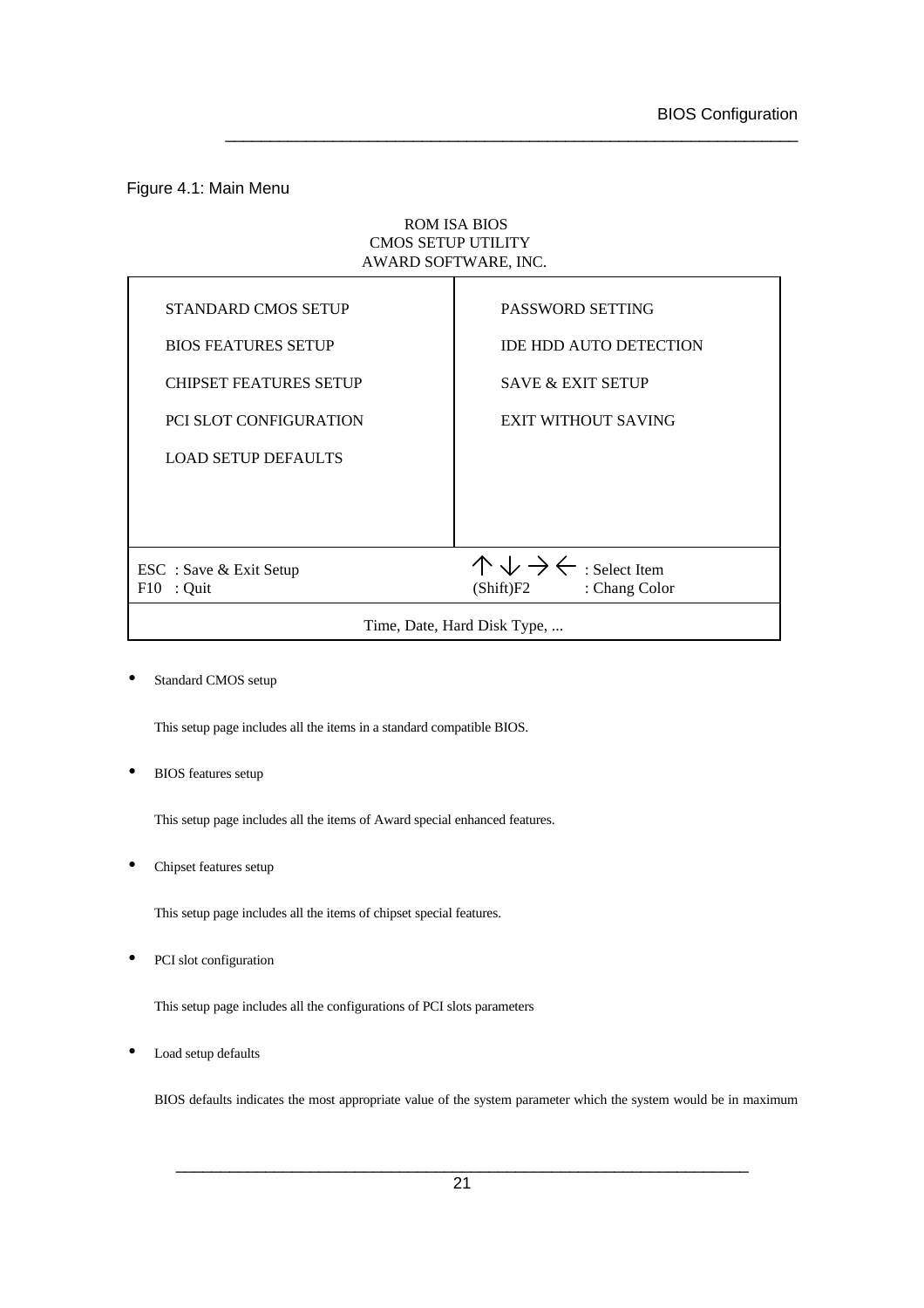#### Figure 4.1: Main Menu

#### ROM ISA BIOS CMOS SETUP UTILITY AWARD SOFTWARE, INC.

\_\_\_\_\_\_\_\_\_\_\_\_\_\_\_\_\_\_\_\_\_\_\_\_\_\_\_\_\_\_\_\_\_\_\_\_\_\_\_\_\_\_\_\_\_\_\_\_\_\_\_\_\_\_\_\_\_\_\_\_\_\_\_\_

| <b>STANDARD CMOS SETUP</b>    | PASSWORD SETTING                                   |  |
|-------------------------------|----------------------------------------------------|--|
| <b>BIOS FEATURES SETUP</b>    | <b>IDE HDD AUTO DETECTION</b>                      |  |
| <b>CHIPSET FEATURES SETUP</b> | <b>SAVE &amp; EXIT SETUP</b>                       |  |
| <b>PCI SLOT CONFIGURATION</b> | <b>EXIT WITHOUT SAVING</b>                         |  |
| <b>LOAD SETUP DEFAULTS</b>    |                                                    |  |
|                               |                                                    |  |
|                               |                                                    |  |
| ESC : Save & Exit Setup       | $\wedge \vee \rightarrow \leftarrow$ : Select Item |  |
| $F10$ : Quit                  | (Shift)F2 : Chang Color                            |  |
| Time, Date, Hard Disk Type,   |                                                    |  |

Standard CMOS setup

This setup page includes all the items in a standard compatible BIOS.

• BIOS features setup

This setup page includes all the items of Award special enhanced features.

Chipset features setup

This setup page includes all the items of chipset special features.

• PCI slot configuration

This setup page includes all the configurations of PCI slots parameters

Load setup defaults

BIOS defaults indicates the most appropriate value of the system parameter which the system would be in maximum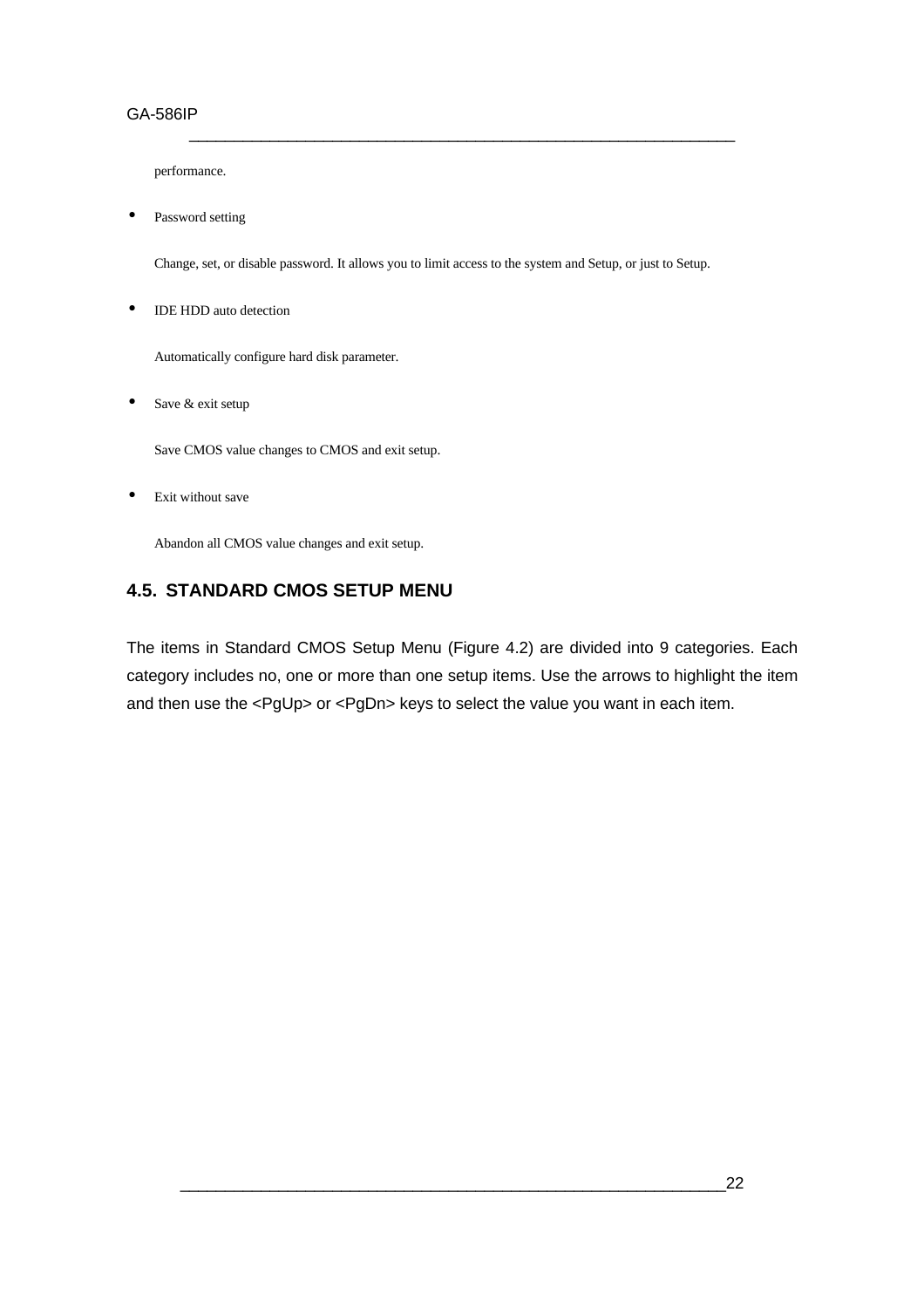#### GA-586IP

performance.

• Password setting

Change, set, or disable password. It allows you to limit access to the system and Setup, or just to Setup.

\_\_\_\_\_\_\_\_\_\_\_\_\_\_\_\_\_\_\_\_\_\_\_\_\_\_\_\_\_\_\_\_\_\_\_\_\_\_\_\_\_\_\_\_\_\_\_\_\_\_\_\_\_\_\_\_\_\_\_\_\_

• IDE HDD auto detection

Automatically configure hard disk parameter.

• Save & exit setup

Save CMOS value changes to CMOS and exit setup.

Exit without save

Abandon all CMOS value changes and exit setup.

#### **4.5. STANDARD CMOS SETUP MENU**

The items in Standard CMOS Setup Menu (Figure 4.2) are divided into 9 categories. Each category includes no, one or more than one setup items. Use the arrows to highlight the item and then use the <PgUp> or <PgDn> keys to select the value you want in each item.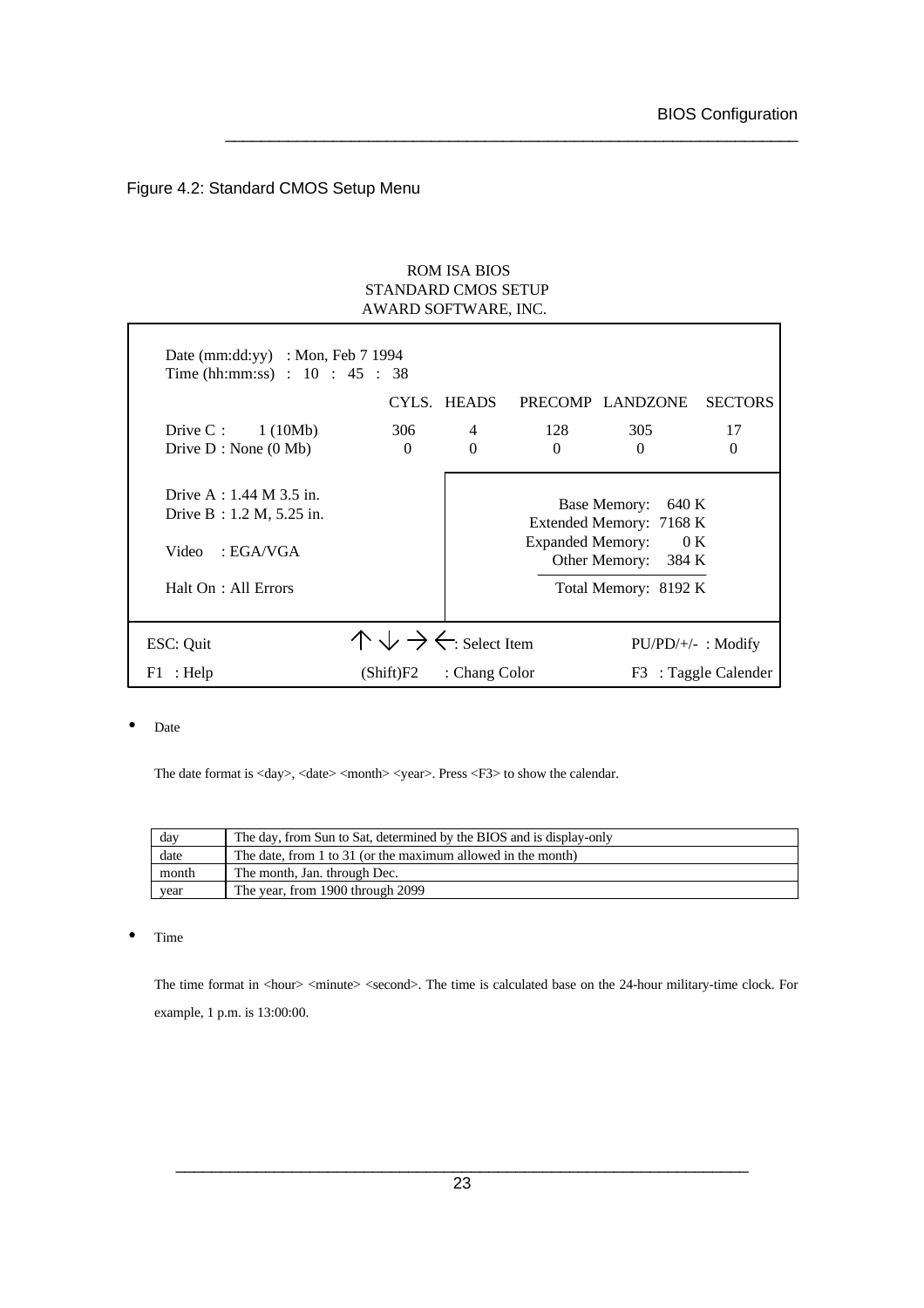#### Figure 4.2: Standard CMOS Setup Menu

#### ROM ISA BIOS STANDARD CMOS SETUP AWARD SOFTWARE, INC.

\_\_\_\_\_\_\_\_\_\_\_\_\_\_\_\_\_\_\_\_\_\_\_\_\_\_\_\_\_\_\_\_\_\_\_\_\_\_\_\_\_\_\_\_\_\_\_\_\_\_\_\_\_\_\_\_\_\_\_\_\_\_\_\_

| Date (mm:dd:yy) : Mon, Feb $7$ 1994<br>Time (hh:mm:ss) : 10 : 45 : 38                                         |                                                  |                            |                         |                                                                                                                        |                      |
|---------------------------------------------------------------------------------------------------------------|--------------------------------------------------|----------------------------|-------------------------|------------------------------------------------------------------------------------------------------------------------|----------------------|
|                                                                                                               |                                                  | CYLS. HEADS                |                         | PRECOMP LANDZONE                                                                                                       | <b>SECTORS</b>       |
| Drive C: $1(10Mb)$<br>Drive $D : None (0 Mb)$                                                                 | 306<br>$\Omega$                                  | $\overline{4}$<br>$\Omega$ | 128<br>$\Omega$         | 305<br>$\Omega$                                                                                                        | 17<br>$\Omega$       |
| Drive A : $1.44$ M $3.5$ in.<br>Drive $B: 1.2 M, 5.25$ in.<br>$\cdot$ EGA/VGA<br>Video<br>Halt On: All Errors |                                                  |                            | <b>Expanded Memory:</b> | Base Memory:<br>640 K<br>Extended Memory: 7168 K<br>$\sim 0~\mathrm{K}$<br>Other Memory: 384 K<br>Total Memory: 8192 K |                      |
| ESC: Quit                                                                                                     | $\wedge \vee \rightarrow \leftarrow$ Select Item |                            |                         |                                                                                                                        | $PU/PD/+/-$ : Modify |
| $F1$ : Help                                                                                                   | (Shift)F2                                        | : Chang Color              |                         |                                                                                                                        | F3 : Taggle Calender |

• Date

The date format is <day>, <date> <month> <year>. Press <F3> to show the calendar.

| day   | The day, from Sun to Sat, determined by the BIOS and is display-only |
|-------|----------------------------------------------------------------------|
| date  | The date, from 1 to 31 (or the maximum allowed in the month)         |
| month | The month, Jan. through Dec.                                         |
| year  | The year, from 1900 through 2099                                     |

• Time

The time format in <hour> <minute> <second>. The time is calculated base on the 24-hour military-time clock. For example, 1 p.m. is 13:00:00.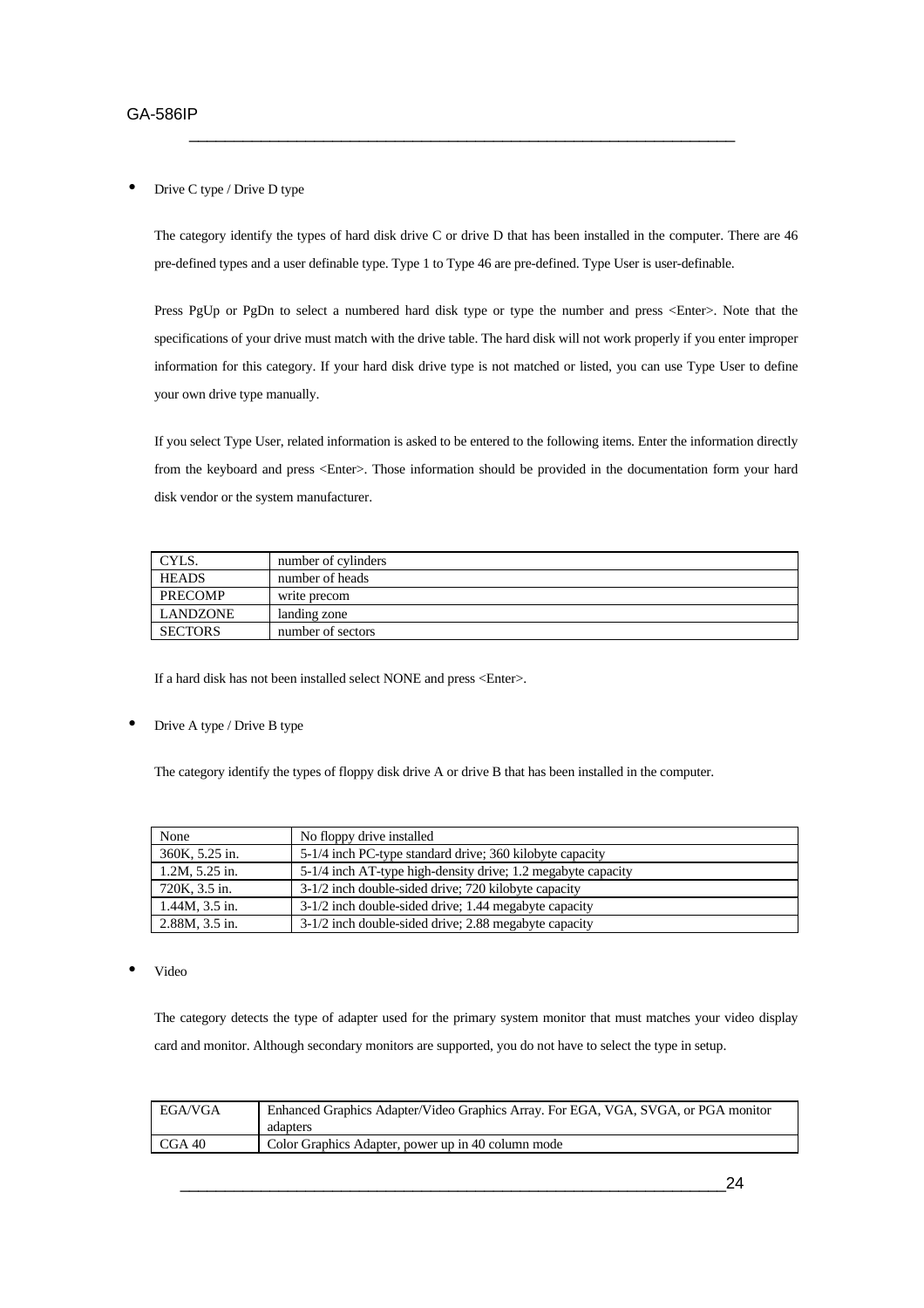#### Drive C type / Drive D type

The category identify the types of hard disk drive C or drive D that has been installed in the computer. There are 46 pre-defined types and a user definable type. Type 1 to Type 46 are pre-defined. Type User is user-definable.

\_\_\_\_\_\_\_\_\_\_\_\_\_\_\_\_\_\_\_\_\_\_\_\_\_\_\_\_\_\_\_\_\_\_\_\_\_\_\_\_\_\_\_\_\_\_\_\_\_\_\_\_\_\_\_\_\_\_\_\_\_

Press PgUp or PgDn to select a numbered hard disk type or type the number and press <Enter>. Note that the specifications of your drive must match with the drive table. The hard disk will not work properly if you enter improper information for this category. If your hard disk drive type is not matched or listed, you can use Type User to define your own drive type manually.

If you select Type User, related information is asked to be entered to the following items. Enter the information directly from the keyboard and press <Enter>. Those information should be provided in the documentation form your hard disk vendor or the system manufacturer.

| CYLS.          | number of cylinders |
|----------------|---------------------|
| <b>HEADS</b>   | number of heads     |
| PRECOMP        | write precom        |
| LANDZONE       | landing zone        |
| <b>SECTORS</b> | number of sectors   |

If a hard disk has not been installed select NONE and press <Enter>.

#### • Drive A type / Drive B type

The category identify the types of floppy disk drive A or drive B that has been installed in the computer.

| None           | No floppy drive installed                                    |
|----------------|--------------------------------------------------------------|
| 360K, 5.25 in. | 5-1/4 inch PC-type standard drive; 360 kilobyte capacity     |
| 1.2M, 5.25 in. | 5-1/4 inch AT-type high-density drive; 1.2 megabyte capacity |
| 720K, 3.5 in.  | 3-1/2 inch double-sided drive; 720 kilobyte capacity         |
| 1.44M, 3.5 in. | 3-1/2 inch double-sided drive; 1.44 megabyte capacity        |
| 2.88M, 3.5 in. | 3-1/2 inch double-sided drive; 2.88 megabyte capacity        |

• Video

The category detects the type of adapter used for the primary system monitor that must matches your video display card and monitor. Although secondary monitors are supported, you do not have to select the type in setup.

| EGA/VGA | Enhanced Graphics Adapter/Video Graphics Array. For EGA, VGA, SVGA, or PGA monitor |  |
|---------|------------------------------------------------------------------------------------|--|
|         | adapters                                                                           |  |
| CGA40   | Color Graphics Adapter, power up in 40 column mode                                 |  |
|         |                                                                                    |  |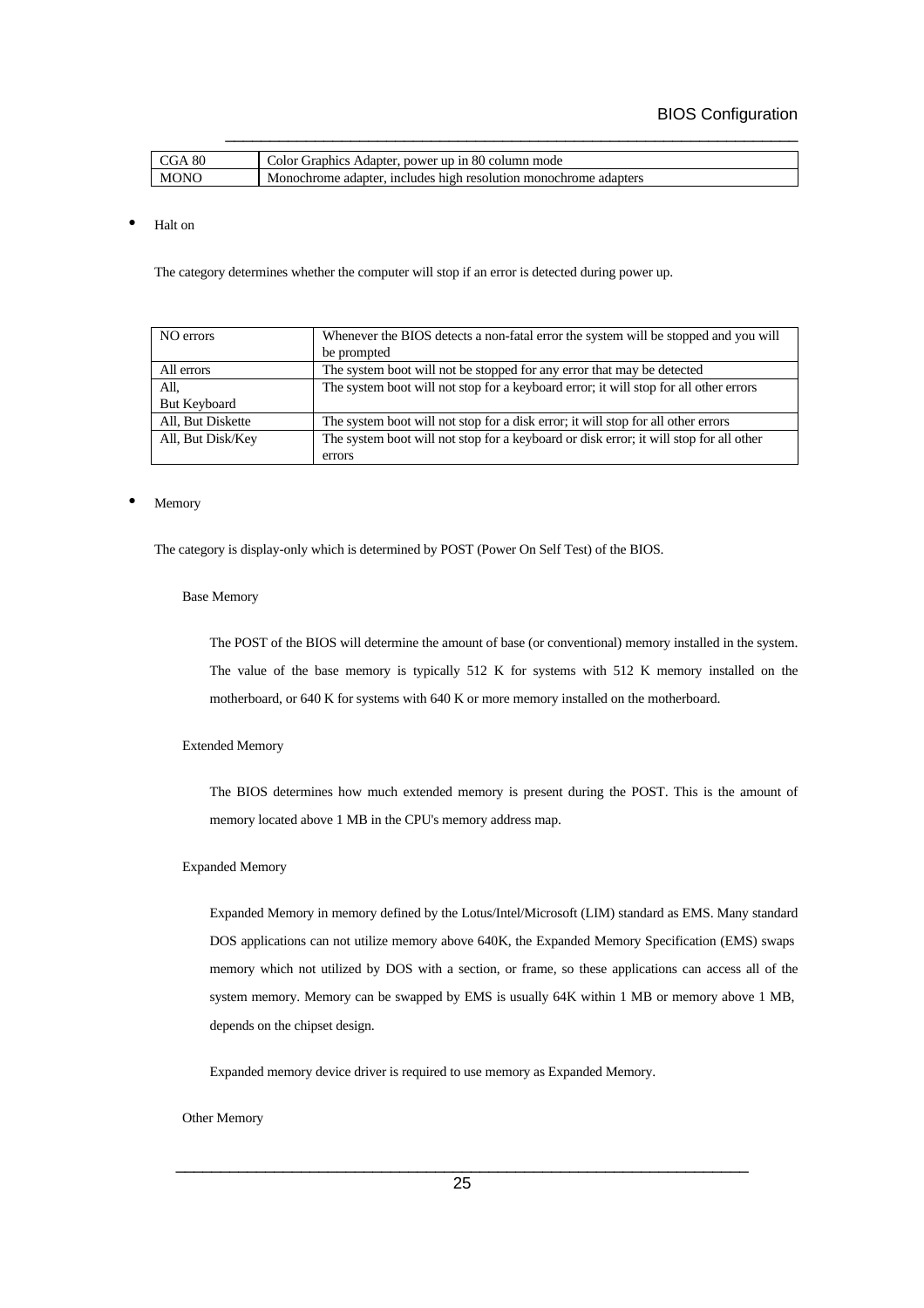| -80         | Graphics Adapter, power up in 80 column mode                     |
|-------------|------------------------------------------------------------------|
| . `CiA      | :olor                                                            |
| <b>MONC</b> | Monochrome adapter, includes high resolution monochrome adapters |

\_\_\_\_\_\_\_\_\_\_\_\_\_\_\_\_\_\_\_\_\_\_\_\_\_\_\_\_\_\_\_\_\_\_\_\_\_\_\_\_\_\_\_\_\_\_\_\_\_\_\_\_\_\_\_\_\_\_\_\_\_\_\_\_

#### • Halt on

The category determines whether the computer will stop if an error is detected during power up.

| NO errors         | Whenever the BIOS detects a non-fatal error the system will be stopped and you will    |
|-------------------|----------------------------------------------------------------------------------------|
|                   | be prompted                                                                            |
| All errors        | The system boot will not be stopped for any error that may be detected                 |
| All,              | The system boot will not stop for a keyboard error; it will stop for all other errors  |
| But Keyboard      |                                                                                        |
| All, But Diskette | The system boot will not stop for a disk error; it will stop for all other errors      |
| All, But Disk/Key | The system boot will not stop for a keyboard or disk error; it will stop for all other |
|                   | errors                                                                                 |

#### **Memory**

The category is display-only which is determined by POST (Power On Self Test) of the BIOS.

#### Base Memory

The POST of the BIOS will determine the amount of base (or conventional) memory installed in the system. The value of the base memory is typically 512 K for systems with 512 K memory installed on the motherboard, or 640 K for systems with 640 K or more memory installed on the motherboard.

#### Extended Memory

The BIOS determines how much extended memory is present during the POST. This is the amount of memory located above 1 MB in the CPU's memory address map.

#### Expanded Memory

Expanded Memory in memory defined by the Lotus/Intel/Microsoft (LIM) standard as EMS. Many standard DOS applications can not utilize memory above 640K, the Expanded Memory Specification (EMS) swaps memory which not utilized by DOS with a section, or frame, so these applications can access all of the system memory. Memory can be swapped by EMS is usually 64K within 1 MB or memory above 1 MB, depends on the chipset design.

Expanded memory device driver is required to use memory as Expanded Memory.

#### Other Memory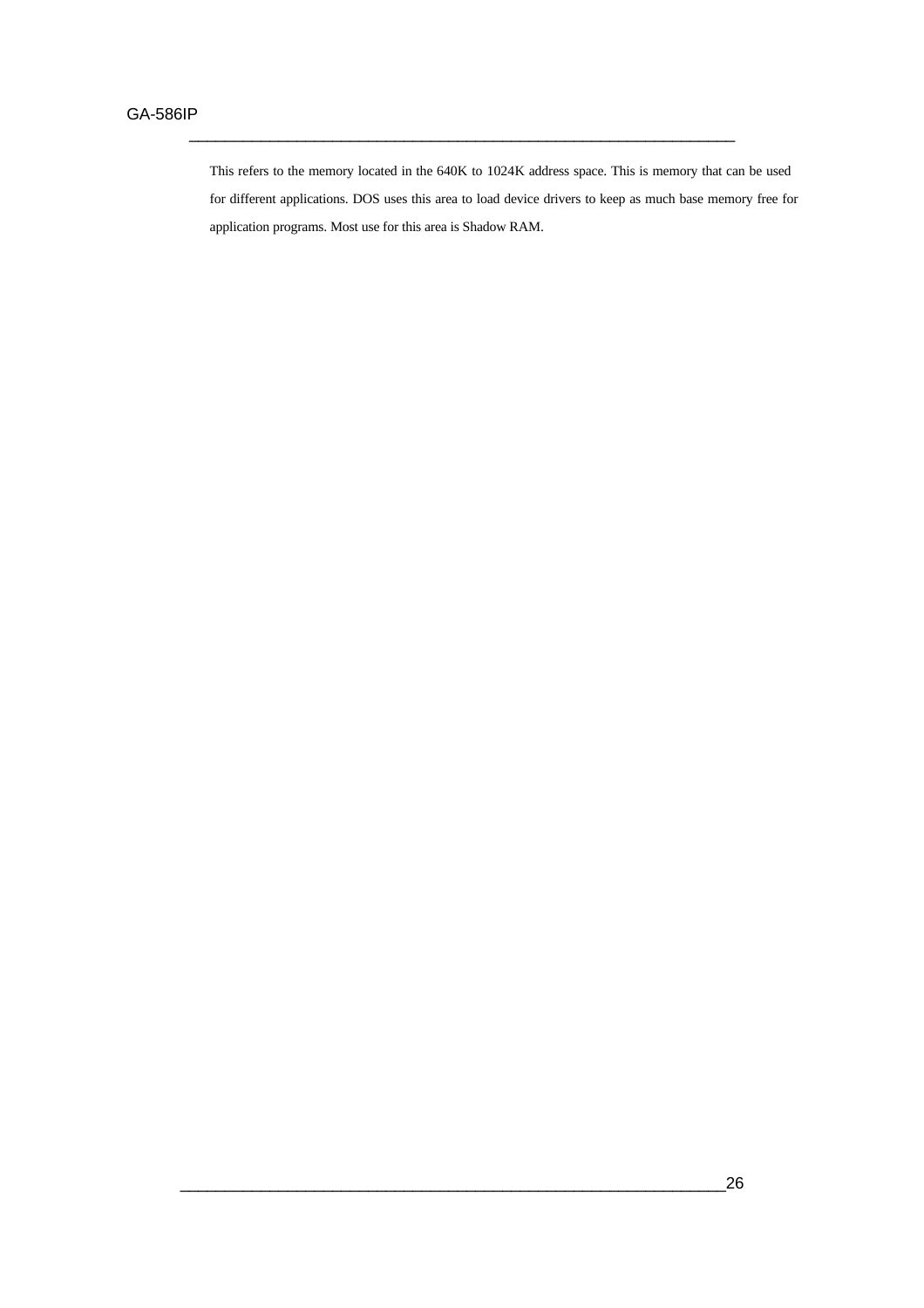This refers to the memory located in the 640K to 1024K address space. This is memory that can be used for different applications. DOS uses this area to load device drivers to keep as much base memory free for application programs. Most use for this area is Shadow RAM.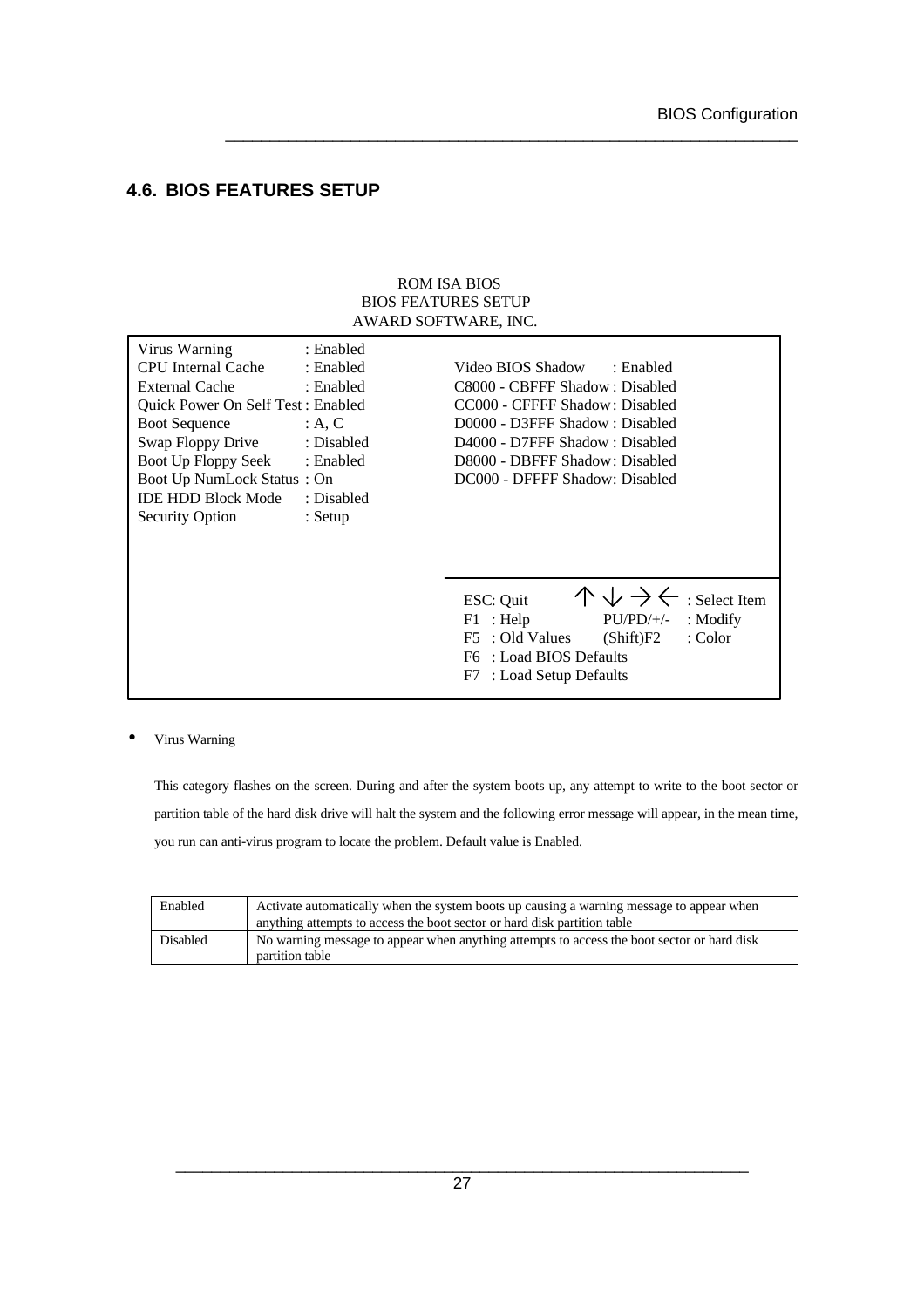## **4.6. BIOS FEATURES SETUP**

|                                                                                                                                                                                                                                                     | AWARD SOFTWARE, INC.                                                                              | <b>ROM ISA BIOS</b><br><b>BIOS FEATURES SETUP</b>                                                                                                                                                                                          |
|-----------------------------------------------------------------------------------------------------------------------------------------------------------------------------------------------------------------------------------------------------|---------------------------------------------------------------------------------------------------|--------------------------------------------------------------------------------------------------------------------------------------------------------------------------------------------------------------------------------------------|
| Virus Warning<br>CPU Internal Cache<br><b>External Cache</b><br>Quick Power On Self Test: Enabled<br><b>Boot Sequence</b><br>Swap Floppy Drive<br>Boot Up Floppy Seek<br>Boot Up NumLock Status: On<br><b>IDE HDD Block Mode</b><br>Security Option | : Enabled<br>: Enabled<br>: Enabled<br>: A, C<br>: Disabled<br>: Enabled<br>: Disabled<br>: Setup | Video BIOS Shadow<br>: Enabled<br>C8000 - CBFFF Shadow: Disabled<br>CC000 - CFFFF Shadow: Disabled<br>D0000 - D3FFF Shadow: Disabled<br>D4000 - D7FFF Shadow: Disabled<br>D8000 - DBFFF Shadow: Disabled<br>DC000 - DFFFF Shadow: Disabled |
|                                                                                                                                                                                                                                                     |                                                                                                   | $\wedge \vee \rightarrow \leftarrow$ : Select Item<br>ESC: Quit<br>$F1$ : Help<br>$PU/PD/+/-$<br>$:$ Modify<br>F5 : Old Values<br>(Shift)F2<br>: Color<br>: Load BIOS Defaults<br>F6.<br>: Load Setup Defaults<br>F7                       |

\_\_\_\_\_\_\_\_\_\_\_\_\_\_\_\_\_\_\_\_\_\_\_\_\_\_\_\_\_\_\_\_\_\_\_\_\_\_\_\_\_\_\_\_\_\_\_\_\_\_\_\_\_\_\_\_\_\_\_\_\_\_\_\_

#### • Virus Warning

This category flashes on the screen. During and after the system boots up, any attempt to write to the boot sector or partition table of the hard disk drive will halt the system and the following error message will appear, in the mean time, you run can anti-virus program to locate the problem. Default value is Enabled.

| Enabled  | Activate automatically when the system boots up causing a warning message to appear when<br>anything attempts to access the boot sector or hard disk partition table |
|----------|----------------------------------------------------------------------------------------------------------------------------------------------------------------------|
| Disabled | No warning message to appear when anything attempts to access the boot sector or hard disk<br>partition table                                                        |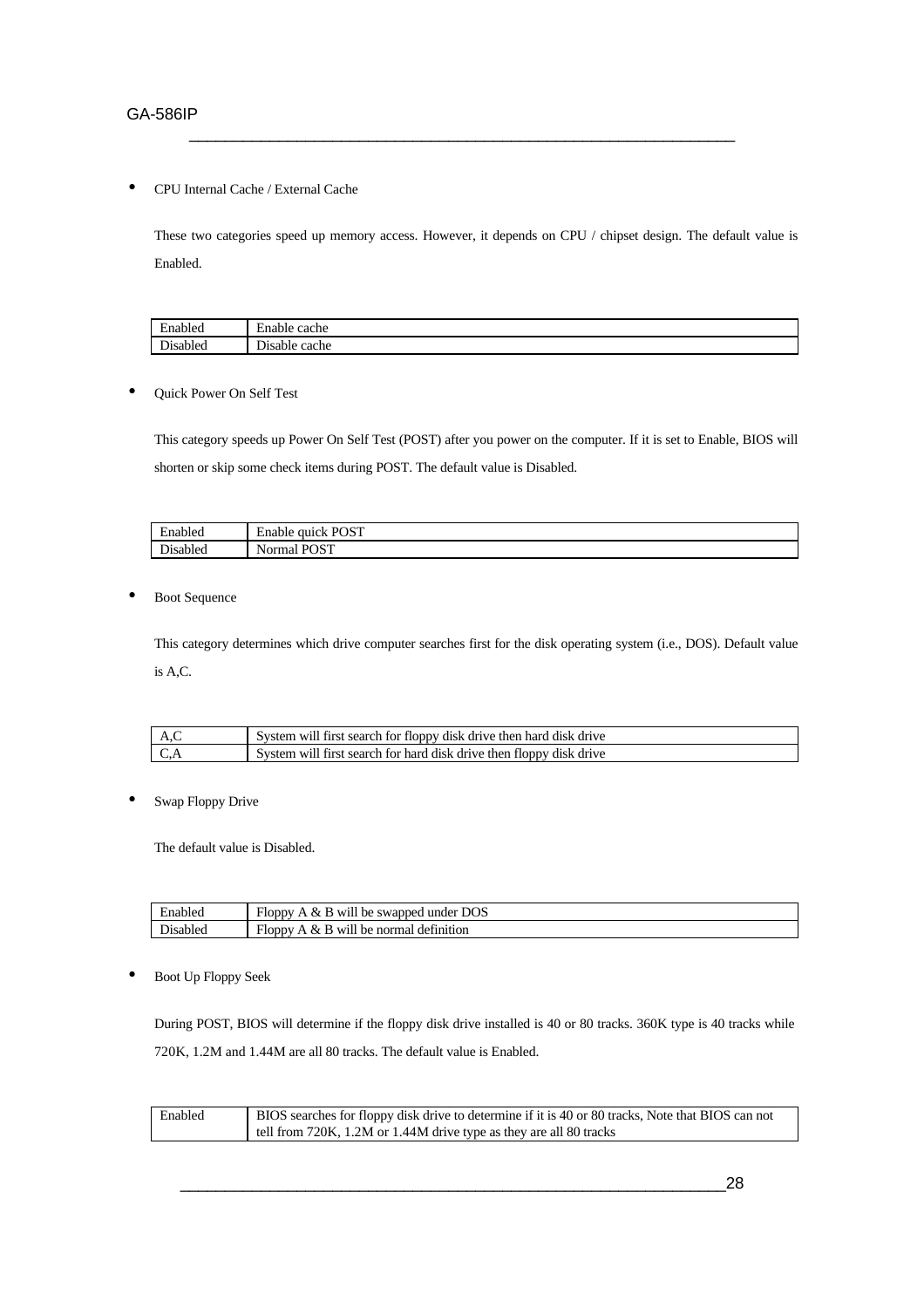GA-586IP

• CPU Internal Cache / External Cache

These two categories speed up memory access. However, it depends on CPU / chipset design. The default value is Enabled.

\_\_\_\_\_\_\_\_\_\_\_\_\_\_\_\_\_\_\_\_\_\_\_\_\_\_\_\_\_\_\_\_\_\_\_\_\_\_\_\_\_\_\_\_\_\_\_\_\_\_\_\_\_\_\_\_\_\_\_\_\_

|                          | -                                  |
|--------------------------|------------------------------------|
| $\overline{\phantom{0}}$ | $\sim$ $\sim$ $\sim$ $\sim$ $\sim$ |
| ماممنا                   | cache                              |
| ^le                      | anie                               |
| --                       | ∵ despie u…                        |
| ™sableo                  | ıche                               |

• Quick Power On Self Test

This category speeds up Power On Self Test (POST) after you power on the computer. If it is set to Enable, BIOS will shorten or skip some check items during POST. The default value is Disabled.

| -<br>∵nable⊾         | $\sqrt{C}$<br>∽<br>quick<br>Enable<br>UJ 1<br>$\cdots$ |
|----------------------|--------------------------------------------------------|
| –<br><b>hsable</b> G | - -<br>D <sub>f</sub><br>Norma<br>د ۱                  |

**Boot Sequence** 

This category determines which drive computer searches first for the disk operating system (i.e., DOS). Default value is A,C.

| System will first search for floppy disk drive then hard disk drive |
|---------------------------------------------------------------------|
| System will first search for hard disk drive then floppy disk drive |

Swap Floppy Drive

The default value is Disabled.

| ∹nabled  | swapped under DOS<br>W1ll<br>⊡oppv<br>ΔZ<br>be<br>д<br>в   |
|----------|------------------------------------------------------------|
| Jisabled | definition<br>$\chi$<br>be normal<br>Will<br>Floppy<br>. в |

#### • Boot Up Floppy Seek

During POST, BIOS will determine if the floppy disk drive installed is 40 or 80 tracks. 360K type is 40 tracks while 720K, 1.2M and 1.44M are all 80 tracks. The default value is Enabled.

| Enabled | BIOS searches for floppy disk drive to determine if it is 40 or 80 tracks, Note that BIOS can not |
|---------|---------------------------------------------------------------------------------------------------|
|         | tell from 720K, 1.2M or 1.44M drive type as they are all 80 tracks                                |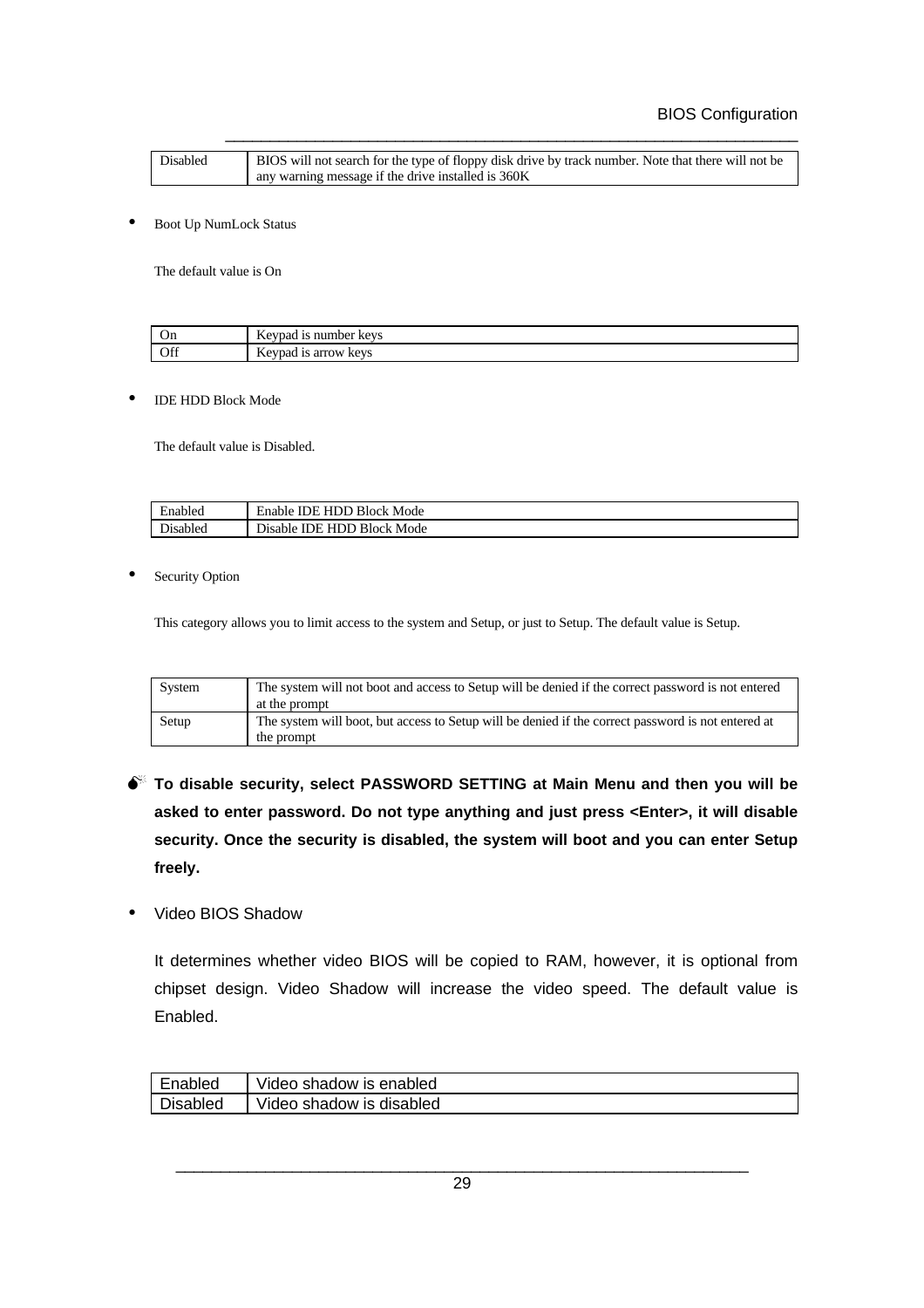| Disabled | BIOS will not search for the type of floppy disk drive by track number. Note that there will not be |
|----------|-----------------------------------------------------------------------------------------------------|
|          | any warning message if the drive installed is 360K                                                  |

\_\_\_\_\_\_\_\_\_\_\_\_\_\_\_\_\_\_\_\_\_\_\_\_\_\_\_\_\_\_\_\_\_\_\_\_\_\_\_\_\_\_\_\_\_\_\_\_\_\_\_\_\_\_\_\_\_\_\_\_\_\_\_\_

• Boot Up NumLock Status

The default value is On

| $\Omega$<br>Un | $-$<br>kevs<br>nun<br>$\alpha$<br>mber<br>DИ<br>ÞС |
|----------------|----------------------------------------------------|
| Off            | - -<br>evpac<br>arrow<br>keys<br>LС                |

• IDE HDD Block Mode

The default value is Disabled.

| ⊷<br>aabled | <b>Block</b><br>11)I<br>Mode<br>JЕ<br>Enable |
|-------------|----------------------------------------------|
| hsabled     | ۱ь<br>Block.<br>Mode<br>лsable<br>н          |

**Security Option** 

This category allows you to limit access to the system and Setup, or just to Setup. The default value is Setup.

| System | The system will not boot and access to Setup will be denied if the correct password is not entered<br>at the prompt |
|--------|---------------------------------------------------------------------------------------------------------------------|
| Setup  | The system will boot, but access to Setup will be denied if the correct password is not entered at<br>the prompt    |

- $\bullet^*$  To disable security, select PASSWORD SETTING at Main Menu and then you will be **asked to enter password. Do not type anything and just press <Enter>, it will disable security. Once the security is disabled, the system will boot and you can enter Setup freely.**
- Video BIOS Shadow

It determines whether video BIOS will be copied to RAM, however, it is optional from chipset design. Video Shadow will increase the video speed. The default value is Enabled.

| Enabled  | Video shadow is enabled  |
|----------|--------------------------|
| Disabled | Video shadow is disabled |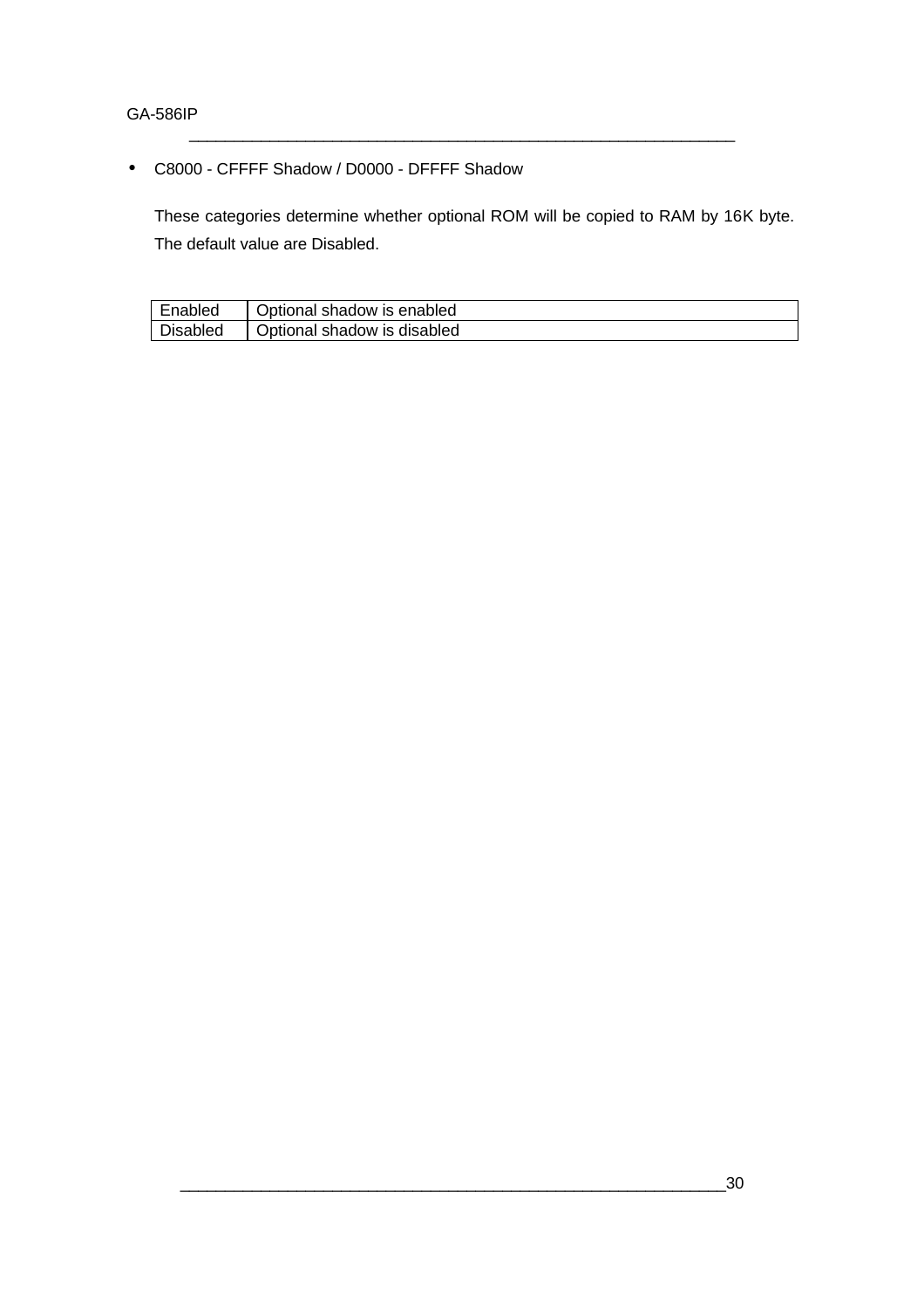#### GA-586IP

• C8000 - CFFFF Shadow / D0000 - DFFFF Shadow

These categories determine whether optional ROM will be copied to RAM by 16K byte. The default value are Disabled.

| Enabled  | Optional shadow is enabled  |
|----------|-----------------------------|
| Disabled | Optional shadow is disabled |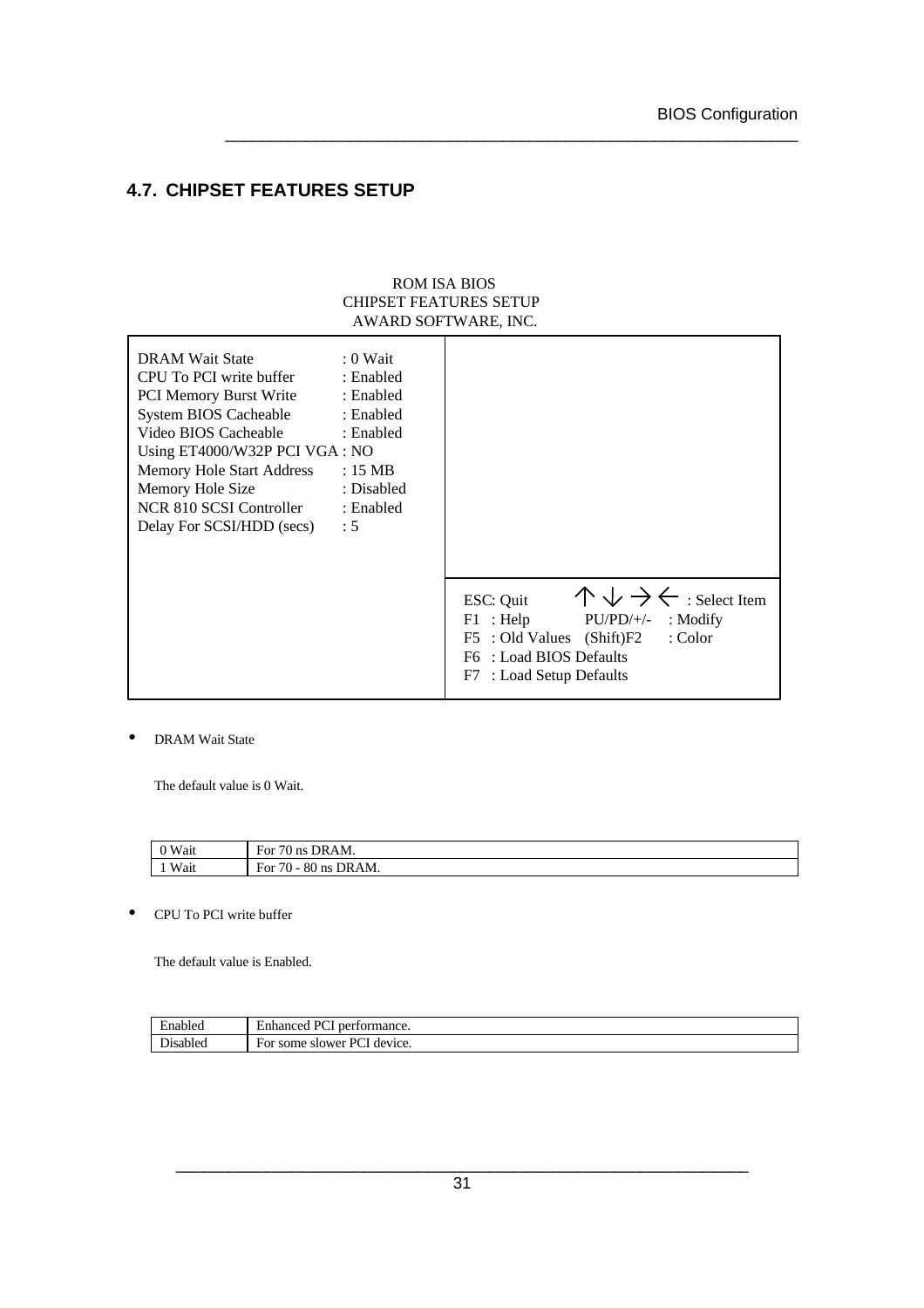## **4.7. CHIPSET FEATURES SETUP**

|                                                                                                                                                                                                                                                                                                              | <b>CHIPSET FEATURES SETUP</b>                            | AWARD SOFTWARE, INC.                                                                                                                                                                                          |
|--------------------------------------------------------------------------------------------------------------------------------------------------------------------------------------------------------------------------------------------------------------------------------------------------------------|----------------------------------------------------------|---------------------------------------------------------------------------------------------------------------------------------------------------------------------------------------------------------------|
| <b>DRAM</b> Wait State<br>CPU To PCI write buffer<br>PCI Memory Burst Write : Enabled<br>System BIOS Cacheable : Enabled<br>Video BIOS Cacheable<br>Using ET4000/W32P PCI VGA: NO<br>Memory Hole Start Address : 15 MB<br>Memory Hole Size<br>NCR 810 SCSI Controller : Enabled<br>Delay For SCSI/HDD (secs) | $: 0$ Wait<br>: Enabled<br>: Enabled<br>: Disabled<br>:5 |                                                                                                                                                                                                               |
|                                                                                                                                                                                                                                                                                                              |                                                          | $\wedge \vee \rightarrow \leftarrow$ : Select Item<br>ESC: Quit<br>$F1$ : Help<br>$PU/PD/+/-$<br>$:$ Modify<br>F5 : Old Values (Shift)F2<br>: Color<br>F6 : Load BIOS Defaults<br>: Load Setup Defaults<br>F7 |

ROM ISA BIOS

\_\_\_\_\_\_\_\_\_\_\_\_\_\_\_\_\_\_\_\_\_\_\_\_\_\_\_\_\_\_\_\_\_\_\_\_\_\_\_\_\_\_\_\_\_\_\_\_\_\_\_\_\_\_\_\_\_\_\_\_\_\_\_\_

#### • DRAM Wait State

The default value is 0 Wait.

| 0 Wait | $70$ ns<br>DRAM.<br>For           |
|--------|-----------------------------------|
| 1 Wait | $80$ ns<br>$70 -$<br>DRAM.<br>For |

• CPU To PCI write buffer

The default value is Enabled.

| Enabled         | <b>PCI</b><br>∽<br>Enhanced<br>performance.        |
|-----------------|----------------------------------------------------|
| <b>Disabled</b> | ∽<br>PC.<br>device.<br>* some slower F<br>For<br>◡ |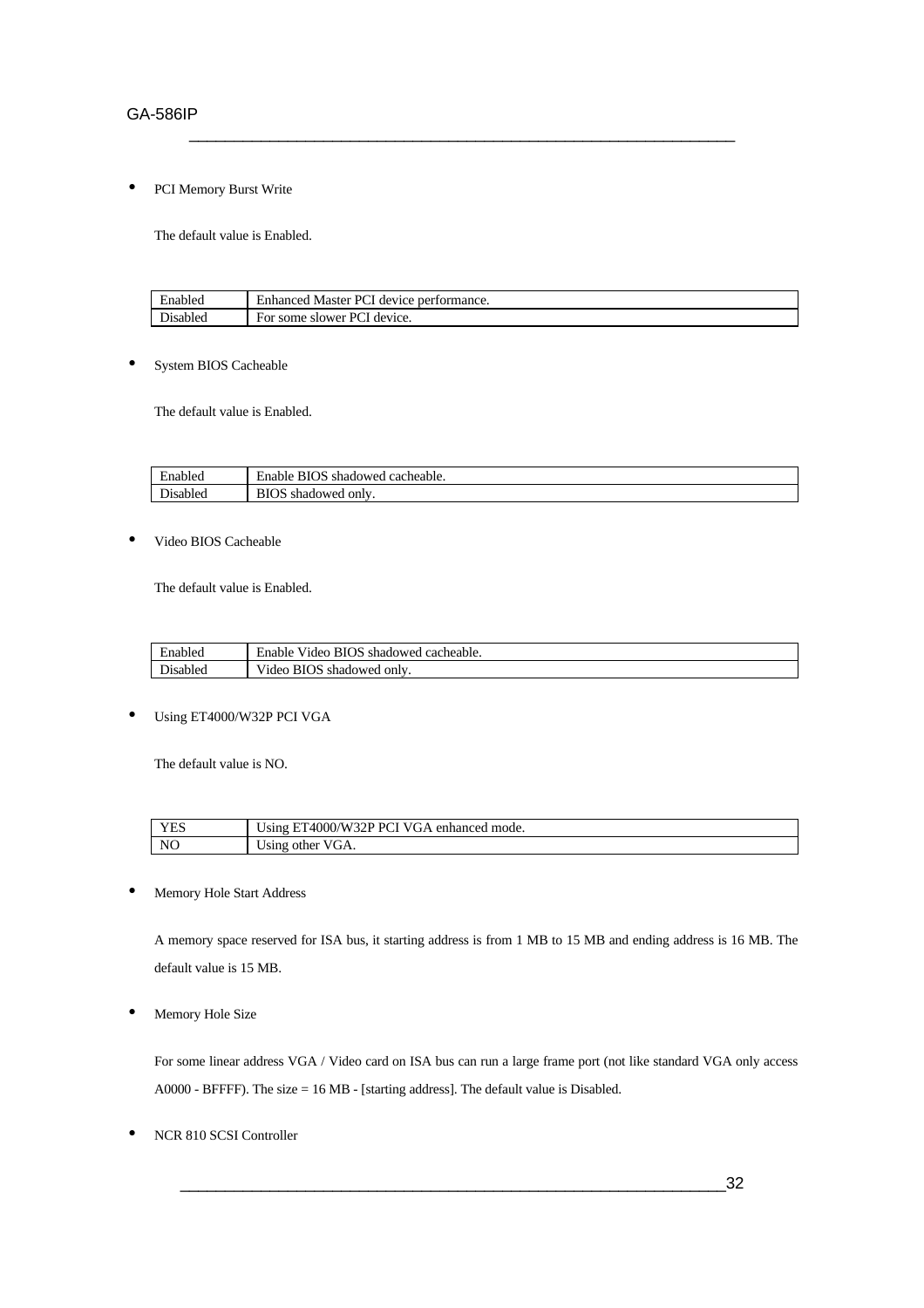#### GA-586IP

PCI Memory Burst Write

The default value is Enabled.

| inabled         | DC.<br>performance.<br>device<br>Master<br>Enhanced |
|-----------------|-----------------------------------------------------|
| <b>Jisabled</b> | -pr<br>device.<br>some<br>slower<br>For<br>$\sim$   |

\_\_\_\_\_\_\_\_\_\_\_\_\_\_\_\_\_\_\_\_\_\_\_\_\_\_\_\_\_\_\_\_\_\_\_\_\_\_\_\_\_\_\_\_\_\_\_\_\_\_\_\_\_\_\_\_\_\_\_\_\_

• System BIOS Cacheable

The default value is Enabled.

|       | cacheable.<br>shadowed<br>able<br>гла |
|-------|---------------------------------------|
| nier. | shadowed<br>only                      |

• Video BIOS Cacheable

The default value is Enabled.

| Enabled  | Enable Video BIOS shadowed cacheable. |
|----------|---------------------------------------|
| Disabled | Video BIOS shadowed only.             |

• Using ET4000/W32P PCI VGA

The default value is NO.

| <b>VEC</b><br>1. LN | PC<br>.4000/W<br>ר?<br>VGA<br>enhanced<br>mode.<br>Jsing- |
|---------------------|-----------------------------------------------------------|
| NC                  | 'GA.<br>$\mathcal{L}$<br>other<br>Using                   |

• Memory Hole Start Address

A memory space reserved for ISA bus, it starting address is from 1 MB to 15 MB and ending address is 16 MB. The default value is 15 MB.

• Memory Hole Size

For some linear address VGA / Video card on ISA bus can run a large frame port (not like standard VGA only access A0000 - BFFFF). The size = 16 MB - [starting address]. The default value is Disabled.

• NCR 810 SCSI Controller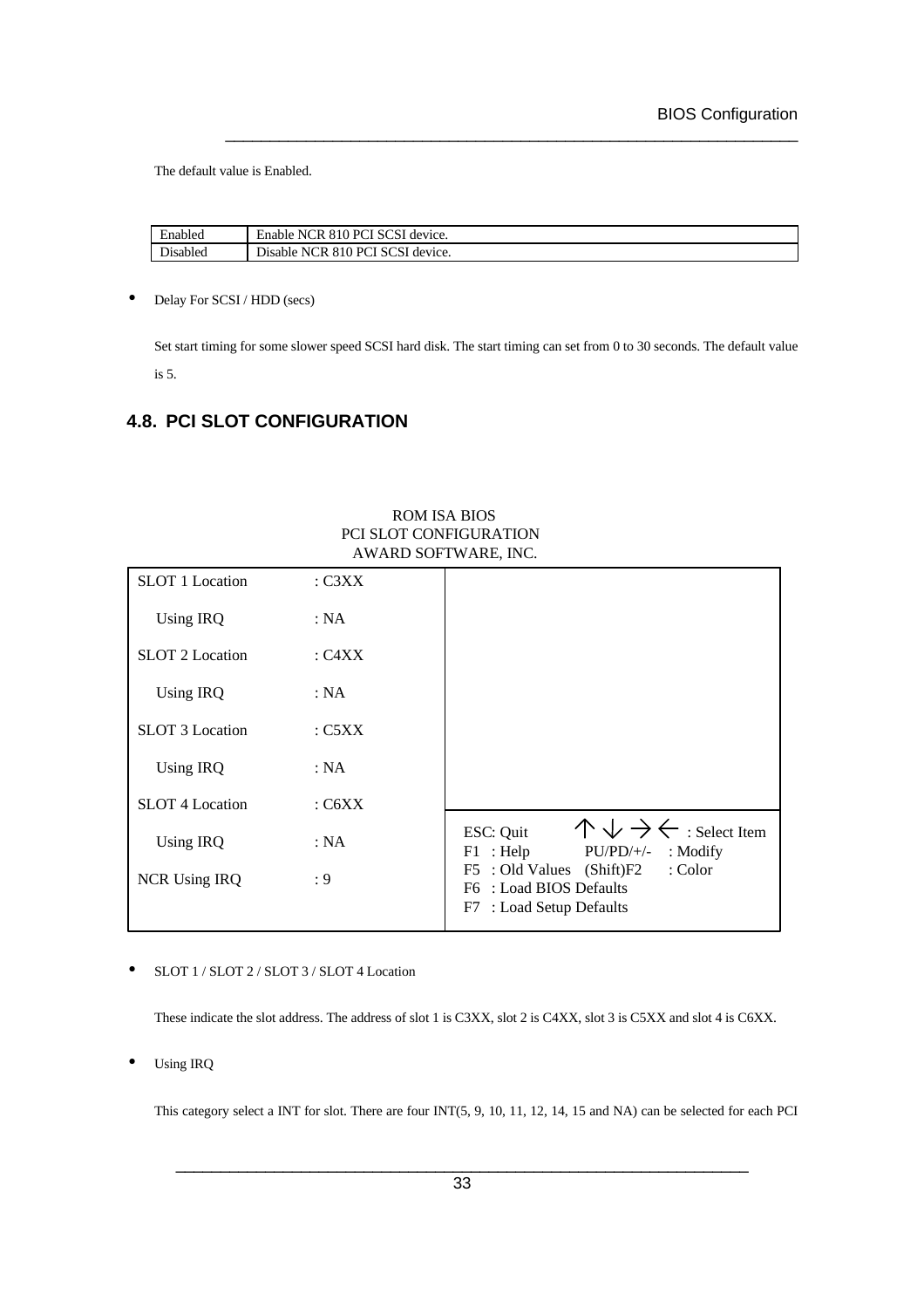The default value is Enabled.

| T.<br>Enabled | SCSI device.<br>. 810 PCI<br>`R-<br>Enable NC |
|---------------|-----------------------------------------------|
| Disabled      | Disable NCR 810 PCI SCSI<br>device.           |

\_\_\_\_\_\_\_\_\_\_\_\_\_\_\_\_\_\_\_\_\_\_\_\_\_\_\_\_\_\_\_\_\_\_\_\_\_\_\_\_\_\_\_\_\_\_\_\_\_\_\_\_\_\_\_\_\_\_\_\_\_\_\_\_

• Delay For SCSI / HDD (secs)

Set start timing for some slower speed SCSI hard disk. The start timing can set from 0 to 30 seconds. The default value is 5.

# **4.8. PCI SLOT CONFIGURATION**

| <b>SLOT 1 Location</b> | : C3XX   |                                                                                                               |
|------------------------|----------|---------------------------------------------------------------------------------------------------------------|
| Using IRQ              | : NA     |                                                                                                               |
| <b>SLOT 2 Location</b> | : C4XX   |                                                                                                               |
| Using IRQ              | : NA     |                                                                                                               |
| <b>SLOT 3 Location</b> | : $C5XX$ |                                                                                                               |
| Using IRQ              | : NA     |                                                                                                               |
| <b>SLOT 4 Location</b> | C6XX     |                                                                                                               |
| Using IRQ              | : NA     | $\wedge \vee \rightarrow \leftarrow$ : Select Item<br>ESC: Quit<br>$F1$ : Help<br>$PU/PD/+\!/-$<br>$:$ Modify |
| NCR Using IRQ          | : 9      | : Color<br>F5 : Old Values (Shift)F2<br>F6 : Load BIOS Defaults<br>F7 : Load Setup Defaults                   |

ROM ISA BIOS PCI SLOT CONFIGURATION AWARD SOFTWARE, INC.

#### • SLOT 1 / SLOT 2 / SLOT 3 / SLOT 4 Location

These indicate the slot address. The address of slot 1 is C3XX, slot 2 is C4XX, slot 3 is C5XX and slot 4 is C6XX.

• Using IRQ

This category select a INT for slot. There are four INT(5, 9, 10, 11, 12, 14, 15 and NA) can be selected for each PCI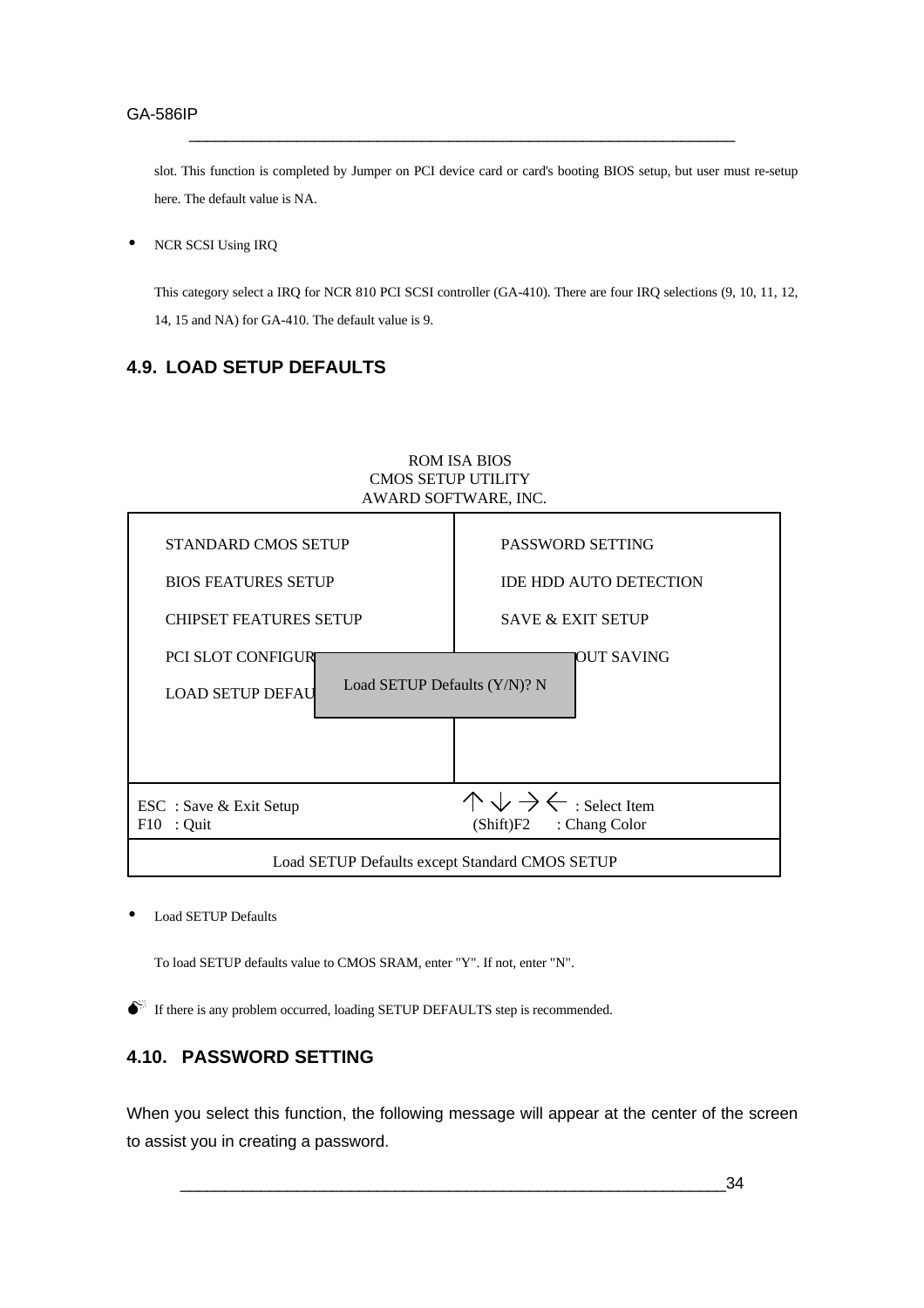slot. This function is completed by Jumper on PCI device card or card's booting BIOS setup, but user must re-setup here. The default value is NA.

\_\_\_\_\_\_\_\_\_\_\_\_\_\_\_\_\_\_\_\_\_\_\_\_\_\_\_\_\_\_\_\_\_\_\_\_\_\_\_\_\_\_\_\_\_\_\_\_\_\_\_\_\_\_\_\_\_\_\_\_\_

• NCR SCSI Using IRQ

This category select a IRQ for NCR 810 PCI SCSI controller (GA-410). There are four IRQ selections (9, 10, 11, 12, 14, 15 and NA) for GA-410. The default value is 9.

#### **4.9. LOAD SETUP DEFAULTS**

| AWARD SOFTWARE, INC.                                    |                                                                                                                                     |  |
|---------------------------------------------------------|-------------------------------------------------------------------------------------------------------------------------------------|--|
| <b>STANDARD CMOS SETUP</b>                              | PASSWORD SETTING                                                                                                                    |  |
| <b>BIOS FEATURES SETUP</b>                              | <b>IDE HDD AUTO DETECTION</b>                                                                                                       |  |
| <b>CHIPSET FEATURES SETUP</b>                           | <b>SAVE &amp; EXIT SETUP</b>                                                                                                        |  |
| PCI SLOT CONFIGUR                                       | OUT SAVING                                                                                                                          |  |
| Load SETUP Defaults (Y/N)? N<br><b>LOAD SETUP DEFAU</b> |                                                                                                                                     |  |
|                                                         |                                                                                                                                     |  |
|                                                         |                                                                                                                                     |  |
| ESC : Save & Exit Setup                                 | $\begin{array}{c} \uparrow \uparrow \downarrow \rightarrow \leftarrow \text{ : Select Item} \end{array}$<br>(Shift)F2 : Chang Color |  |
| $F10$ : Quit                                            |                                                                                                                                     |  |
| Load SETUP Defaults except Standard CMOS SETUP          |                                                                                                                                     |  |

#### ROM ISA BIOS CMOS SETUP UTILITY AWARD SOFTWARE, INC.

• Load SETUP Defaults

To load SETUP defaults value to CMOS SRAM, enter "Y". If not, enter "N".

 $\bullet^*$  If there is any problem occurred, loading SETUP DEFAULTS step is recommended.

#### **4.10. PASSWORD SETTING**

When you select this function, the following message will appear at the center of the screen to assist you in creating a password.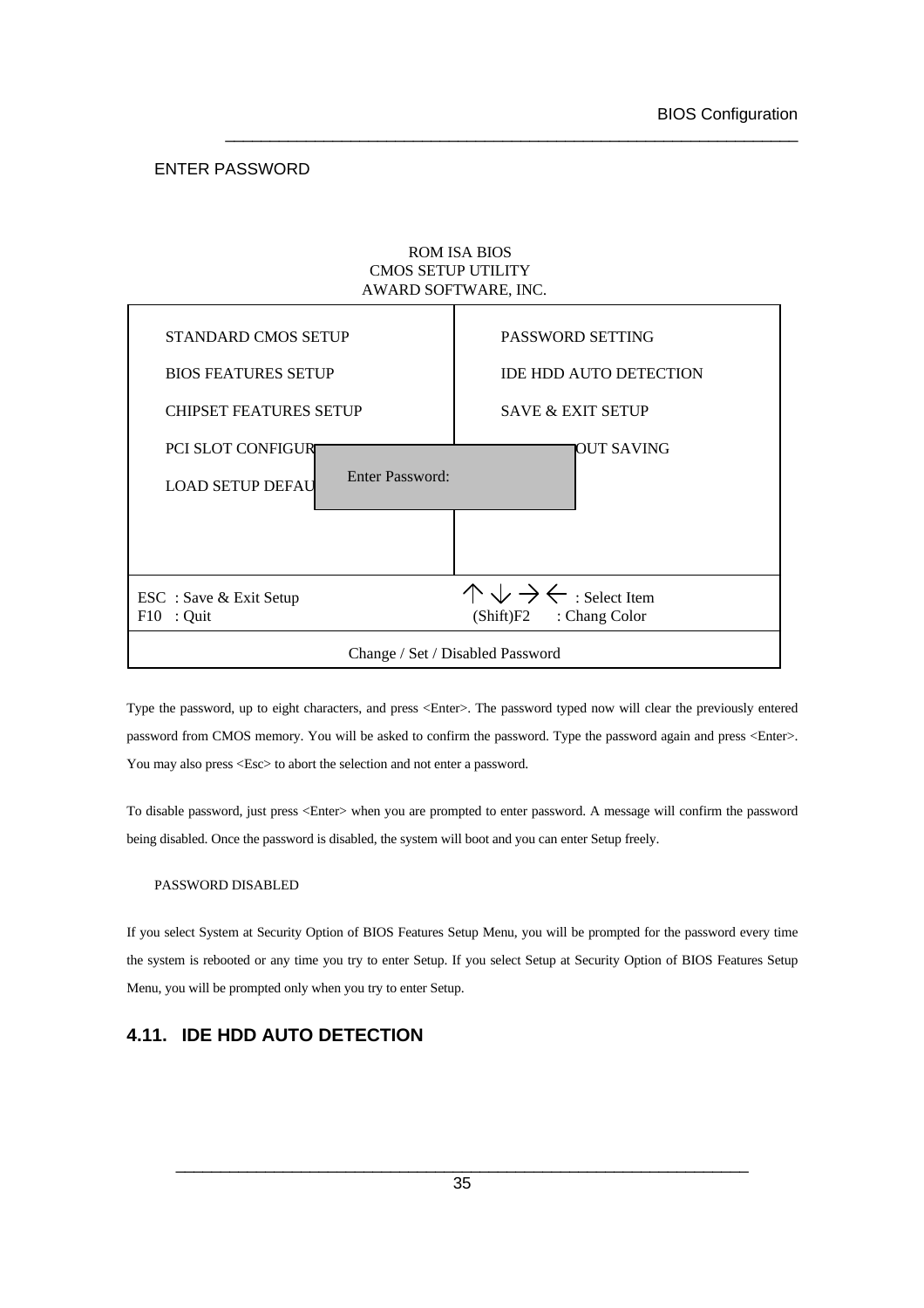#### ENTER PASSWORD

#### ROM ISA BIOS CMOS SETUP UTILITY AWARD SOFTWARE, INC.

\_\_\_\_\_\_\_\_\_\_\_\_\_\_\_\_\_\_\_\_\_\_\_\_\_\_\_\_\_\_\_\_\_\_\_\_\_\_\_\_\_\_\_\_\_\_\_\_\_\_\_\_\_\_\_\_\_\_\_\_\_\_\_\_

| <b>STANDARD CMOS SETUP</b>                                                     | PASSWORD SETTING                                                              |
|--------------------------------------------------------------------------------|-------------------------------------------------------------------------------|
| <b>BIOS FEATURES SETUP</b>                                                     | <b>IDE HDD AUTO DETECTION</b>                                                 |
| <b>CHIPSET FEATURES SETUP</b>                                                  | <b>SAVE &amp; EXIT SETUP</b>                                                  |
| <b>PCI SLOT CONFIGURI</b><br><b>Enter Password:</b><br><b>LOAD SETUP DEFAU</b> | OUT SAVING                                                                    |
| ESC : Save & Exit Setup<br>$F10$ : Quit                                        | $\wedge \vee \rightarrow \leftarrow$ : Select Item<br>(Shift)F2 : Chang Color |
|                                                                                | Change / Set / Disabled Password                                              |

Type the password, up to eight characters, and press <Enter>. The password typed now will clear the previously entered password from CMOS memory. You will be asked to confirm the password. Type the password again and press <Enter>. You may also press <Esc> to abort the selection and not enter a password.

To disable password, just press <Enter> when you are prompted to enter password. A message will confirm the password being disabled. Once the password is disabled, the system will boot and you can enter Setup freely.

#### PASSWORD DISABLED

If you select System at Security Option of BIOS Features Setup Menu, you will be prompted for the password every time the system is rebooted or any time you try to enter Setup. If you select Setup at Security Option of BIOS Features Setup Menu, you will be prompted only when you try to enter Setup.

#### **4.11. IDE HDD AUTO DETECTION**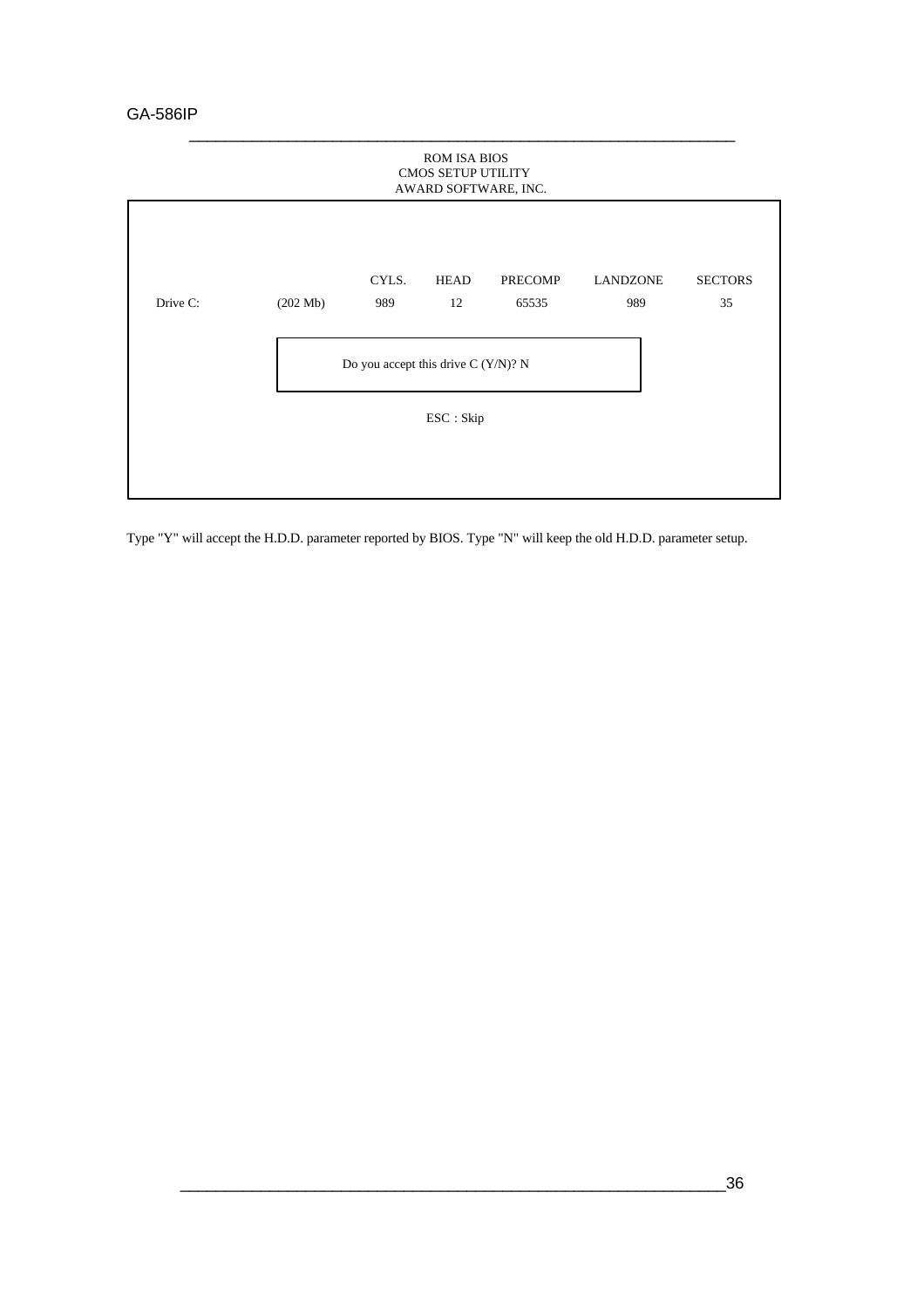#### GA-586IP



Type "Y" will accept the H.D.D. parameter reported by BIOS. Type "N" will keep the old H.D.D. parameter setup.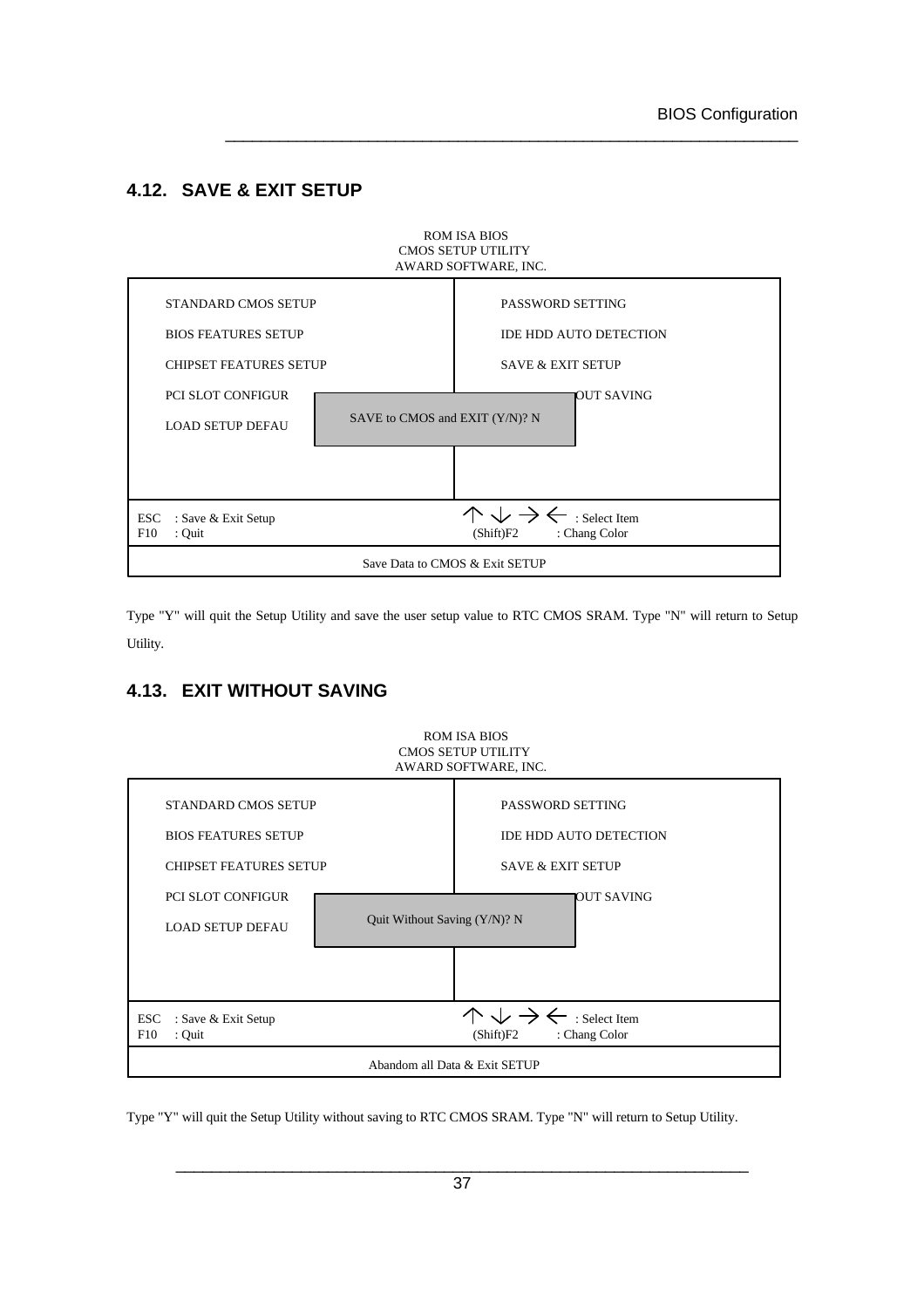## **4.12. SAVE & EXIT SETUP**

|                                                                                                                                                                                    | <b>ROM ISA BIOS</b><br><b>CMOS SETUP UTILITY</b><br>AWARD SOFTWARE, INC.                                         |
|------------------------------------------------------------------------------------------------------------------------------------------------------------------------------------|------------------------------------------------------------------------------------------------------------------|
| <b>STANDARD CMOS SETUP</b><br><b>BIOS FEATURES SETUP</b><br><b>CHIPSET FEATURES SETUP</b><br><b>PCI SLOT CONFIGUR</b><br>SAVE to CMOS and EXIT (Y/N)? N<br><b>LOAD SETUP DEFAU</b> | PASSWORD SETTING<br><b>IDE HDD AUTO DETECTION</b><br><b>SAVE &amp; EXIT SETUP</b><br>OUT SAVING                  |
| ESC<br>: Save & Exit Setup<br>F10<br>: Quit                                                                                                                                        | $\vee \vee \rightarrow \leftarrow$ : Select Item<br>: Chang Color<br>(Shift)F2<br>Save Data to CMOS & Exit SETUP |

\_\_\_\_\_\_\_\_\_\_\_\_\_\_\_\_\_\_\_\_\_\_\_\_\_\_\_\_\_\_\_\_\_\_\_\_\_\_\_\_\_\_\_\_\_\_\_\_\_\_\_\_\_\_\_\_\_\_\_\_\_\_\_\_

Type "Y" will quit the Setup Utility and save the user setup value to RTC CMOS SRAM. Type "N" will return to Setup Utility.

ROM ISA BIOS

## **4.13. EXIT WITHOUT SAVING**

|                                                                                     | <b>CMOS SETUP UTILITY</b><br>AWARD SOFTWARE, INC.                                     |  |
|-------------------------------------------------------------------------------------|---------------------------------------------------------------------------------------|--|
| <b>STANDARD CMOS SETUP</b>                                                          | PASSWORD SETTING                                                                      |  |
| <b>BIOS FEATURES SETUP</b>                                                          | <b>IDE HDD AUTO DETECTION</b>                                                         |  |
| <b>CHIPSET FEATURES SETUP</b>                                                       | <b>SAVE &amp; EXIT SETUP</b>                                                          |  |
| <b>PCI SLOT CONFIGUR</b><br>Quit Without Saving (Y/N)? N<br><b>LOAD SETUP DEFAU</b> | OUT SAVING                                                                            |  |
|                                                                                     |                                                                                       |  |
| ESC<br>: Save & Exit Setup<br>F10<br>: Quit                                         | $\cdot \downarrow \rightarrow \leftarrow$ : Select Item<br>(Shift)F2<br>: Chang Color |  |
| Abandom all Data & Exit SETUP                                                       |                                                                                       |  |

Type "Y" will quit the Setup Utility without saving to RTC CMOS SRAM. Type "N" will return to Setup Utility.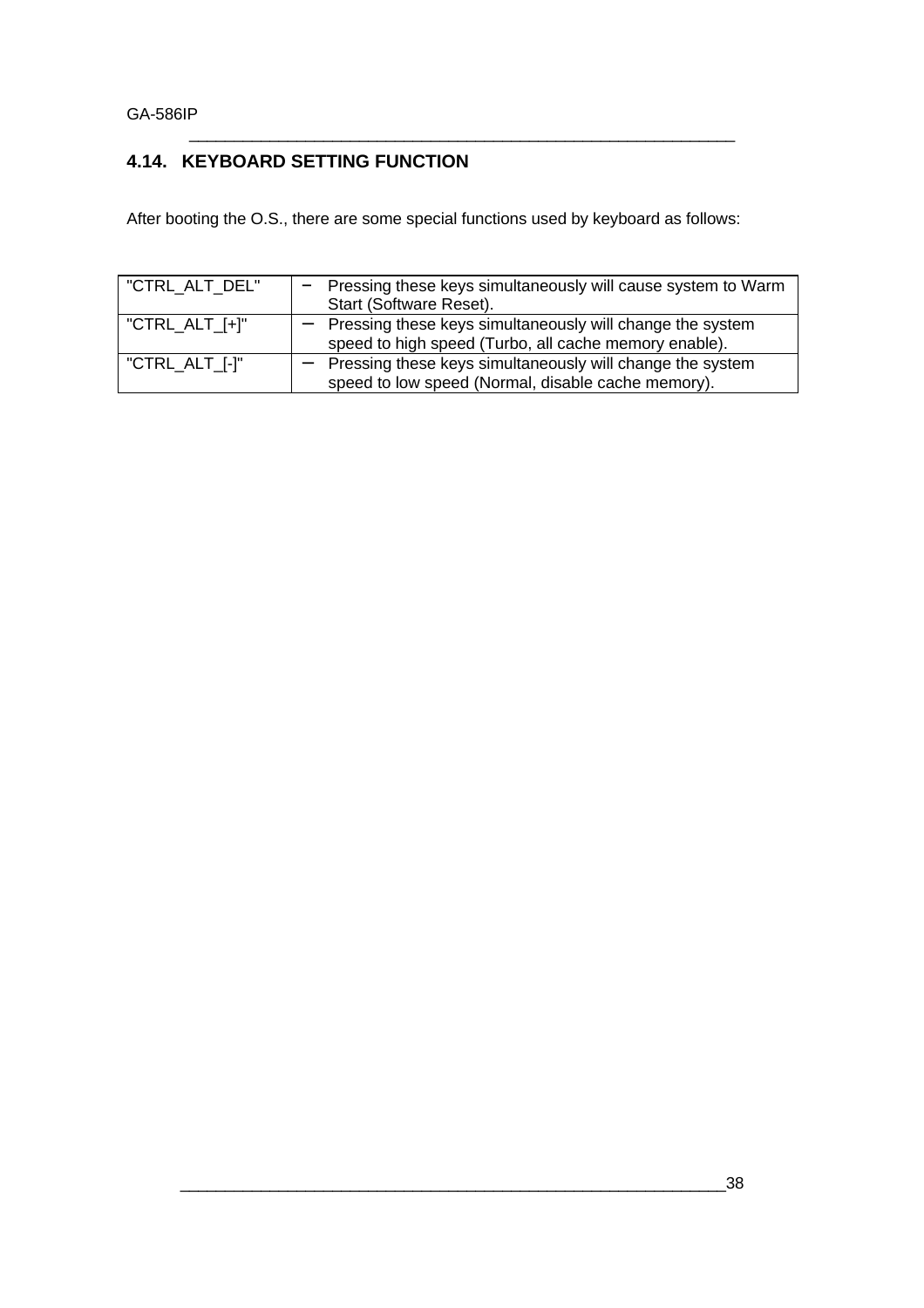GA-586IP

# **4.14. KEYBOARD SETTING FUNCTION**

After booting the O.S., there are some special functions used by keyboard as follows:

| "CTRL ALT DEL" | Pressing these keys simultaneously will cause system to Warm<br>Start (Software Reset).                            |
|----------------|--------------------------------------------------------------------------------------------------------------------|
| "CTRL_ALT_[+]" | Pressing these keys simultaneously will change the system<br>speed to high speed (Turbo, all cache memory enable). |
| "CTRL_ALT_[-]" | Pressing these keys simultaneously will change the system<br>speed to low speed (Normal, disable cache memory).    |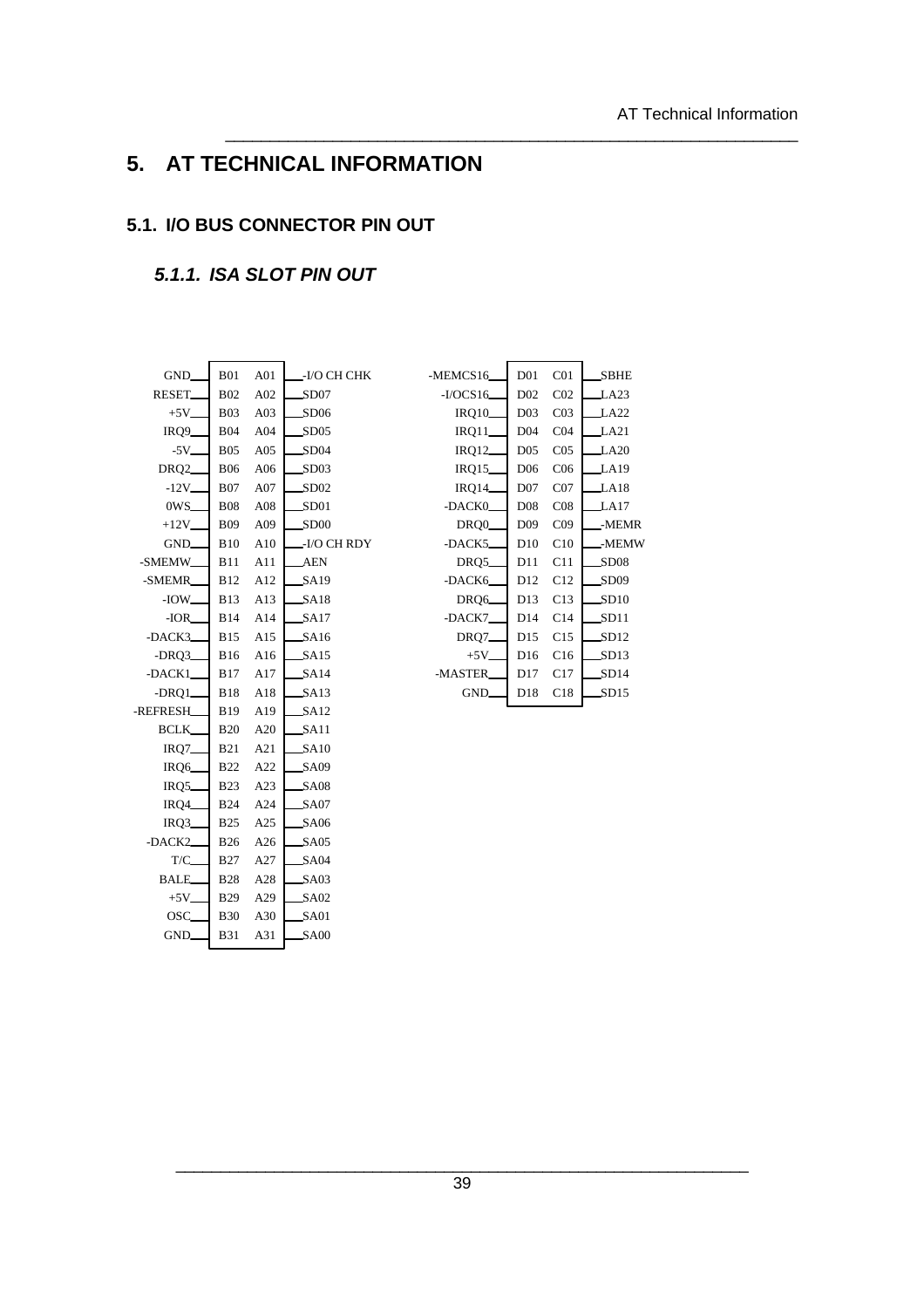# **5. AT TECHNICAL INFORMATION**

#### **5.1. I/O BUS CONNECTOR PIN OUT**

# *5.1.1. ISA SLOT PIN OUT*

| GND_                | <b>B01</b>  | A01 | _-I/O CH CHK |
|---------------------|-------------|-----|--------------|
| RESET_              | <b>B02</b>  | A02 | SD07         |
| $+5V_{-}$           | <b>B03</b>  | A03 | SD06         |
| IRQ9                | <b>B04</b>  | A04 | SD05         |
| $-5V_{-}$           | <b>B05</b>  | A05 | SD04         |
| DRO <sub>2</sub>    | <b>B06</b>  | A06 | SD03         |
| $-12V$ <sub>-</sub> | <b>B07</b>  | A07 | SD02         |
| 0WS_                | <b>B08</b>  | A08 | SD01         |
| $+12V$              | <b>B09</b>  | A09 | SD00         |
| GND.                | <b>B10</b>  | A10 | -I/O CH RDY  |
| -SMEMW              | <b>B11</b>  | A11 | AEN          |
| -SMEMR              | <b>B12</b>  | A12 | SA19         |
| $-IOW_$             | <b>B</b> 13 | A13 | SA18         |
| $-IOR$              | <b>B14</b>  | A14 | SA17         |
| -DACK3.             | <b>B</b> 15 | A15 | SA16         |
| $-DRQ3$             | <b>B</b> 16 | A16 | SA15         |
| -DACK1              | B17 A17     |     | SA14         |
| $-DRQ1$             | <b>B18</b>  | A18 | SA13         |
| -REFRESH            | B19         | A19 | SA12         |
| <b>BCLK</b>         | <b>B20</b>  | A20 | SA11         |
| IRQ7_               | <b>B21</b>  | A21 | SA10         |
| IRQ <sub>6</sub>    | <b>B22</b>  | A22 | <b>SA09</b>  |
| IRQ5                | <b>B23</b>  | A23 | <b>SA08</b>  |
| IRQ4                | <b>B24</b>  | A24 | <b>SA07</b>  |
| IRQ3                | <b>B25</b>  | A25 | SA06         |
| -DACK2              | <b>B26</b>  | A26 | SA05         |
| T/C.                | <b>B27</b>  | A27 | SA04         |
| <b>BALE</b>         | <b>B28</b>  | A28 | SA03         |
| $+5V$ <sub>-</sub>  | B29         | A29 | SA02         |
| OSC.                | <b>B30</b>  | A30 | <b>SA01</b>  |
| GND.                | <b>B31</b>  | A31 | <b>SA00</b>  |
|                     |             |     |              |

| -MEMCS16             | D <sub>01</sub> | CO <sub>1</sub> | SBHE  |
|----------------------|-----------------|-----------------|-------|
| $-VOCS16$            | D <sub>02</sub> | CO <sub>2</sub> | J.A23 |
| <b>IRQ10</b>         | D <sub>03</sub> | CO <sub>3</sub> | LA22  |
| $IRQ11$ <sub>-</sub> | D <sub>04</sub> | CO <sub>4</sub> | LA21  |
| IRQ12_               | D <sub>05</sub> | CO <sub>5</sub> | LA20  |
| IRQ15_               | D <sub>06</sub> | C <sub>06</sub> | LA19  |
| IRQ14                | D <sub>07</sub> | CO7             | LA18  |
| -DACK0.              | D <sub>08</sub> | CO8             | LA17  |
| DRQ <sub>0</sub>     | D <sub>09</sub> | CO9             | -MEMR |
| -DACK5.              | D10             | C10             | -MEMW |
| DRQ5.                | D11             | C11             | SD08  |
| $-DACK6$             | D12             | C12             | SD09  |
| DRQ6                 | D <sub>13</sub> | C13             | SD10  |
| -DACK7 <sub>-</sub>  | D14             | C14             | SD11  |
| DRQ7_                | D <sub>15</sub> | C15             | SD12  |
| $+5V_{-}$            | D <sub>16</sub> | C16             | SD13  |
| -MASTER.             | D17             | C17             | SD14  |
| GND.                 | D <sub>18</sub> | C18             | SD15  |
|                      |                 |                 |       |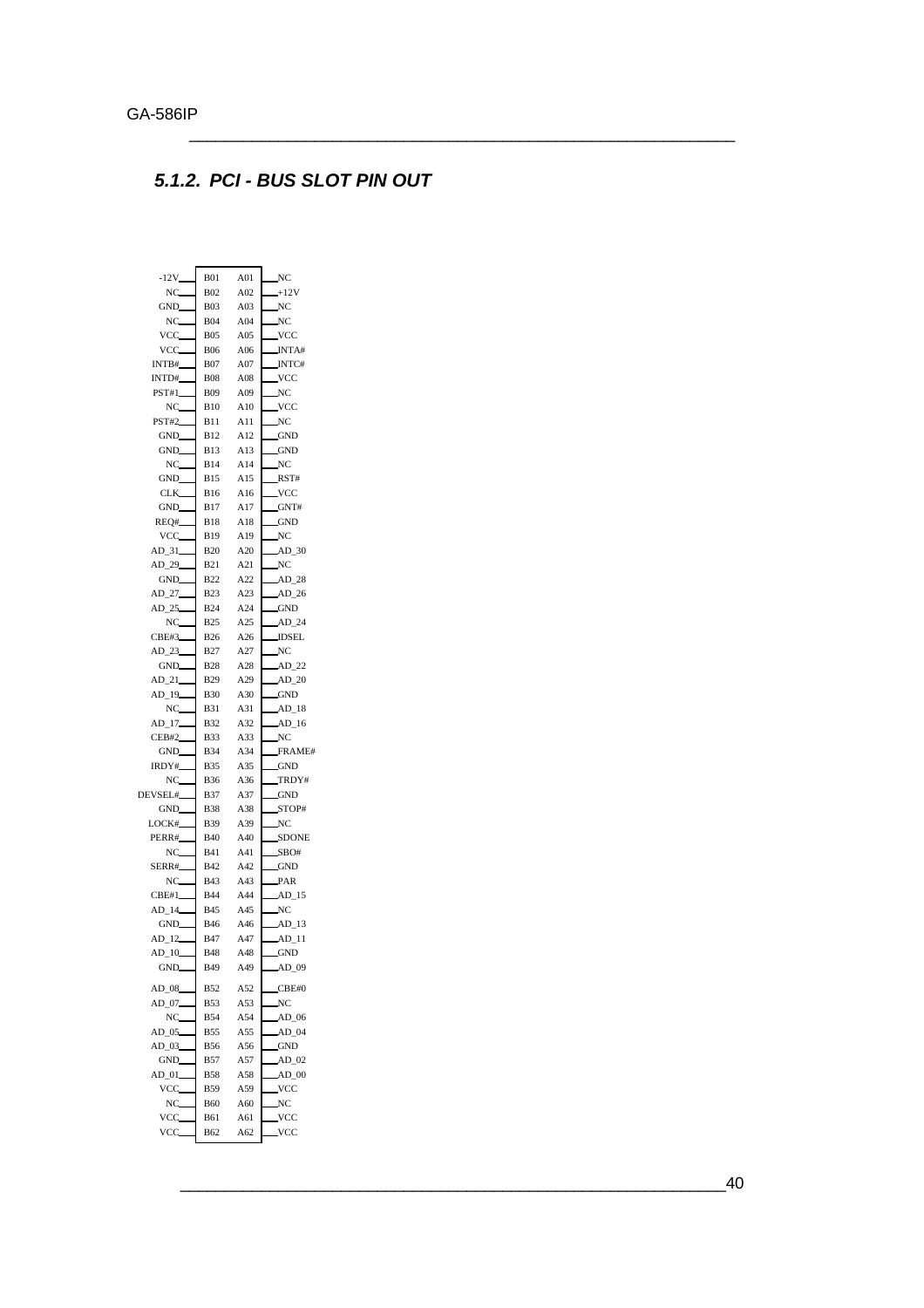## *5.1.2. PCI - BUS SLOT PIN OUT*

| $-12V$       | <b>B01</b>  | A01 | NC               |
|--------------|-------------|-----|------------------|
| NC           | <b>B02</b>  | A02 | $+12V$           |
| GND_         | <b>B03</b>  | A03 | NC               |
| NC           | <b>B04</b>  | A04 | NC               |
|              |             | A05 |                  |
| VCC.         | <b>B05</b>  |     | VCC              |
| VCC.         | <b>B06</b>  | A06 | <b>INTA#</b>     |
| INTB#        | <b>B07</b>  | A07 | INTC#            |
| INTD#        | <b>B08</b>  | A08 | VCC.             |
| PST#1_       | <b>B09</b>  | A09 | NC               |
| NC.          | B10         | A10 | VCC              |
| PST#2_       | B11         | A11 | NC               |
| GND_         | <b>B12</b>  | A12 | <b>GND</b>       |
| GND_         | <b>B13</b>  | A13 | GND              |
| NC.          | <b>B14</b>  | A14 | NC               |
| GND_         | <b>B15</b>  | A15 | RST#             |
| CLK_         | <b>B16</b>  | A16 | .vcc             |
| GND_         | B17         | A17 | GNT#             |
| REQ#         | <b>B18</b>  | A18 | <b>GND</b>       |
| VCC_         | <b>B19</b>  | A19 | NC               |
| AD 31        | <b>B20</b>  | A20 | AD 30            |
| AD 29        | B21         | A21 | NC               |
| GND_         | <b>B22</b>  | A22 | AD <sub>28</sub> |
| AD 27_       | <b>B23</b>  | A23 | AD26             |
| AD 25        | <b>B24</b>  | A24 | <b>GND</b>       |
| NC           | <b>B25</b>  | A25 | $AD_24$          |
| CBE#3        | <b>B26</b>  | A26 | JDSEL            |
| AD_23        | B27         | A27 | NC               |
| GND.         | <b>B28</b>  | A28 | $AD$ 22          |
| $AD_21$      | <b>B29</b>  | A29 | AD 20            |
| AD_19        | <b>B30</b>  | A30 | <b>GND</b>       |
| NC           | <b>B31</b>  | A31 | $AD_18$          |
| $AD_17$      | <b>B32</b>  | A32 | $AD_16$          |
| <b>CEB#2</b> | <b>B33</b>  | A33 | NC               |
| GND_         | <b>B34</b>  | A34 | FRAME#           |
| IRDY#        | <b>B35</b>  | A35 | <b>GND</b>       |
| NC.          | <b>B36</b>  | A36 | TRDY#            |
| DEVSEL#      | <b>B37</b>  | A37 | <b>GND</b>       |
| GND_         | <b>B38</b>  | A38 | STOP#            |
| LOCK#        | <b>B39</b>  | A39 | NC               |
| PERR#        | <b>B40</b>  | A40 |                  |
|              |             |     | SDONE            |
| NC           | <b>B</b> 41 | A41 | SBO#             |
| SERR#        | <b>B42</b>  | A42 | GND              |
| $NC_{-}$     | <b>B43</b>  | A43 | PAR              |
| CBE#1        | <b>B44</b>  | A44 | AD_15            |
| $AD_14$      | <b>B</b> 45 | A45 | NC               |
| GND_         | <b>B46</b>  | A46 | AD_13            |
| AD 12        | <b>B47</b>  | A47 | $AD$ 11          |
| $AD_10$      | <b>B48</b>  | A48 | $-GND$           |
| GND.         | <b>B49</b>  | A49 | $AD_09$          |
| $AD_08$      | <b>B52</b>  | A52 | CBE#0            |
| $AD_07$      | <b>B53</b>  | A53 | NC               |
| NC.          | <b>B54</b>  | A54 | AD 06            |
| $AD_05$      | <b>B55</b>  | A55 | $AD_04$          |
| AD 03        | <b>B56</b>  | A56 | GND              |
| GND.         | <b>B57</b>  | A57 | AD 02            |
| $AD_01$      | <b>B58</b>  | A58 | $AD_00$          |
| VCC.         |             |     | <b>VCC</b>       |
|              | <b>B59</b>  | A59 |                  |
| NC.          | <b>B60</b>  | A60 | NC               |
| VCC.         | <b>B61</b>  | A61 | VCC              |
| VCC.         | <b>B62</b>  | A62 | vcc              |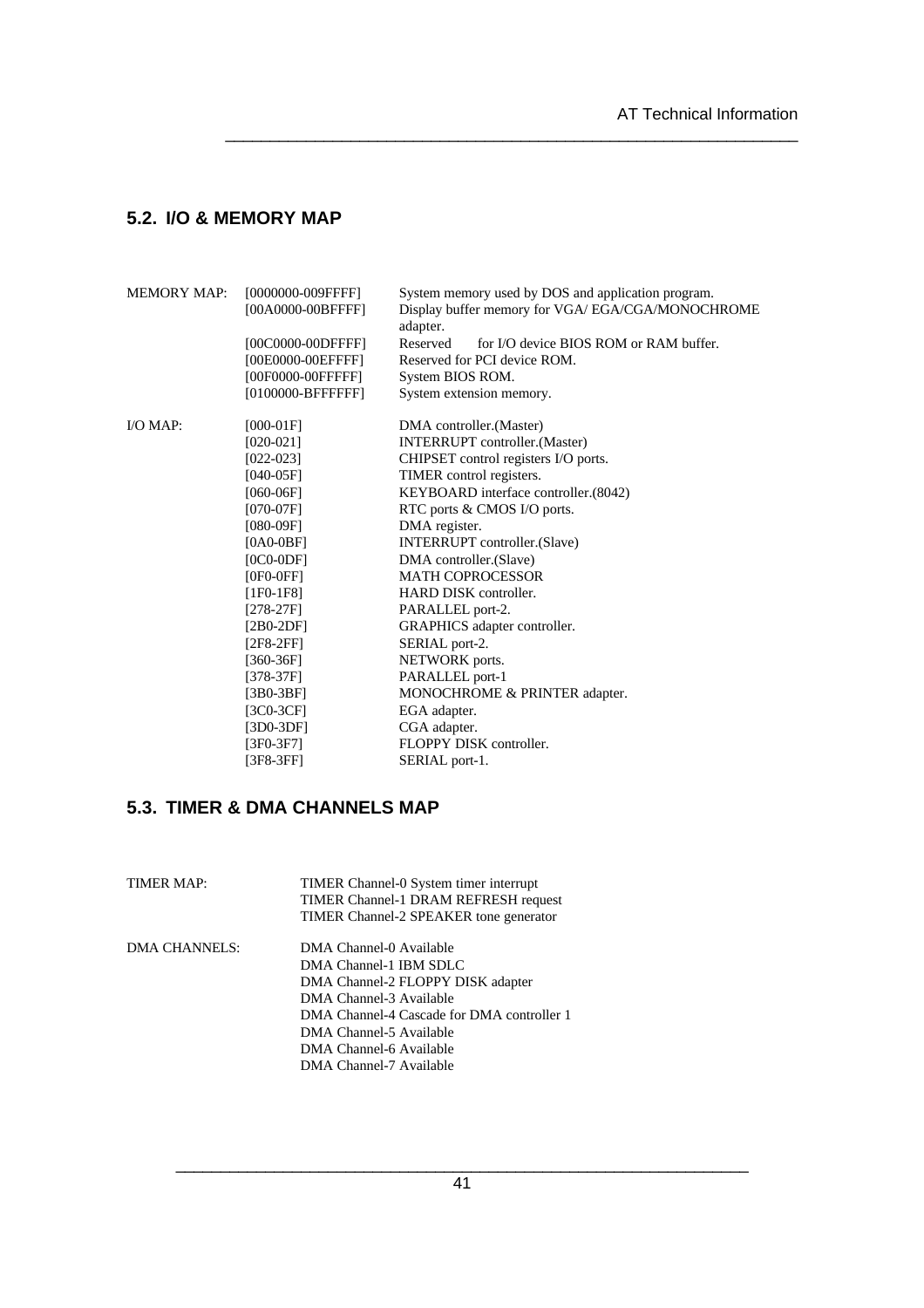# **5.2. I/O & MEMORY MAP**

| <b>MEMORY MAP:</b> | [0000000-009FFFF]<br>[00A0000-00BFFFF] | System memory used by DOS and application program.<br>Display buffer memory for VGA/EGA/CGA/MONOCHROME<br>adapter. |
|--------------------|----------------------------------------|--------------------------------------------------------------------------------------------------------------------|
|                    | [00C0000-00DFFFF]                      | Reserved<br>for I/O device BIOS ROM or RAM buffer.                                                                 |
|                    | [00E0000-00EFFFF]                      | Reserved for PCI device ROM.                                                                                       |
|                    | [00F0000-00FFFFF]                      | System BIOS ROM.                                                                                                   |
|                    | [0100000-BFFFFFF]                      | System extension memory.                                                                                           |
| I/O MAP:           | $[000-01F]$                            | DMA controller. (Master)                                                                                           |
|                    | $[020-021]$                            | INTERRUPT controller. (Master)                                                                                     |
|                    | $[022-023]$                            | CHIPSET control registers I/O ports.                                                                               |
|                    | [040-05F]                              | TIMER control registers.                                                                                           |
|                    | [060-06F]                              | KEYBOARD interface controller.(8042)                                                                               |
|                    | [070-07F]                              | RTC ports & CMOS I/O ports.                                                                                        |
|                    | [080-09F]                              | DMA register.                                                                                                      |
|                    | $[0A0-0BF]$                            | INTERRUPT controller. (Slave)                                                                                      |
|                    | $[0C0-0DF]$                            | DMA controller.(Slave)                                                                                             |
|                    | $[0F0-0FF]$                            | <b>MATH COPROCESSOR</b>                                                                                            |
|                    | [1F0-1F8]                              | HARD DISK controller.                                                                                              |
|                    | $[278-27F]$                            | PARALLEL port-2.                                                                                                   |
|                    | [2B0-2DF]                              | GRAPHICS adapter controller.                                                                                       |
|                    | [2F8-2FF]                              | SERIAL port-2.                                                                                                     |
|                    | $[360-36F]$                            | NETWORK ports.                                                                                                     |
|                    | $[378-37F]$                            | PARALLEL port-1                                                                                                    |
|                    | $[3B0-3BF]$                            | MONOCHROME & PRINTER adapter.                                                                                      |
|                    | $[3C0-3CF]$                            | EGA adapter.                                                                                                       |
|                    | $[3D0-3DF]$                            | CGA adapter.                                                                                                       |
|                    | $[3F0-3F7]$                            | FLOPPY DISK controller.                                                                                            |
|                    | $[3F8-3FF]$                            | SERIAL port-1.                                                                                                     |

\_\_\_\_\_\_\_\_\_\_\_\_\_\_\_\_\_\_\_\_\_\_\_\_\_\_\_\_\_\_\_\_\_\_\_\_\_\_\_\_\_\_\_\_\_\_\_\_\_\_\_\_\_\_\_\_\_\_\_\_\_\_\_\_

## **5.3. TIMER & DMA CHANNELS MAP**

| TIMER MAP:    | TIMER Channel-0 System timer interrupt<br>TIMER Channel-1 DRAM REFRESH request<br>TIMER Channel-2 SPEAKER tone generator                                                                                                                         |
|---------------|--------------------------------------------------------------------------------------------------------------------------------------------------------------------------------------------------------------------------------------------------|
| DMA CHANNELS: | DMA Channel-0 Available<br>DMA Channel-1 IBM SDLC<br>DMA Channel-2 FLOPPY DISK adapter<br>DMA Channel-3 Available<br>DMA Channel-4 Cascade for DMA controller 1<br>DMA Channel-5 Available<br>DMA Channel-6 Available<br>DMA Channel-7 Available |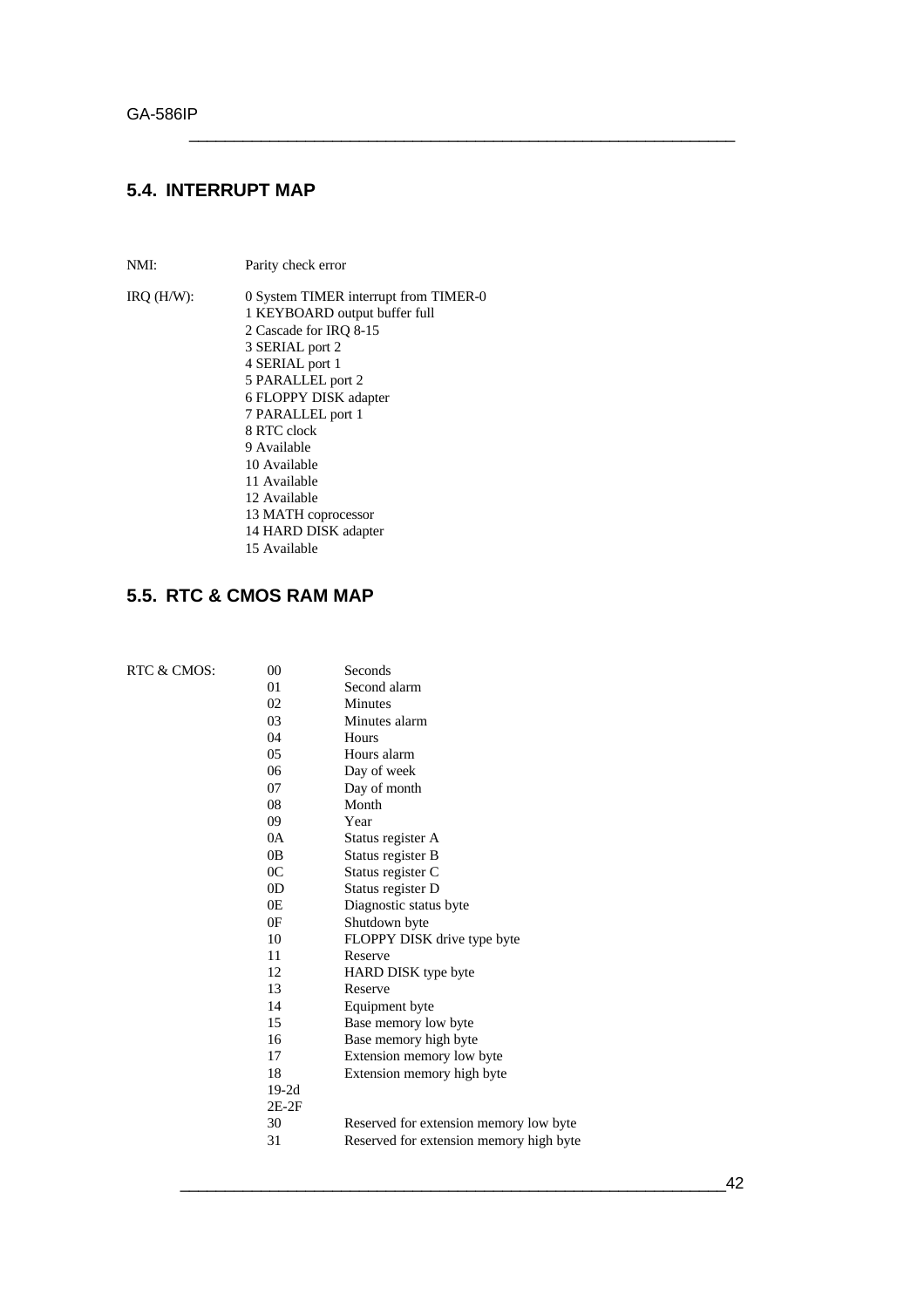# **5.4. INTERRUPT MAP**

NMI: Parity check error

| IRQ (H/W): | 0 System TIMER interrupt from TIMER-0 |
|------------|---------------------------------------|
|            | 1 KEYBOARD output buffer full         |
|            | 2 Cascade for IRO 8-15                |
|            | 3 SERIAL port 2                       |
|            | 4 SERIAL port 1                       |
|            | 5 PARALLEL port 2                     |
|            | 6 FLOPPY DISK adapter                 |
|            | 7 PARALLEL port 1                     |
|            | 8 RTC clock                           |
|            | 9 Available                           |
|            | 10 Available                          |
|            | 11 Available                          |
|            | 12 Available                          |
|            | 13 MATH coprocessor                   |
|            | 14 HARD DISK adapter                  |
|            | 15 Available                          |

\_\_\_\_\_\_\_\_\_\_\_\_\_\_\_\_\_\_\_\_\_\_\_\_\_\_\_\_\_\_\_\_\_\_\_\_\_\_\_\_\_\_\_\_\_\_\_\_\_\_\_\_\_\_\_\_\_\_\_\_\_

# **5.5. RTC & CMOS RAM MAP**

| RTC & CMOS: | 00             | Seconds                                 |
|-------------|----------------|-----------------------------------------|
|             | 01             | Second alarm                            |
|             | 02             | <b>Minutes</b>                          |
|             | 03             | Minutes alarm                           |
|             | 04             | Hours                                   |
|             | 05             | Hours alarm                             |
|             | 06             | Day of week                             |
|             | 07             | Day of month                            |
|             | 08             | Month                                   |
|             | 09             | Year                                    |
|             | 0A             | Status register A                       |
|             | 0B             | Status register B                       |
|             | 0 <sup>C</sup> | Status register C                       |
|             | 0 <sub>D</sub> | Status register D                       |
|             | 0E             | Diagnostic status byte                  |
|             | 0F             | Shutdown byte                           |
|             | 10             | FLOPPY DISK drive type byte             |
|             | 11             | Reserve                                 |
|             | 12             | <b>HARD DISK type byte</b>              |
|             | 13             | Reserve                                 |
|             | 14             | Equipment byte                          |
|             | 15             | Base memory low byte                    |
|             | 16             | Base memory high byte                   |
|             | 17             | Extension memory low byte               |
|             | 18             | Extension memory high byte              |
|             | $19-2d$        |                                         |
|             | $2E-2F$        |                                         |
|             | 30             | Reserved for extension memory low byte  |
|             | 31             | Reserved for extension memory high byte |
|             |                |                                         |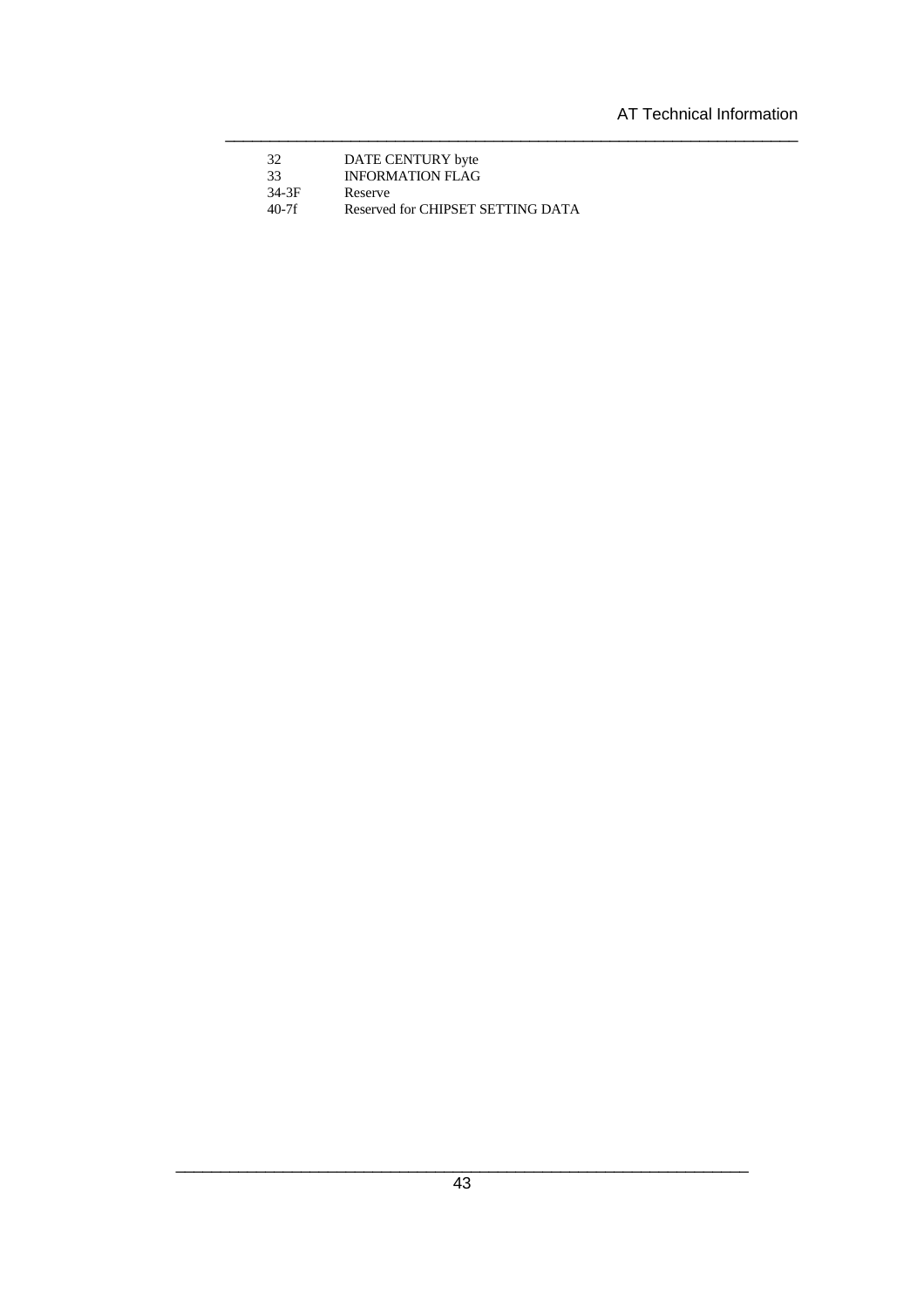32 DATE CENTURY byte 33 INFORMATION FLAG 34-3F Reserve<br>40-7f Reserved Reserved for CHIPSET SETTING DATA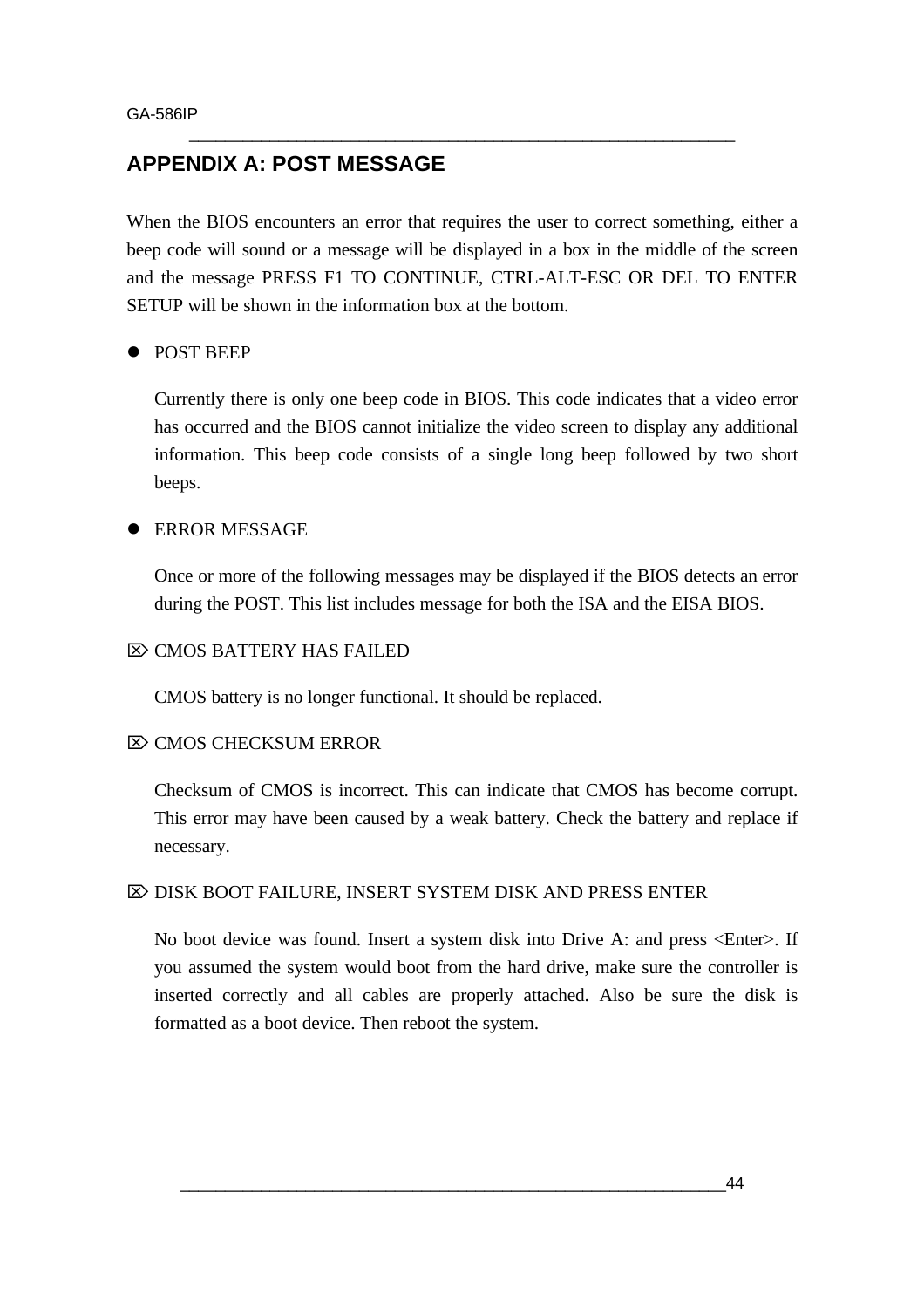# **APPENDIX A: POST MESSAGE**

When the BIOS encounters an error that requires the user to correct something, either a beep code will sound or a message will be displayed in a box in the middle of the screen and the message PRESS F1 TO CONTINUE, CTRL-ALT-ESC OR DEL TO ENTER SETUP will be shown in the information box at the bottom.

\_\_\_\_\_\_\_\_\_\_\_\_\_\_\_\_\_\_\_\_\_\_\_\_\_\_\_\_\_\_\_\_\_\_\_\_\_\_\_\_\_\_\_\_\_\_\_\_\_\_\_\_\_\_\_\_\_\_\_\_\_

## **• POST BEEP**

Currently there is only one beep code in BIOS. This code indicates that a video error has occurred and the BIOS cannot initialize the video screen to display any additional information. This beep code consists of a single long beep followed by two short beeps.

## l ERROR MESSAGE

Once or more of the following messages may be displayed if the BIOS detects an error during the POST. This list includes message for both the ISA and the EISA BIOS.

#### $\overline{\infty}$  CMOS BATTERY HAS FAILED

CMOS battery is no longer functional. It should be replaced.

#### $\overline{\infty}$  CMOS CHECKSUM ERROR

Checksum of CMOS is incorrect. This can indicate that CMOS has become corrupt. This error may have been caused by a weak battery. Check the battery and replace if necessary.

#### $\mathbb{Z}$  DISK BOOT FAILURE, INSERT SYSTEM DISK AND PRESS ENTER

No boot device was found. Insert a system disk into Drive A: and press <Enter>. If you assumed the system would boot from the hard drive, make sure the controller is inserted correctly and all cables are properly attached. Also be sure the disk is formatted as a boot device. Then reboot the system.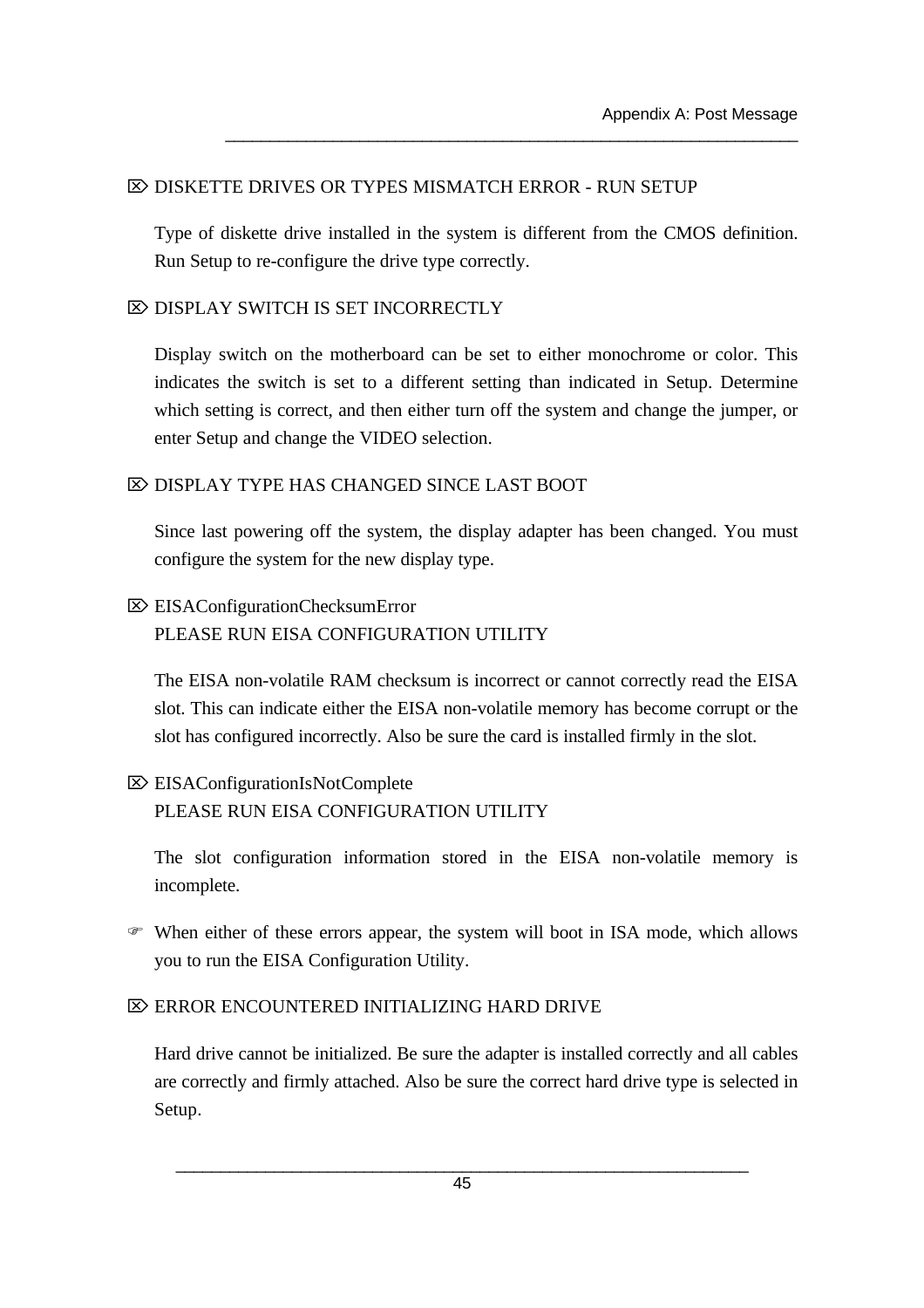#### $\mathbb{Z}$  DISKETTE DRIVES OR TYPES MISMATCH ERROR - RUN SETUP

Type of diskette drive installed in the system is different from the CMOS definition. Run Setup to re-configure the drive type correctly.

\_\_\_\_\_\_\_\_\_\_\_\_\_\_\_\_\_\_\_\_\_\_\_\_\_\_\_\_\_\_\_\_\_\_\_\_\_\_\_\_\_\_\_\_\_\_\_\_\_\_\_\_\_\_\_\_\_\_\_\_\_\_\_\_

#### **EX DISPLAY SWITCH IS SET INCORRECTLY**

Display switch on the motherboard can be set to either monochrome or color. This indicates the switch is set to a different setting than indicated in Setup. Determine which setting is correct, and then either turn off the system and change the jumper, or enter Setup and change the VIDEO selection.

#### $\boxtimes$  DISPLAY TYPE HAS CHANGED SINCE LAST BOOT

Since last powering off the system, the display adapter has been changed. You must configure the system for the new display type.

# ■ EISAConfigurationChecksumError

#### PLEASE RUN EISA CONFIGURATION UTILITY

The EISA non-volatile RAM checksum is incorrect or cannot correctly read the EISA slot. This can indicate either the EISA non-volatile memory has become corrupt or the slot has configured incorrectly. Also be sure the card is installed firmly in the slot.

#### ÷ EISAConfigurationIsNotComplete PLEASE RUN EISA CONFIGURATION UTILITY

The slot configuration information stored in the EISA non-volatile memory is incomplete.

F When either of these errors appear, the system will boot in ISA mode, which allows you to run the EISA Configuration Utility.

#### $\overline{\infty}$  ERROR ENCOUNTERED INITIALIZING HARD DRIVE

Hard drive cannot be initialized. Be sure the adapter is installed correctly and all cables are correctly and firmly attached. Also be sure the correct hard drive type is selected in Setup.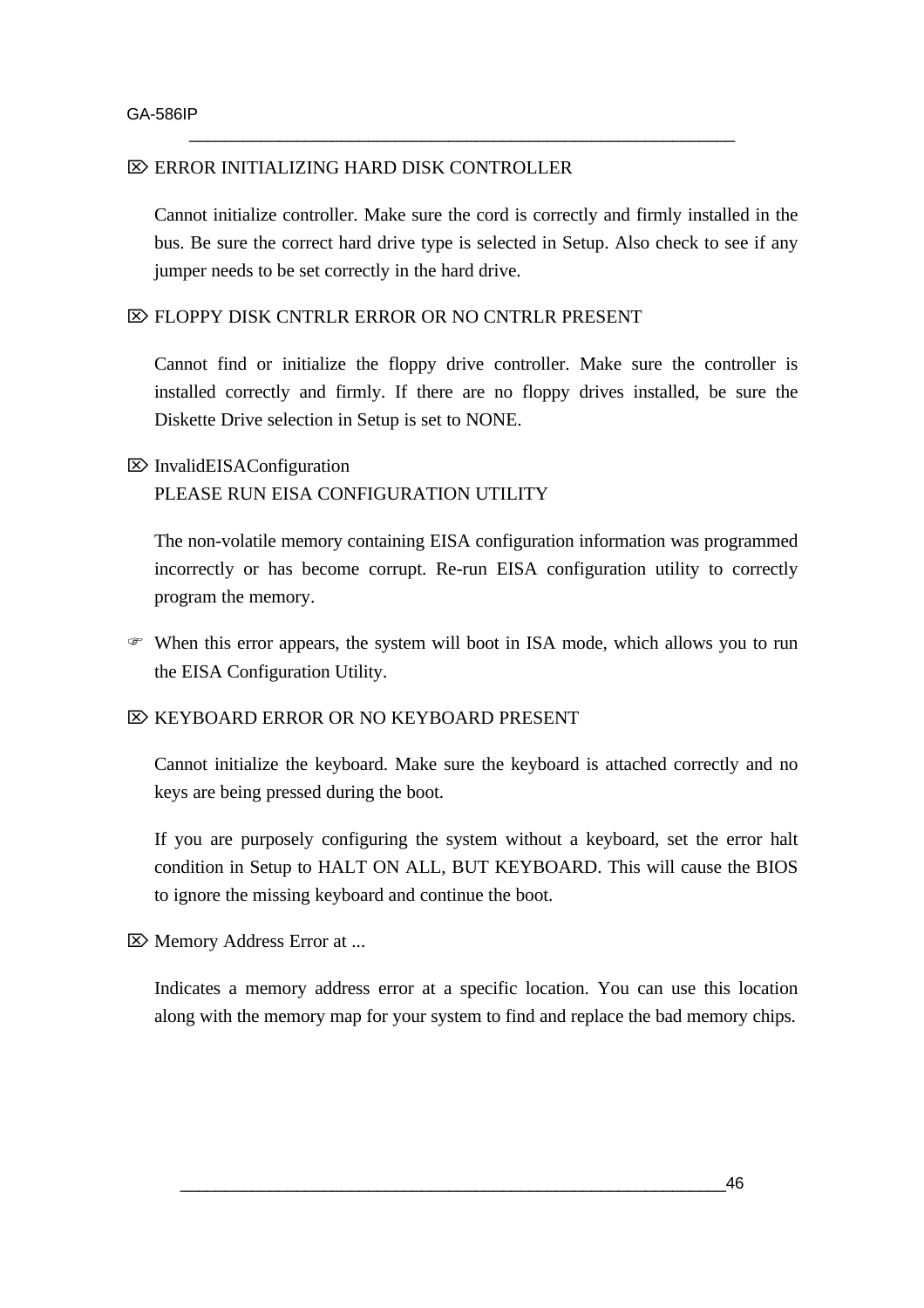#### $\mathbb{Z}$  ERROR INITIALIZING HARD DISK CONTROLLER

Cannot initialize controller. Make sure the cord is correctly and firmly installed in the bus. Be sure the correct hard drive type is selected in Setup. Also check to see if any jumper needs to be set correctly in the hard drive.

\_\_\_\_\_\_\_\_\_\_\_\_\_\_\_\_\_\_\_\_\_\_\_\_\_\_\_\_\_\_\_\_\_\_\_\_\_\_\_\_\_\_\_\_\_\_\_\_\_\_\_\_\_\_\_\_\_\_\_\_\_

#### $\boxtimes$  FLOPPY DISK CNTRLR ERROR OR NO CNTRLR PRESENT

Cannot find or initialize the floppy drive controller. Make sure the controller is installed correctly and firmly. If there are no floppy drives installed, be sure the Diskette Drive selection in Setup is set to NONE.

 $\triangleright$  InvalidEISAConfiguration PLEASE RUN EISA CONFIGURATION UTILITY

The non-volatile memory containing EISA configuration information was programmed incorrectly or has become corrupt. Re-run EISA configuration utility to correctly program the memory.

F When this error appears, the system will boot in ISA mode, which allows you to run the EISA Configuration Utility.

#### **E> KEYBOARD ERROR OR NO KEYBOARD PRESENT**

Cannot initialize the keyboard. Make sure the keyboard is attached correctly and no keys are being pressed during the boot.

If you are purposely configuring the system without a keyboard, set the error halt condition in Setup to HALT ON ALL, BUT KEYBOARD. This will cause the BIOS to ignore the missing keyboard and continue the boot.

 $\boxtimes$  Memory Address Error at ...

Indicates a memory address error at a specific location. You can use this location along with the memory map for your system to find and replace the bad memory chips.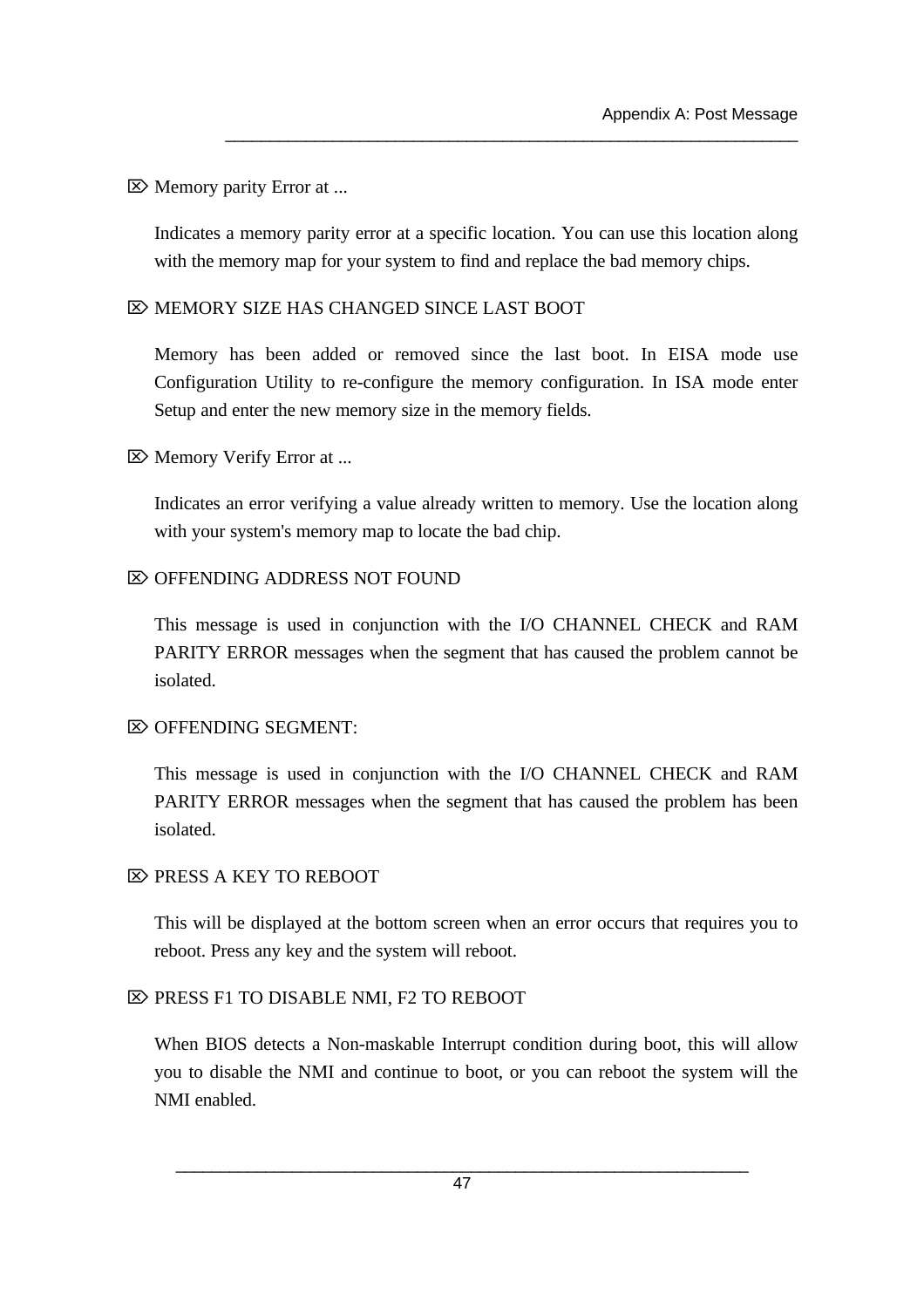#### $\boxtimes$  Memory parity Error at ...

Indicates a memory parity error at a specific location. You can use this location along with the memory map for your system to find and replace the bad memory chips.

\_\_\_\_\_\_\_\_\_\_\_\_\_\_\_\_\_\_\_\_\_\_\_\_\_\_\_\_\_\_\_\_\_\_\_\_\_\_\_\_\_\_\_\_\_\_\_\_\_\_\_\_\_\_\_\_\_\_\_\_\_\_\_\_

#### $\gg$  MEMORY SIZE HAS CHANGED SINCE LAST BOOT

Memory has been added or removed since the last boot. In EISA mode use Configuration Utility to re-configure the memory configuration. In ISA mode enter Setup and enter the new memory size in the memory fields.

#### $⊠$  Memory Verify Error at ...

Indicates an error verifying a value already written to memory. Use the location along with your system's memory map to locate the bad chip.

#### **EX OFFENDING ADDRESS NOT FOUND**

This message is used in conjunction with the I/O CHANNEL CHECK and RAM PARITY ERROR messages when the segment that has caused the problem cannot be isolated.

#### $\mathbb{Z}$  OFFENDING SEGMENT:

This message is used in conjunction with the I/O CHANNEL CHECK and RAM PARITY ERROR messages when the segment that has caused the problem has been isolated.

#### $\overline{\infty}$  PRESS A KEY TO REBOOT

This will be displayed at the bottom screen when an error occurs that requires you to reboot. Press any key and the system will reboot.

#### **EX PRESS F1 TO DISABLE NMI, F2 TO REBOOT**

When BIOS detects a Non-maskable Interrupt condition during boot, this will allow you to disable the NMI and continue to boot, or you can reboot the system will the NMI enabled.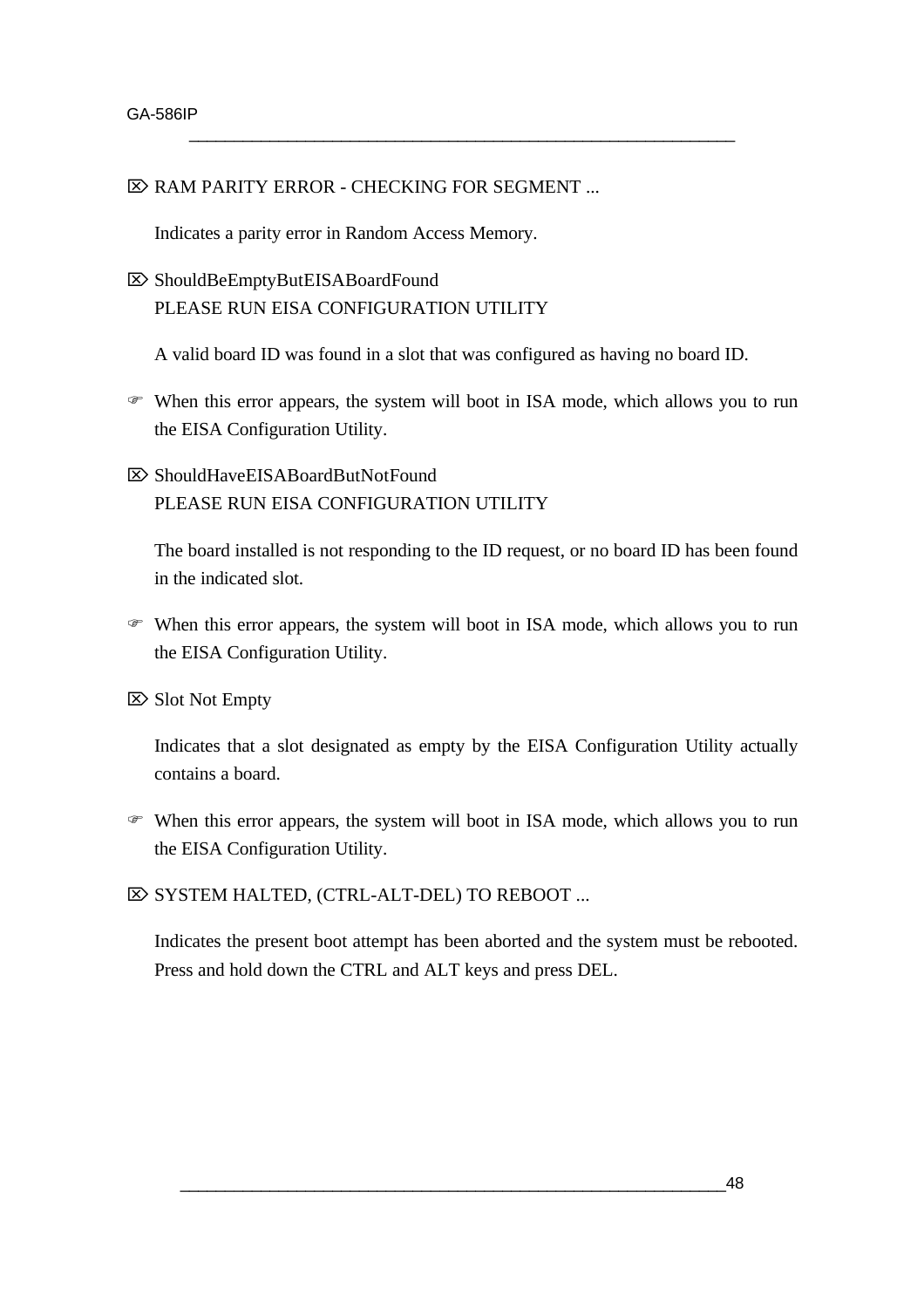#### $\boxtimes$  RAM PARITY ERROR - CHECKING FOR SEGMENT ...

Indicates a parity error in Random Access Memory.

# $\boxtimes$  ShouldBeEmptyButEISABoardFound PLEASE RUN EISA CONFIGURATION UTILITY

A valid board ID was found in a slot that was configured as having no board ID.

\_\_\_\_\_\_\_\_\_\_\_\_\_\_\_\_\_\_\_\_\_\_\_\_\_\_\_\_\_\_\_\_\_\_\_\_\_\_\_\_\_\_\_\_\_\_\_\_\_\_\_\_\_\_\_\_\_\_\_\_\_

F When this error appears, the system will boot in ISA mode, which allows you to run the EISA Configuration Utility.

# $\boxtimes$  ShouldHaveEISABoardButNotFound PLEASE RUN EISA CONFIGURATION UTILITY

The board installed is not responding to the ID request, or no board ID has been found in the indicated slot.

F When this error appears, the system will boot in ISA mode, which allows you to run the EISA Configuration Utility.

 $\boxtimes$  Slot Not Empty

Indicates that a slot designated as empty by the EISA Configuration Utility actually contains a board.

F When this error appears, the system will boot in ISA mode, which allows you to run the EISA Configuration Utility.

÷ SYSTEM HALTED, (CTRL-ALT-DEL) TO REBOOT ...

Indicates the present boot attempt has been aborted and the system must be rebooted. Press and hold down the CTRL and ALT keys and press DEL.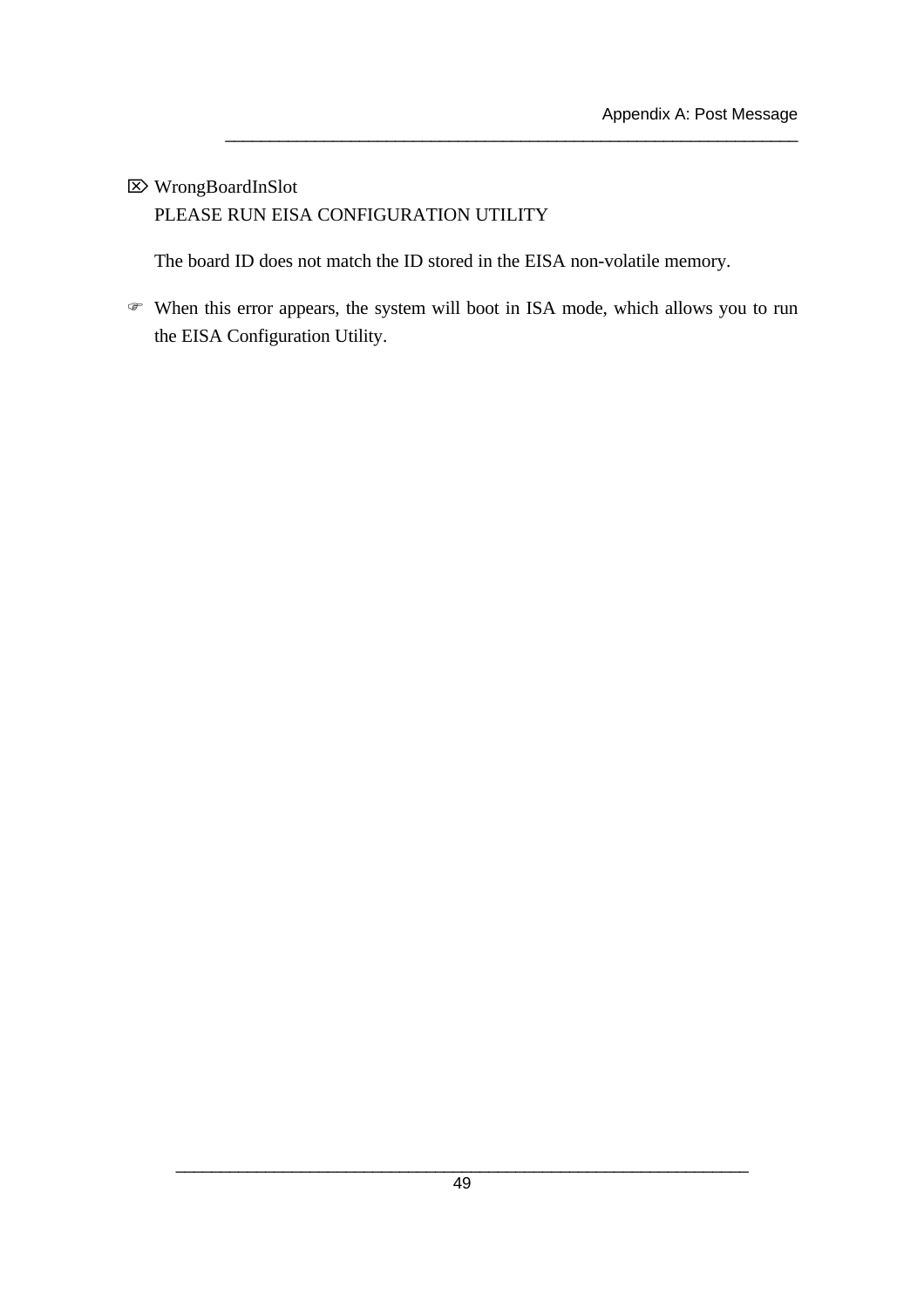# ÷ WrongBoardInSlot PLEASE RUN EISA CONFIGURATION UTILITY

The board ID does not match the ID stored in the EISA non-volatile memory.

F When this error appears, the system will boot in ISA mode, which allows you to run the EISA Configuration Utility.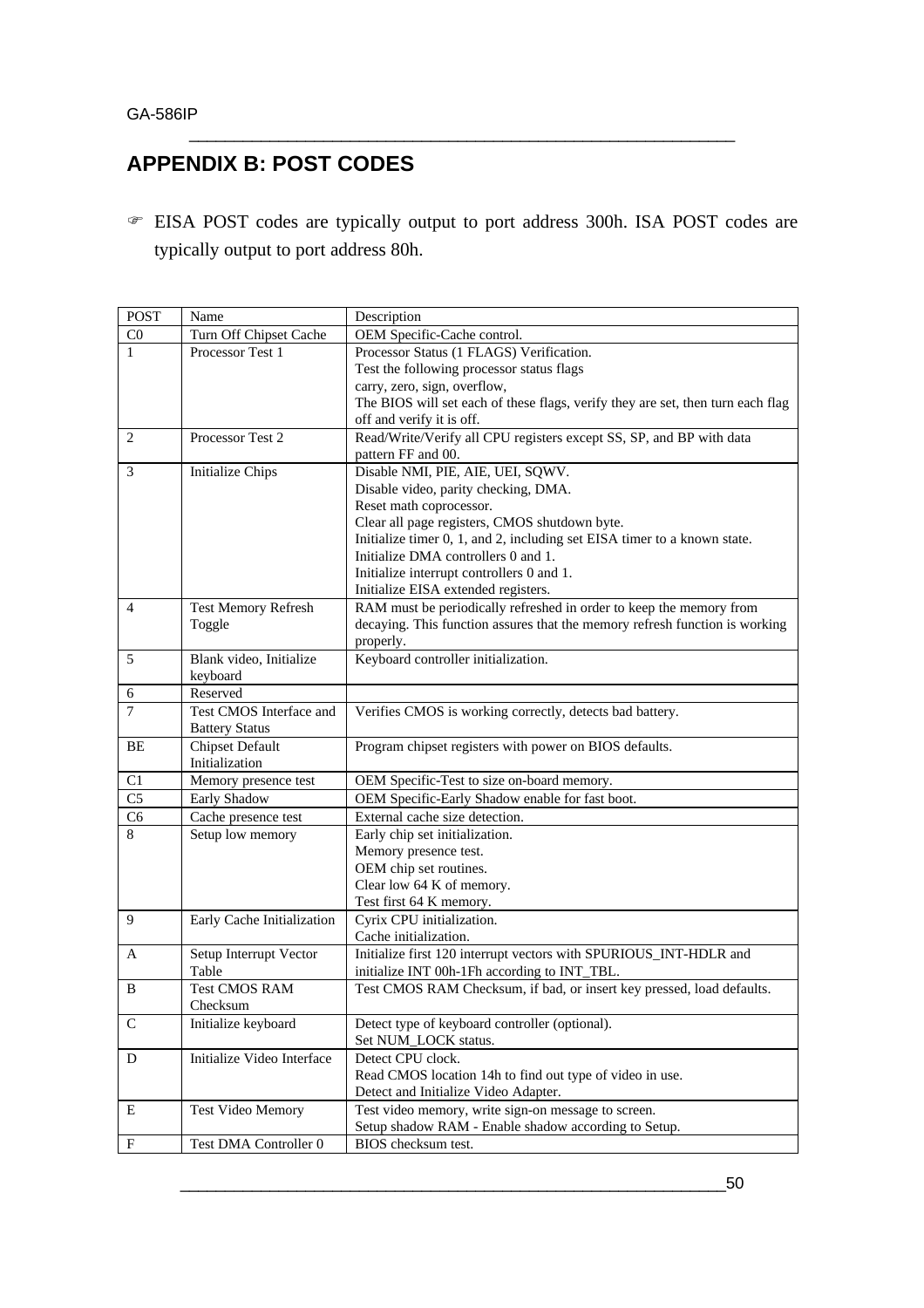# **APPENDIX B: POST CODES**

F EISA POST codes are typically output to port address 300h. ISA POST codes are typically output to port address 80h.

| <b>POST</b>    | Name                       | Description                                                                      |
|----------------|----------------------------|----------------------------------------------------------------------------------|
| $\rm CO$       | Turn Off Chipset Cache     | OEM Specific-Cache control.                                                      |
| $\mathbf{1}$   | Processor Test 1           | Processor Status (1 FLAGS) Verification.                                         |
|                |                            | Test the following processor status flags                                        |
|                |                            | carry, zero, sign, overflow,                                                     |
|                |                            | The BIOS will set each of these flags, verify they are set, then turn each flag  |
|                |                            | off and verify it is off.                                                        |
| 2              | Processor Test 2           | Read/Write/Verify all CPU registers except SS, SP, and BP with data              |
|                |                            | pattern FF and 00.                                                               |
| 3              | <b>Initialize Chips</b>    | Disable NMI, PIE, AIE, UEI, SQWV.                                                |
|                |                            | Disable video, parity checking, DMA.                                             |
|                |                            | Reset math coprocessor.                                                          |
|                |                            | Clear all page registers, CMOS shutdown byte.                                    |
|                |                            | Initialize timer 0, 1, and 2, including set EISA timer to a known state.         |
|                |                            | Initialize DMA controllers 0 and 1.                                              |
|                |                            | Initialize interrupt controllers 0 and 1.<br>Initialize EISA extended registers. |
| 4              | Test Memory Refresh        | RAM must be periodically refreshed in order to keep the memory from              |
|                | Toggle                     | decaying. This function assures that the memory refresh function is working      |
|                |                            | properly.                                                                        |
| 5              | Blank video, Initialize    | Keyboard controller initialization.                                              |
|                | keyboard                   |                                                                                  |
| 6              | Reserved                   |                                                                                  |
| 7              | Test CMOS Interface and    | Verifies CMOS is working correctly, detects bad battery.                         |
|                | <b>Battery Status</b>      |                                                                                  |
| BE             | <b>Chipset Default</b>     | Program chipset registers with power on BIOS defaults.                           |
|                | Initialization             |                                                                                  |
| C <sub>1</sub> | Memory presence test       | OEM Specific-Test to size on-board memory.                                       |
| C <sub>5</sub> | Early Shadow               | OEM Specific-Early Shadow enable for fast boot.                                  |
| C <sub>6</sub> | Cache presence test        | External cache size detection.                                                   |
| 8              | Setup low memory           | Early chip set initialization.                                                   |
|                |                            | Memory presence test.                                                            |
|                |                            | OEM chip set routines.                                                           |
|                |                            | Clear low 64 K of memory.                                                        |
|                |                            | Test first 64 K memory.                                                          |
| 9              | Early Cache Initialization | Cyrix CPU initialization.                                                        |
|                |                            | Cache initialization.                                                            |
| A              | Setup Interrupt Vector     | Initialize first 120 interrupt vectors with SPURIOUS_INT-HDLR and                |
|                | Table                      | initialize INT 00h-1Fh according to INT_TBL.                                     |
| B              | <b>Test CMOS RAM</b>       | Test CMOS RAM Checksum, if bad, or insert key pressed, load defaults.            |
|                | Checksum                   |                                                                                  |
| $\mathsf{C}$   | Initialize keyboard        | Detect type of keyboard controller (optional).<br>Set NUM_LOCK status.           |
| D              | Initialize Video Interface | Detect CPU clock.                                                                |
|                |                            | Read CMOS location 14h to find out type of video in use.                         |
|                |                            | Detect and Initialize Video Adapter.                                             |
| Ε              | Test Video Memory          | Test video memory, write sign-on message to screen.                              |
|                |                            | Setup shadow RAM - Enable shadow according to Setup.                             |
| ${\bf F}$      | Test DMA Controller 0      | BIOS checksum test.                                                              |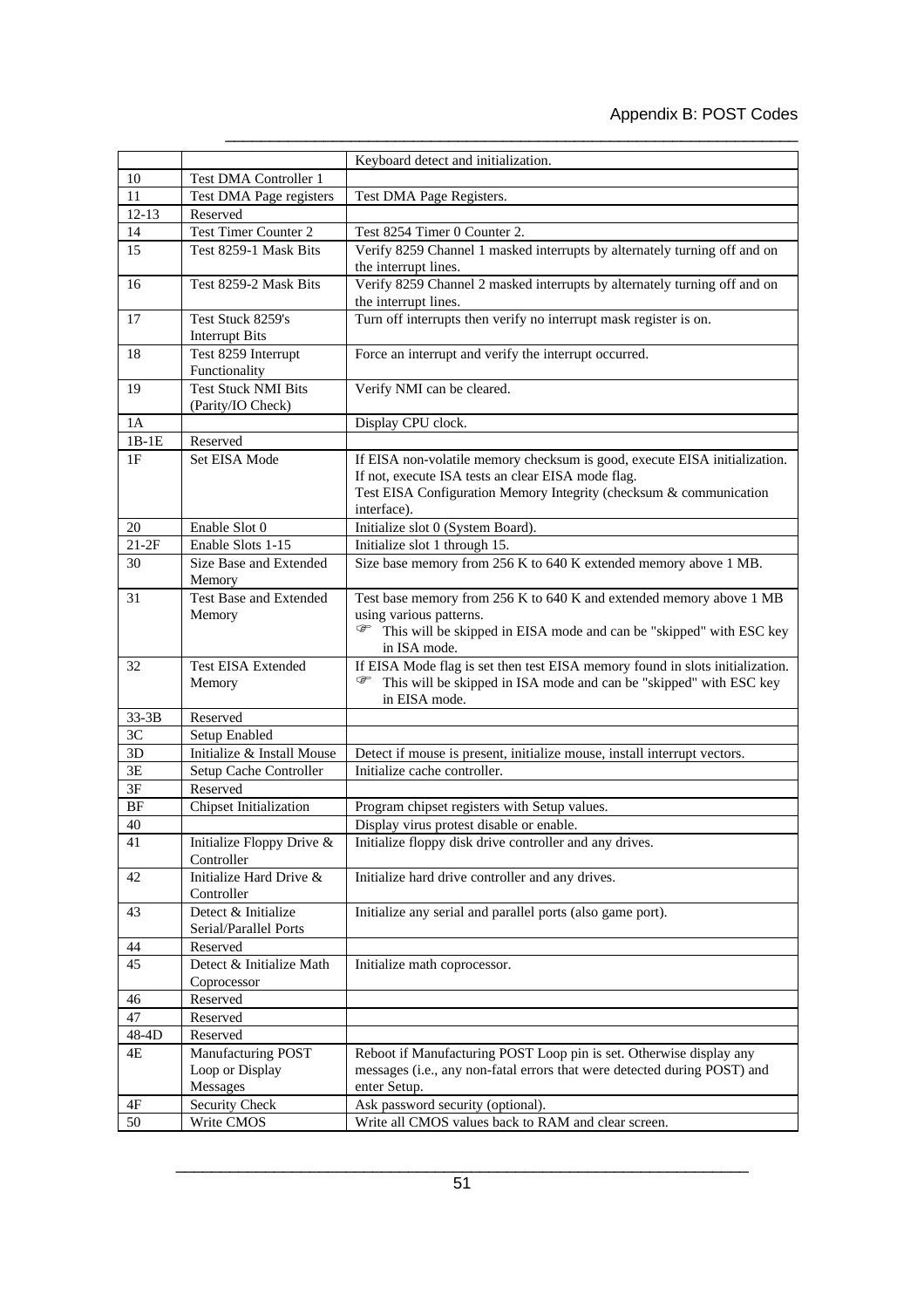|           |                                                 | Keyboard detect and initialization.                                                 |
|-----------|-------------------------------------------------|-------------------------------------------------------------------------------------|
| 10        | Test DMA Controller 1                           |                                                                                     |
| 11        | Test DMA Page registers                         | Test DMA Page Registers.                                                            |
| $12-13$   | Reserved                                        |                                                                                     |
| 14        | <b>Test Timer Counter 2</b>                     | Test 8254 Timer 0 Counter 2.                                                        |
| 15        | Test 8259-1 Mask Bits                           | Verify 8259 Channel 1 masked interrupts by alternately turning off and on           |
|           |                                                 | the interrupt lines.                                                                |
| 16        | Test 8259-2 Mask Bits                           | Verify 8259 Channel 2 masked interrupts by alternately turning off and on           |
|           |                                                 | the interrupt lines.                                                                |
| 17        | Test Stuck 8259's<br>Interrupt Bits             | Turn off interrupts then verify no interrupt mask register is on.                   |
| 18        | Test 8259 Interrupt<br>Functionality            | Force an interrupt and verify the interrupt occurred.                               |
| 19        | <b>Test Stuck NMI Bits</b><br>(Parity/IO Check) | Verify NMI can be cleared.                                                          |
| 1A        |                                                 | Display CPU clock.                                                                  |
| $1B-1E$   | Reserved                                        |                                                                                     |
| 1F        | Set EISA Mode                                   | If EISA non-volatile memory checksum is good, execute EISA initialization.          |
|           |                                                 | If not, execute ISA tests an clear EISA mode flag.                                  |
|           |                                                 | Test EISA Configuration Memory Integrity (checksum & communication                  |
|           |                                                 | interface).                                                                         |
| 20        | Enable Slot 0                                   | Initialize slot 0 (System Board).                                                   |
| $21-2F$   | Enable Slots 1-15                               | Initialize slot 1 through 15.                                                       |
| 30        | Size Base and Extended                          | Size base memory from 256 K to 640 K extended memory above 1 MB.                    |
|           | Memory                                          |                                                                                     |
| 31        | Test Base and Extended                          | Test base memory from 256 K to 640 K and extended memory above 1 MB                 |
|           | Memory                                          | using various patterns.                                                             |
|           |                                                 | This will be skipped in EISA mode and can be "skipped" with ESC key<br>in ISA mode. |
| 32        | <b>Test EISA Extended</b>                       | If EISA Mode flag is set then test EISA memory found in slots initialization.       |
|           | Memory                                          | ☞<br>This will be skipped in ISA mode and can be "skipped" with ESC key             |
|           |                                                 | in EISA mode.                                                                       |
| $33-3B$   | Reserved                                        |                                                                                     |
| 3C        | Setup Enabled                                   |                                                                                     |
| 3D        | Initialize & Install Mouse                      | Detect if mouse is present, initialize mouse, install interrupt vectors.            |
| 3E        | Setup Cache Controller                          | Initialize cache controller.                                                        |
| 3F        | Reserved                                        |                                                                                     |
| <b>BF</b> | <b>Chipset Initialization</b>                   | Program chipset registers with Setup values.                                        |
| 40        |                                                 | Display virus protest disable or enable.                                            |
| 41        | Initialize Floppy Drive &                       | Initialize floppy disk drive controller and any drives.                             |
|           | Controller                                      |                                                                                     |
| 42        | Initialize Hard Drive &                         | Initialize hard drive controller and any drives.                                    |
|           | Controller                                      |                                                                                     |
| 43        | Detect & Initialize                             | Initialize any serial and parallel ports (also game port).                          |
|           | Serial/Parallel Ports                           |                                                                                     |
| 44        | Reserved                                        |                                                                                     |
| 45        | Detect & Initialize Math                        | Initialize math coprocessor.                                                        |
|           | Coprocessor                                     |                                                                                     |
| 46        | Reserved                                        |                                                                                     |
| 47        | Reserved                                        |                                                                                     |
| 48-4D     | Reserved                                        |                                                                                     |
| 4Ε        | Manufacturing POST                              | Reboot if Manufacturing POST Loop pin is set. Otherwise display any                 |
|           | Loop or Display                                 | messages (i.e., any non-fatal errors that were detected during POST) and            |
|           | Messages                                        | enter Setup.                                                                        |
| 4F        | Security Check                                  | Ask password security (optional).                                                   |
| 50        | Write CMOS                                      | Write all CMOS values back to RAM and clear screen.                                 |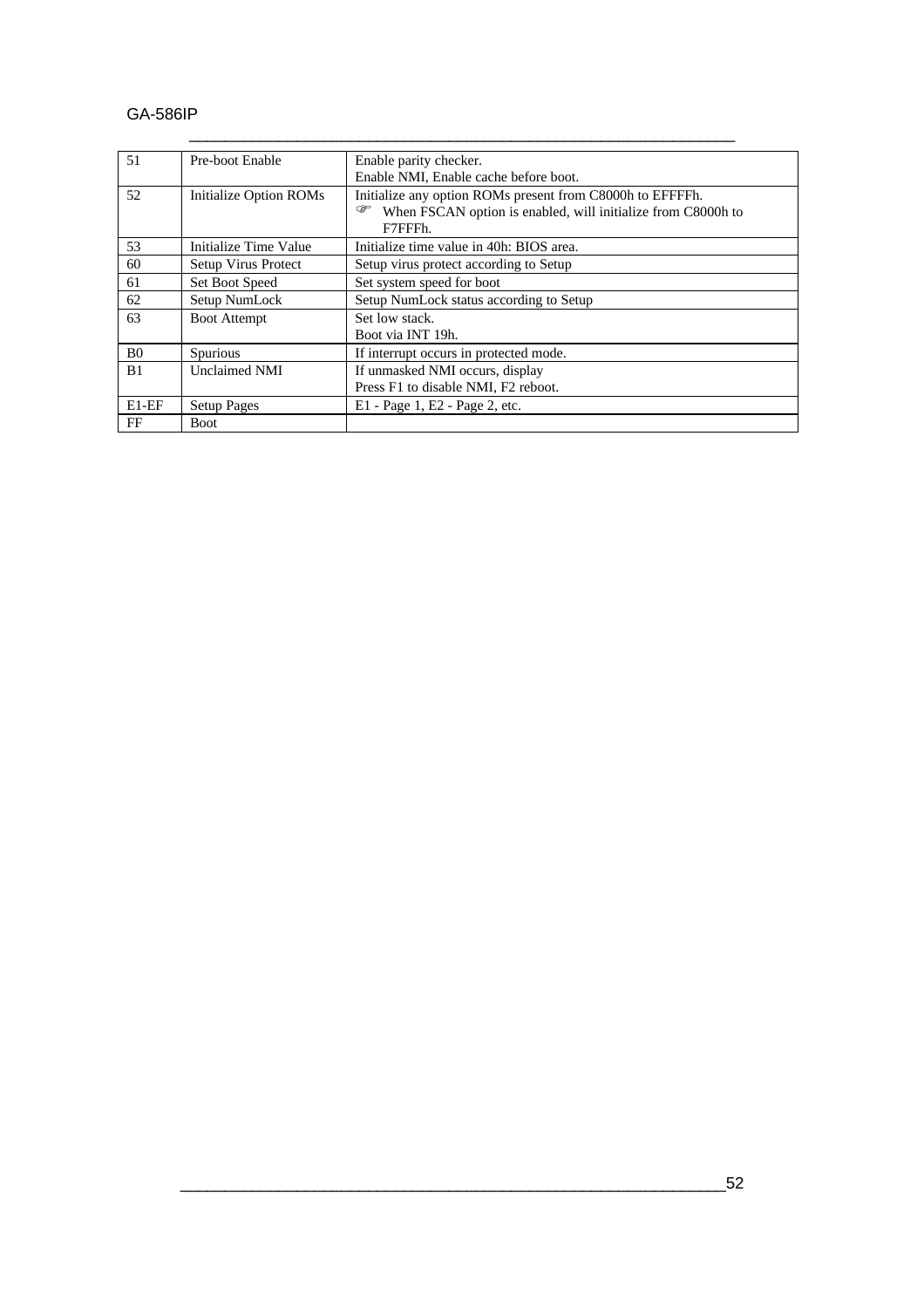#### GA-586IP

| 51             | Pre-boot Enable        | Enable parity checker.                                            |  |  |  |  |  |
|----------------|------------------------|-------------------------------------------------------------------|--|--|--|--|--|
|                |                        | Enable NMI, Enable cache before boot.                             |  |  |  |  |  |
| 52             | Initialize Option ROMs | Initialize any option ROMs present from C8000h to EFFFFh.         |  |  |  |  |  |
|                |                        | When FSCAN option is enabled, will initialize from C8000h to<br>☞ |  |  |  |  |  |
|                |                        | F7FFFh.                                                           |  |  |  |  |  |
| 53             | Initialize Time Value  | Initialize time value in 40h: BIOS area.                          |  |  |  |  |  |
| 60             | Setup Virus Protect    | Setup virus protect according to Setup                            |  |  |  |  |  |
| 61             | Set Boot Speed         | Set system speed for boot                                         |  |  |  |  |  |
| 62             | Setup NumLock          | Setup NumLock status according to Setup                           |  |  |  |  |  |
| 63             | <b>Boot Attempt</b>    | Set low stack.                                                    |  |  |  |  |  |
|                |                        | Boot via INT 19h.                                                 |  |  |  |  |  |
| B <sub>0</sub> | <b>Spurious</b>        | If interrupt occurs in protected mode.                            |  |  |  |  |  |
| B1             | <b>Unclaimed NMI</b>   | If unmasked NMI occurs, display                                   |  |  |  |  |  |
|                |                        | Press F1 to disable NMI, F2 reboot.                               |  |  |  |  |  |
| $E1-EF$        | <b>Setup Pages</b>     | E1 - Page 1, E2 - Page 2, etc.                                    |  |  |  |  |  |
| FF             | <b>Boot</b>            |                                                                   |  |  |  |  |  |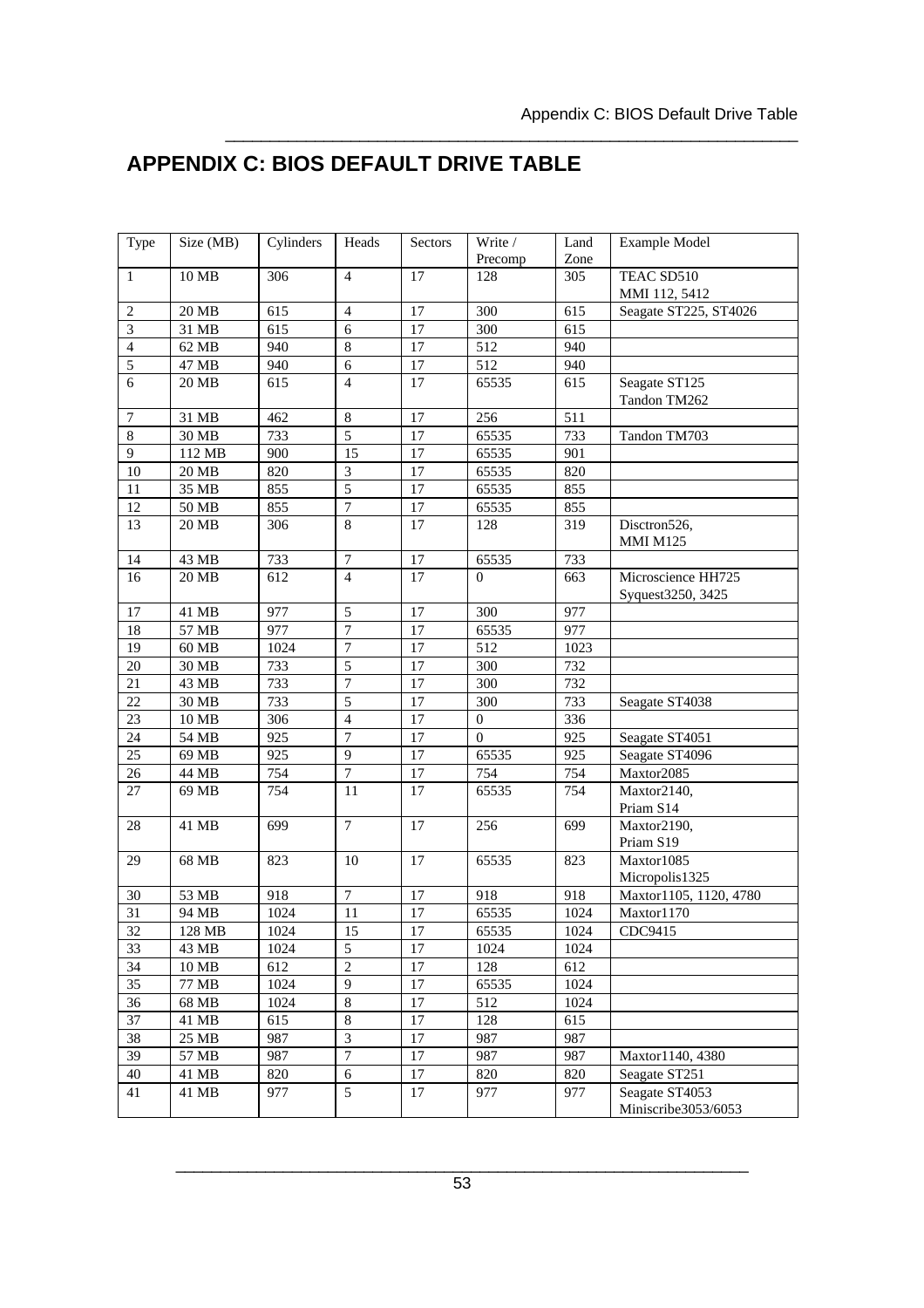\_\_\_\_\_\_\_\_\_\_\_\_\_\_\_\_\_\_\_\_\_\_\_\_\_\_\_\_\_\_\_\_\_\_\_\_\_\_\_\_\_\_\_\_\_\_\_\_\_\_\_\_\_\_\_\_\_\_\_\_\_\_\_\_

# **APPENDIX C: BIOS DEFAULT DRIVE TABLE**

| Type            | Size (MB)         | Cylinders | Heads            | Sectors | Write /          | Land | Example Model               |
|-----------------|-------------------|-----------|------------------|---------|------------------|------|-----------------------------|
|                 |                   |           |                  |         | Precomp          | Zone |                             |
| $\mathbf{1}$    | 10 MB             | 306       | $\overline{4}$   | 17      | 128              | 305  | TEAC SD510<br>MMI 112, 5412 |
| 2               | 20 MB             | 615       | $\overline{4}$   | 17      | 300              | 615  | Seagate ST225, ST4026       |
| 3               | 31 MB             | 615       | 6                | 17      | 300              | 615  |                             |
| $\overline{4}$  | 62 MB             | 940       | $\,$ 8 $\,$      | 17      | 512              | 940  |                             |
| $\sqrt{5}$      | 47 MB             | 940       | 6                | 17      | 512              | 940  |                             |
| 6               | 20 MB             | 615       | $\overline{4}$   | 17      | 65535            | 615  | Seagate ST125               |
|                 |                   |           |                  |         |                  |      | Tandon TM262                |
| $\overline{7}$  | 31 MB             | 462       | $\,$ 8 $\,$      | 17      | 256              | 511  |                             |
| $\,8\,$         | 30 MB             | 733       | $\overline{5}$   | 17      | 65535            | 733  | Tandon TM703                |
| 9               | 112 MB            | 900       | 15               | 17      | 65535            | 901  |                             |
| $10\,$          | $20\ \mathrm{MB}$ | 820       | 3                | 17      | 65535            | 820  |                             |
| 11              | 35 MB             | 855       | 5                | 17      | 65535            | 855  |                             |
| 12              | 50 MB             | 855       | 7                | 17      | 65535            | 855  |                             |
| 13              | 20 MB             | 306       | 8                | 17      | 128              | 319  | Disctron526,                |
|                 |                   |           |                  |         |                  |      | <b>MMI M125</b>             |
| 14              | 43 MB             | 733       | $\boldsymbol{7}$ | 17      | 65535            | 733  |                             |
| 16              | 20 MB             | 612       | $\overline{4}$   | 17      | $\overline{0}$   | 663  | Microscience HH725          |
|                 |                   |           |                  |         |                  |      | Syquest3250, 3425           |
| 17              | 41 MB             | 977       | 5                | 17      | 300              | 977  |                             |
| 18              | 57 MB             | 977       | 7                | 17      | 65535            | 977  |                             |
| 19              | $60\ \mathrm{MB}$ | 1024      | 7                | 17      | 512              | 1023 |                             |
| 20              | 30 MB             | 733       | 5                | 17      | 300              | 732  |                             |
| 21              | 43 MB             | 733       | $\overline{7}$   | 17      | 300              | 732  |                             |
| $22\,$          | 30 MB             | 733       | 5                | 17      | 300              | 733  | Seagate ST4038              |
| 23              | 10 MB             | 306       | $\overline{4}$   | 17      | $\boldsymbol{0}$ | 336  |                             |
| 24              | 54 MB             | 925       | 7                | 17      | $\theta$         | 925  | Seagate ST4051              |
| $25\,$          | 69 MB             | 925       | $\mathbf{Q}$     | 17      | 65535            | 925  | Seagate ST4096              |
| 26              | 44 MB             | 754       | $\overline{7}$   | 17      | 754              | 754  | Maxtor2085                  |
| 27              | 69 MB             | 754       | 11               | 17      | 65535            | 754  | Maxtor2140,                 |
|                 |                   |           |                  |         |                  |      | Priam S14                   |
| 28              | 41 MB             | 699       | $\overline{7}$   | 17      | 256              | 699  | Maxtor2190,                 |
|                 |                   |           |                  |         |                  |      | Priam S19                   |
| 29              | 68 MB             | 823       | 10               | 17      | 65535            | 823  | Maxtor1085                  |
|                 |                   |           |                  |         |                  |      | Micropolis1325              |
| $30\,$          | 53 MB             | 918       | $\boldsymbol{7}$ | $17\,$  | 918              | 918  | Maxtor1105, 1120, 4780      |
| 31              | 94 MB             | 1024      | 11               | 17      | 65535            | 1024 | Maxtor1170                  |
| $\overline{32}$ | 128 MB            | 1024      | 15               | 17      | 65535            | 1024 | CDC9415                     |
| 33              | 43 MB             | 1024      | 5                | 17      | 1024             | 1024 |                             |
| 34              | $10\,\mbox{MB}$   | 612       | $\overline{2}$   | 17      | 128              | 612  |                             |
| 35              | 77 MB             | 1024      | 9                | 17      | 65535            | 1024 |                             |
| 36              | 68 MB             | 1024      | $\,8\,$          | $17\,$  | 512              | 1024 |                             |
| 37              | 41 MB             | 615       | $\,8\,$          | 17      | 128              | 615  |                             |
| 38              | 25 MB             | 987       | $\mathfrak{Z}$   | 17      | 987              | 987  |                             |
| 39              | 57 MB             | 987       | $\boldsymbol{7}$ | 17      | 987              | 987  | Maxtor1140, 4380            |
| 40              | 41 MB             | 820       | 6                | 17      | 820              | 820  | Seagate ST251               |
| 41              | 41 MB             | 977       | 5                | 17      | 977              | 977  | Seagate ST4053              |
|                 |                   |           |                  |         |                  |      | Miniscribe3053/6053         |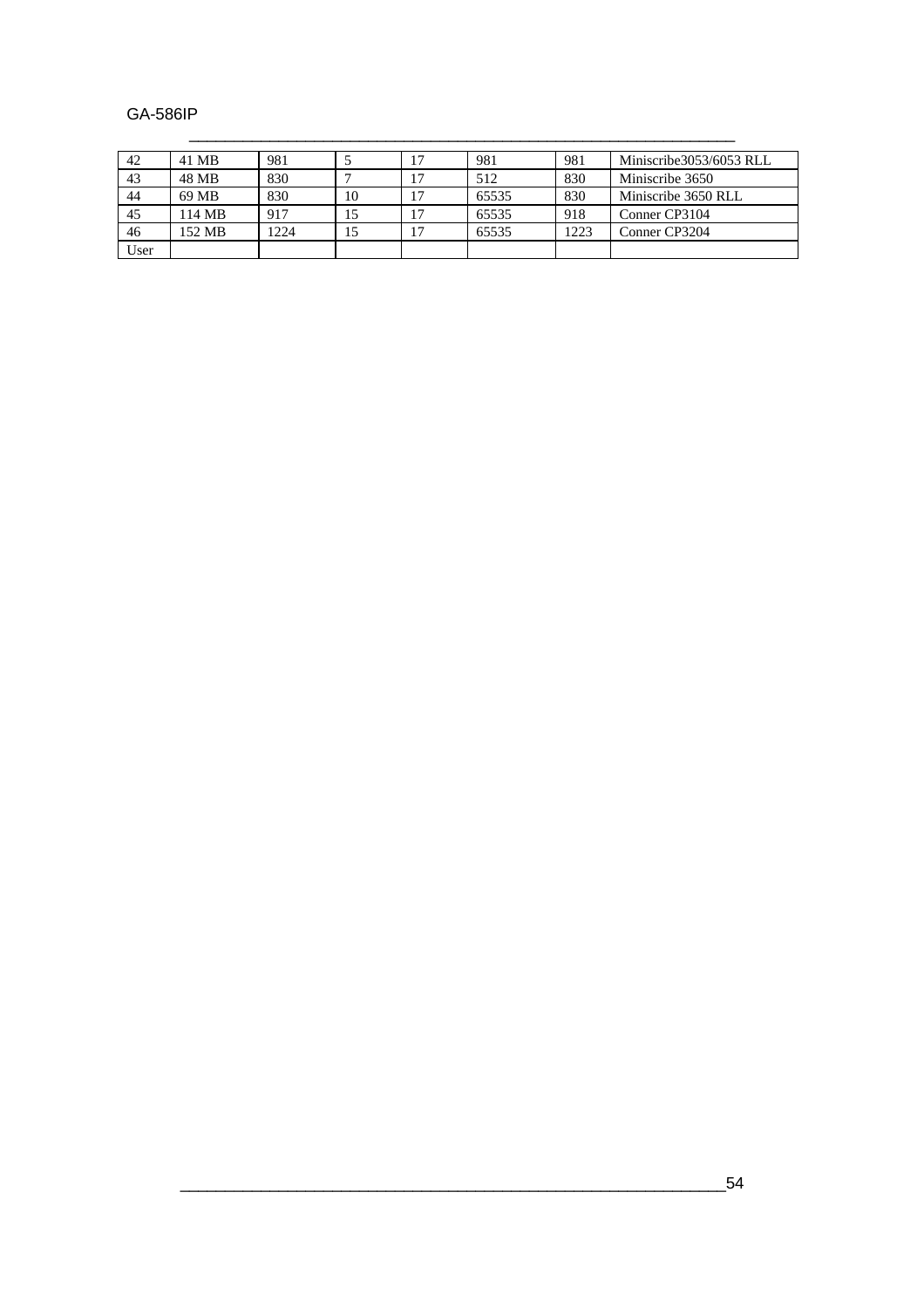#### GA-586IP

| 42   | 41 MB  | 981  |    | 17 | 981   | 981  | Miniscribe3053/6053 RLL |
|------|--------|------|----|----|-------|------|-------------------------|
| 43   | 48 MB  | 830  |    | 17 | 512   | 830  | Miniscribe 3650         |
| 44   | 69 MB  | 830  | 10 |    | 65535 | 830  | Miniscribe 3650 RLL     |
| 45   | 114 MB | 917  | 15 | 17 | 65535 | 918  | Conner CP3104           |
| 46   | 152 MB | 1224 | 15 | 17 | 65535 | 1223 | Conner CP3204           |
| User |        |      |    |    |       |      |                         |